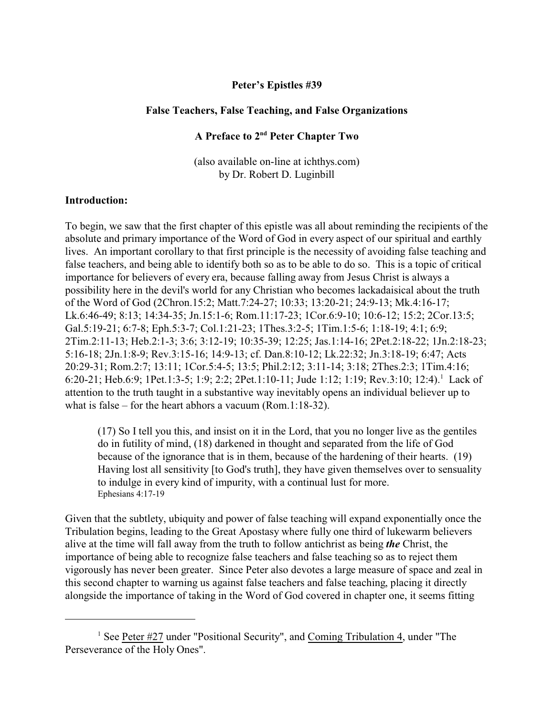### **Peter's Epistles #39**

#### **False Teachers, False Teaching, and False Organizations**

### **A Preface to 2nd Peter Chapter Two**

(also available on-line at ichthys.com) by Dr. Robert D. Luginbill

#### **Introduction:**

To begin, we saw that the first chapter of this epistle was all about reminding the recipients of the absolute and primary importance of the Word of God in every aspect of our spiritual and earthly lives. An important corollary to that first principle is the necessity of avoiding false teaching and false teachers, and being able to identify both so as to be able to do so. This is a topic of critical importance for believers of every era, because falling away from Jesus Christ is always a possibility here in the devil's world for any Christian who becomes lackadaisical about the truth of the Word of God (2Chron.15:2; Matt.7:24-27; 10:33; 13:20-21; 24:9-13; Mk.4:16-17; Lk.6:46-49; 8:13; 14:34-35; Jn.15:1-6; Rom.11:17-23; 1Cor.6:9-10; 10:6-12; 15:2; 2Cor.13:5; Gal.5:19-21; 6:7-8; Eph.5:3-7; Col.1:21-23; 1Thes.3:2-5; 1Tim.1:5-6; 1:18-19; 4:1; 6:9; 2Tim.2:11-13; Heb.2:1-3; 3:6; 3:12-19; 10:35-39; 12:25; Jas.1:14-16; 2Pet.2:18-22; 1Jn.2:18-23; 5:16-18; 2Jn.1:8-9; Rev.3:15-16; 14:9-13; cf. Dan.8:10-12; Lk.22:32; Jn.3:18-19; 6:47; Acts 20:29-31; Rom.2:7; 13:11; 1Cor.5:4-5; 13:5; Phil.2:12; 3:11-14; 3:18; 2Thes.2:3; 1Tim.4:16; 6:20-21; Heb.6:9; 1Pet.1:3-5; 1:9; 2:2; 2Pet.1:10-11; Jude 1:12; 1:19; Rev.3:10; 12:4).<sup>1</sup> Lack of attention to the truth taught in a substantive way inevitably opens an individual believer up to what is false – for the heart abhors a vacuum (Rom.1:18-32).

(17) So I tell you this, and insist on it in the Lord, that you no longer live as the gentiles do in futility of mind, (18) darkened in thought and separated from the life of God because of the ignorance that is in them, because of the hardening of their hearts. (19) Having lost all sensitivity [to God's truth], they have given themselves over to sensuality to indulge in every kind of impurity, with a continual lust for more. Ephesians 4:17-19

Given that the subtlety, ubiquity and power of false teaching will expand exponentially once the Tribulation begins, leading to the Great Apostasy where fully one third of lukewarm believers alive at the time will fall away from the truth to follow antichrist as being *the* Christ, the importance of being able to recognize false teachers and false teaching so as to reject them vigorously has never been greater. Since Peter also devotes a large measure of space and zeal in this second chapter to warning us against false teachers and false teaching, placing it directly alongside the importance of taking in the Word of God covered in chapter one, it seems fitting

<sup>&</sup>lt;sup>1</sup> See Peter #27 under "Positional Security", and Coming Tribulation 4, under "The Perseverance of the Holy Ones".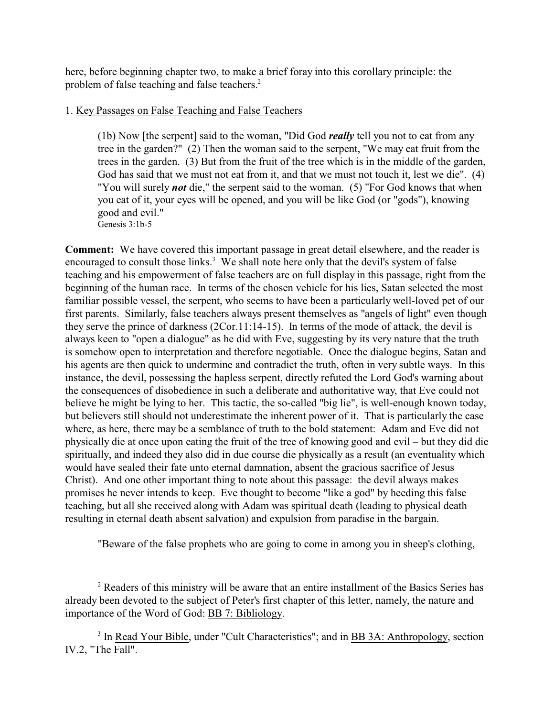here, before beginning chapter two, to make a brief foray into this corollary principle: the problem of false teaching and false teachers.<sup>2</sup>

# 1. Key Passages on False Teaching and False Teachers

(1b) Now [the serpent] said to the woman, "Did God *really* tell you not to eat from any tree in the garden?" (2) Then the woman said to the serpent, "We may eat fruit from the trees in the garden. (3) But from the fruit of the tree which is in the middle of the garden, God has said that we must not eat from it, and that we must not touch it, lest we die". (4) "You will surely *not* die," the serpent said to the woman. (5) "For God knows that when you eat of it, your eyes will be opened, and you will be like God (or "gods"), knowing good and evil." Genesis 3:1b-5

**Comment:** We have covered this important passage in great detail elsewhere, and the reader is encouraged to consult those links.<sup>3</sup> We shall note here only that the devil's system of false teaching and his empowerment of false teachers are on full display in this passage, right from the beginning of the human race. In terms of the chosen vehicle for his lies, Satan selected the most familiar possible vessel, the serpent, who seems to have been a particularly well-loved pet of our first parents. Similarly, false teachers always present themselves as "angels of light" even though they serve the prince of darkness (2Cor.11:14-15). In terms of the mode of attack, the devil is always keen to "open a dialogue" as he did with Eve, suggesting by its very nature that the truth is somehow open to interpretation and therefore negotiable. Once the dialogue begins, Satan and his agents are then quick to undermine and contradict the truth, often in very subtle ways. In this instance, the devil, possessing the hapless serpent, directly refuted the Lord God's warning about the consequences of disobedience in such a deliberate and authoritative way, that Eve could not believe he might be lying to her. This tactic, the so-called "big lie", is well-enough known today, but believers still should not underestimate the inherent power of it. That is particularly the case where, as here, there may be a semblance of truth to the bold statement: Adam and Eve did not physically die at once upon eating the fruit of the tree of knowing good and evil – but they did die spiritually, and indeed they also did in due course die physically as a result (an eventuality which would have sealed their fate unto eternal damnation, absent the gracious sacrifice of Jesus Christ). And one other important thing to note about this passage: the devil always makes promises he never intends to keep. Eve thought to become "like a god" by heeding this false teaching, but all she received along with Adam was spiritual death (leading to physical death resulting in eternal death absent salvation) and expulsion from paradise in the bargain.

"Beware of the false prophets who are going to come in among you in sheep's clothing,

<sup>&</sup>lt;sup>2</sup> Readers of this ministry will be aware that an entire installment of the Basics Series has already been devoted to the subject of Peter's first chapter of this letter, namely, the nature and importance of the Word of God: BB 7: Bibliology.

<sup>&</sup>lt;sup>3</sup> In Read Your Bible, under "Cult Characteristics"; and in BB 3A: Anthropology, section IV.2, "The Fall".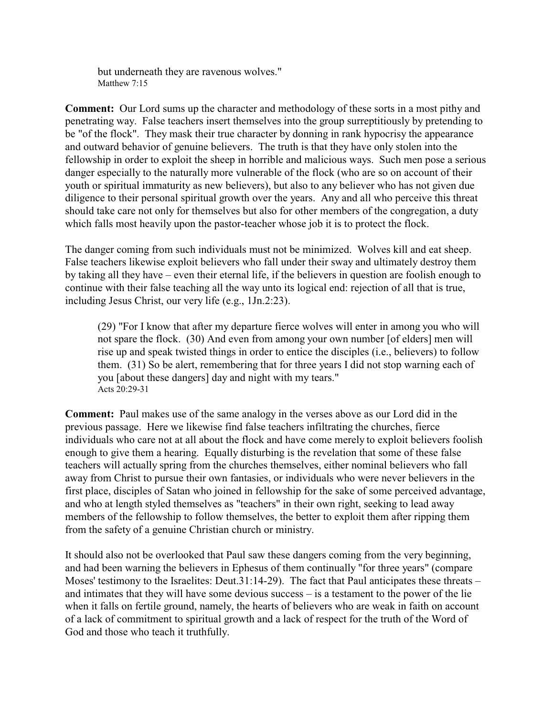but underneath they are ravenous wolves." Matthew 7:15

**Comment:** Our Lord sums up the character and methodology of these sorts in a most pithy and penetrating way. False teachers insert themselves into the group surreptitiously by pretending to be "of the flock". They mask their true character by donning in rank hypocrisy the appearance and outward behavior of genuine believers. The truth is that they have only stolen into the fellowship in order to exploit the sheep in horrible and malicious ways. Such men pose a serious danger especially to the naturally more vulnerable of the flock (who are so on account of their youth or spiritual immaturity as new believers), but also to any believer who has not given due diligence to their personal spiritual growth over the years. Any and all who perceive this threat should take care not only for themselves but also for other members of the congregation, a duty which falls most heavily upon the pastor-teacher whose job it is to protect the flock.

The danger coming from such individuals must not be minimized. Wolves kill and eat sheep. False teachers likewise exploit believers who fall under their sway and ultimately destroy them by taking all they have – even their eternal life, if the believers in question are foolish enough to continue with their false teaching all the way unto its logical end: rejection of all that is true, including Jesus Christ, our very life (e.g., 1Jn.2:23).

(29) "For I know that after my departure fierce wolves will enter in among you who will not spare the flock. (30) And even from among your own number [of elders] men will rise up and speak twisted things in order to entice the disciples (i.e., believers) to follow them. (31) So be alert, remembering that for three years I did not stop warning each of you [about these dangers] day and night with my tears." Acts 20:29-31

**Comment:** Paul makes use of the same analogy in the verses above as our Lord did in the previous passage. Here we likewise find false teachers infiltrating the churches, fierce individuals who care not at all about the flock and have come merely to exploit believers foolish enough to give them a hearing. Equally disturbing is the revelation that some of these false teachers will actually spring from the churches themselves, either nominal believers who fall away from Christ to pursue their own fantasies, or individuals who were never believers in the first place, disciples of Satan who joined in fellowship for the sake of some perceived advantage, and who at length styled themselves as "teachers" in their own right, seeking to lead away members of the fellowship to follow themselves, the better to exploit them after ripping them from the safety of a genuine Christian church or ministry.

It should also not be overlooked that Paul saw these dangers coming from the very beginning, and had been warning the believers in Ephesus of them continually "for three years" (compare Moses' testimony to the Israelites: Deut.31:14-29). The fact that Paul anticipates these threats – and intimates that they will have some devious success – is a testament to the power of the lie when it falls on fertile ground, namely, the hearts of believers who are weak in faith on account of a lack of commitment to spiritual growth and a lack of respect for the truth of the Word of God and those who teach it truthfully.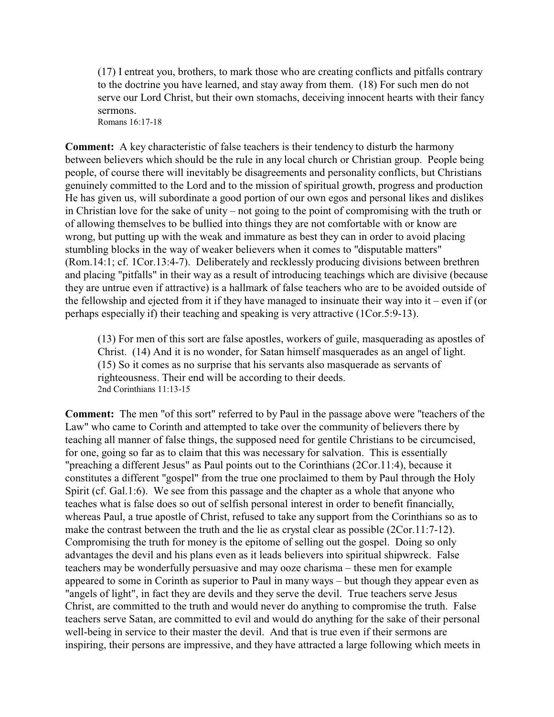(17) I entreat you, brothers, to mark those who are creating conflicts and pitfalls contrary to the doctrine you have learned, and stay away from them. (18) For such men do not serve our Lord Christ, but their own stomachs, deceiving innocent hearts with their fancy sermons. Romans 16:17-18

**Comment:** A key characteristic of false teachers is their tendency to disturb the harmony between believers which should be the rule in any local church or Christian group. People being people, of course there will inevitably be disagreements and personality conflicts, but Christians genuinely committed to the Lord and to the mission of spiritual growth, progress and production He has given us, will subordinate a good portion of our own egos and personal likes and dislikes in Christian love for the sake of unity – not going to the point of compromising with the truth or of allowing themselves to be bullied into things they are not comfortable with or know are wrong, but putting up with the weak and immature as best they can in order to avoid placing stumbling blocks in the way of weaker believers when it comes to "disputable matters" (Rom.14:1; cf. 1Cor.13:4-7). Deliberately and recklessly producing divisions between brethren and placing "pitfalls" in their way as a result of introducing teachings which are divisive (because they are untrue even if attractive) is a hallmark of false teachers who are to be avoided outside of the fellowship and ejected from it if they have managed to insinuate their way into it – even if (or perhaps especially if) their teaching and speaking is very attractive (1Cor.5:9-13).

(13) For men of this sort are false apostles, workers of guile, masquerading as apostles of Christ. (14) And it is no wonder, for Satan himself masquerades as an angel of light. (15) So it comes as no surprise that his servants also masquerade as servants of righteousness. Their end will be according to their deeds. 2nd Corinthians 11:13-15

**Comment:** The men "of this sort" referred to by Paul in the passage above were "teachers of the Law" who came to Corinth and attempted to take over the community of believers there by teaching all manner of false things, the supposed need for gentile Christians to be circumcised, for one, going so far as to claim that this was necessary for salvation. This is essentially "preaching a different Jesus" as Paul points out to the Corinthians (2Cor.11:4), because it constitutes a different "gospel" from the true one proclaimed to them by Paul through the Holy Spirit (cf. Gal.1:6). We see from this passage and the chapter as a whole that anyone who teaches what is false does so out of selfish personal interest in order to benefit financially, whereas Paul, a true apostle of Christ, refused to take any support from the Corinthians so as to make the contrast between the truth and the lie as crystal clear as possible (2Cor.11:7-12). Compromising the truth for money is the epitome of selling out the gospel. Doing so only advantages the devil and his plans even as it leads believers into spiritual shipwreck. False teachers may be wonderfully persuasive and may ooze charisma – these men for example appeared to some in Corinth as superior to Paul in many ways – but though they appear even as "angels of light", in fact they are devils and they serve the devil. True teachers serve Jesus Christ, are committed to the truth and would never do anything to compromise the truth. False teachers serve Satan, are committed to evil and would do anything for the sake of their personal well-being in service to their master the devil. And that is true even if their sermons are inspiring, their persons are impressive, and they have attracted a large following which meets in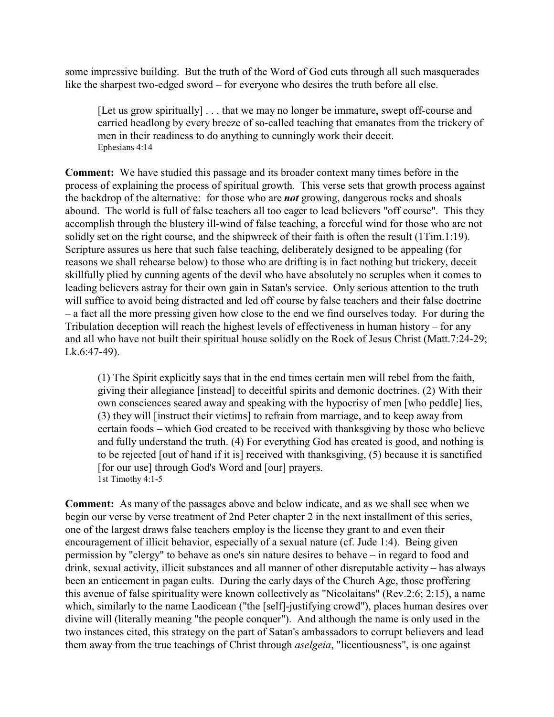some impressive building. But the truth of the Word of God cuts through all such masquerades like the sharpest two-edged sword – for everyone who desires the truth before all else.

[Let us grow spiritually] . . . that we may no longer be immature, swept off-course and carried headlong by every breeze of so-called teaching that emanates from the trickery of men in their readiness to do anything to cunningly work their deceit. Ephesians 4:14

**Comment:** We have studied this passage and its broader context many times before in the process of explaining the process of spiritual growth. This verse sets that growth process against the backdrop of the alternative: for those who are *not* growing, dangerous rocks and shoals abound. The world is full of false teachers all too eager to lead believers "off course". This they accomplish through the blustery ill-wind of false teaching, a forceful wind for those who are not solidly set on the right course, and the shipwreck of their faith is often the result (1Tim.1:19). Scripture assures us here that such false teaching, deliberately designed to be appealing (for reasons we shall rehearse below) to those who are drifting is in fact nothing but trickery, deceit skillfully plied by cunning agents of the devil who have absolutely no scruples when it comes to leading believers astray for their own gain in Satan's service. Only serious attention to the truth will suffice to avoid being distracted and led off course by false teachers and their false doctrine – a fact all the more pressing given how close to the end we find ourselves today. For during the Tribulation deception will reach the highest levels of effectiveness in human history – for any and all who have not built their spiritual house solidly on the Rock of Jesus Christ (Matt.7:24-29; Lk.6:47-49).

(1) The Spirit explicitly says that in the end times certain men will rebel from the faith, giving their allegiance [instead] to deceitful spirits and demonic doctrines. (2) With their own consciences seared away and speaking with the hypocrisy of men [who peddle] lies, (3) they will [instruct their victims] to refrain from marriage, and to keep away from certain foods – which God created to be received with thanksgiving by those who believe and fully understand the truth. (4) For everything God has created is good, and nothing is to be rejected [out of hand if it is] received with thanksgiving, (5) because it is sanctified [for our use] through God's Word and [our] prayers. 1st Timothy 4:1-5

**Comment:** As many of the passages above and below indicate, and as we shall see when we begin our verse by verse treatment of 2nd Peter chapter 2 in the next installment of this series, one of the largest draws false teachers employ is the license they grant to and even their encouragement of illicit behavior, especially of a sexual nature (cf. Jude 1:4). Being given permission by "clergy" to behave as one's sin nature desires to behave – in regard to food and drink, sexual activity, illicit substances and all manner of other disreputable activity – has always been an enticement in pagan cults. During the early days of the Church Age, those proffering this avenue of false spirituality were known collectively as "Nicolaitans" (Rev.2:6; 2:15), a name which, similarly to the name Laodicean ("the [self]-justifying crowd"), places human desires over divine will (literally meaning "the people conquer"). And although the name is only used in the two instances cited, this strategy on the part of Satan's ambassadors to corrupt believers and lead them away from the true teachings of Christ through *aselgeia*, "licentiousness", is one against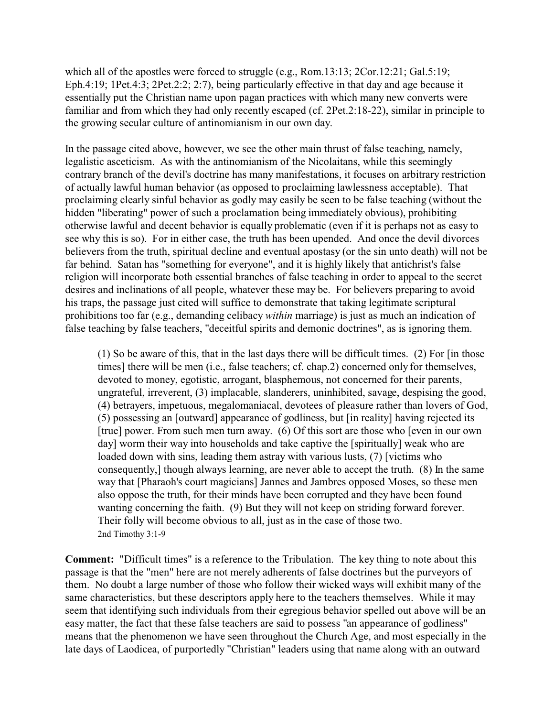which all of the apostles were forced to struggle (e.g., Rom.13:13; 2Cor.12:21; Gal.5:19; Eph.4:19; 1Pet.4:3; 2Pet.2:2; 2:7), being particularly effective in that day and age because it essentially put the Christian name upon pagan practices with which many new converts were familiar and from which they had only recently escaped (cf. 2Pet.2:18-22), similar in principle to the growing secular culture of antinomianism in our own day.

In the passage cited above, however, we see the other main thrust of false teaching, namely, legalistic asceticism. As with the antinomianism of the Nicolaitans, while this seemingly contrary branch of the devil's doctrine has many manifestations, it focuses on arbitrary restriction of actually lawful human behavior (as opposed to proclaiming lawlessness acceptable). That proclaiming clearly sinful behavior as godly may easily be seen to be false teaching (without the hidden "liberating" power of such a proclamation being immediately obvious), prohibiting otherwise lawful and decent behavior is equally problematic (even if it is perhaps not as easy to see why this is so). For in either case, the truth has been upended. And once the devil divorces believers from the truth, spiritual decline and eventual apostasy (or the sin unto death) will not be far behind. Satan has "something for everyone", and it is highly likely that antichrist's false religion will incorporate both essential branches of false teaching in order to appeal to the secret desires and inclinations of all people, whatever these may be. For believers preparing to avoid his traps, the passage just cited will suffice to demonstrate that taking legitimate scriptural prohibitions too far (e.g., demanding celibacy *within* marriage) is just as much an indication of false teaching by false teachers, "deceitful spirits and demonic doctrines", as is ignoring them.

(1) So be aware of this, that in the last days there will be difficult times. (2) For [in those times] there will be men (i.e., false teachers; cf. chap.2) concerned only for themselves, devoted to money, egotistic, arrogant, blasphemous, not concerned for their parents, ungrateful, irreverent, (3) implacable, slanderers, uninhibited, savage, despising the good, (4) betrayers, impetuous, megalomaniacal, devotees of pleasure rather than lovers of God, (5) possessing an [outward] appearance of godliness, but [in reality] having rejected its [true] power. From such men turn away. (6) Of this sort are those who [even in our own day] worm their way into households and take captive the [spiritually] weak who are loaded down with sins, leading them astray with various lusts, (7) [victims who consequently,] though always learning, are never able to accept the truth. (8) In the same way that [Pharaoh's court magicians] Jannes and Jambres opposed Moses, so these men also oppose the truth, for their minds have been corrupted and they have been found wanting concerning the faith. (9) But they will not keep on striding forward forever. Their folly will become obvious to all, just as in the case of those two. 2nd Timothy 3:1-9

**Comment:** "Difficult times" is a reference to the Tribulation. The key thing to note about this passage is that the "men" here are not merely adherents of false doctrines but the purveyors of them. No doubt a large number of those who follow their wicked ways will exhibit many of the same characteristics, but these descriptors apply here to the teachers themselves. While it may seem that identifying such individuals from their egregious behavior spelled out above will be an easy matter, the fact that these false teachers are said to possess "an appearance of godliness" means that the phenomenon we have seen throughout the Church Age, and most especially in the late days of Laodicea, of purportedly "Christian" leaders using that name along with an outward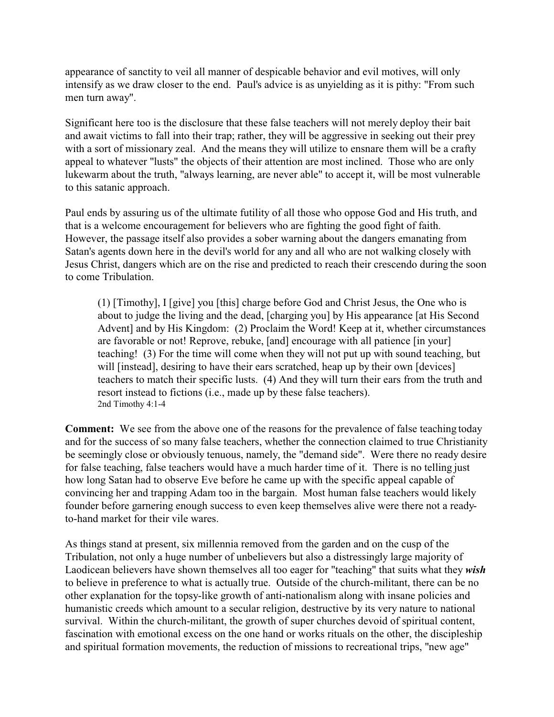appearance of sanctity to veil all manner of despicable behavior and evil motives, will only intensify as we draw closer to the end. Paul's advice is as unyielding as it is pithy: "From such men turn away".

Significant here too is the disclosure that these false teachers will not merely deploy their bait and await victims to fall into their trap; rather, they will be aggressive in seeking out their prey with a sort of missionary zeal. And the means they will utilize to ensnare them will be a crafty appeal to whatever "lusts" the objects of their attention are most inclined. Those who are only lukewarm about the truth, "always learning, are never able" to accept it, will be most vulnerable to this satanic approach.

Paul ends by assuring us of the ultimate futility of all those who oppose God and His truth, and that is a welcome encouragement for believers who are fighting the good fight of faith. However, the passage itself also provides a sober warning about the dangers emanating from Satan's agents down here in the devil's world for any and all who are not walking closely with Jesus Christ, dangers which are on the rise and predicted to reach their crescendo during the soon to come Tribulation.

(1) [Timothy], I [give] you [this] charge before God and Christ Jesus, the One who is about to judge the living and the dead, [charging you] by His appearance [at His Second Advent] and by His Kingdom: (2) Proclaim the Word! Keep at it, whether circumstances are favorable or not! Reprove, rebuke, [and] encourage with all patience [in your] teaching! (3) For the time will come when they will not put up with sound teaching, but will [instead], desiring to have their ears scratched, heap up by their own [devices] teachers to match their specific lusts. (4) And they will turn their ears from the truth and resort instead to fictions (i.e., made up by these false teachers). 2nd Timothy 4:1-4

**Comment:** We see from the above one of the reasons for the prevalence of false teaching today and for the success of so many false teachers, whether the connection claimed to true Christianity be seemingly close or obviously tenuous, namely, the "demand side". Were there no ready desire for false teaching, false teachers would have a much harder time of it. There is no telling just how long Satan had to observe Eve before he came up with the specific appeal capable of convincing her and trapping Adam too in the bargain. Most human false teachers would likely founder before garnering enough success to even keep themselves alive were there not a readyto-hand market for their vile wares.

As things stand at present, six millennia removed from the garden and on the cusp of the Tribulation, not only a huge number of unbelievers but also a distressingly large majority of Laodicean believers have shown themselves all too eager for "teaching" that suits what they *wish* to believe in preference to what is actually true. Outside of the church-militant, there can be no other explanation for the topsy-like growth of anti-nationalism along with insane policies and humanistic creeds which amount to a secular religion, destructive by its very nature to national survival. Within the church-militant, the growth of super churches devoid of spiritual content, fascination with emotional excess on the one hand or works rituals on the other, the discipleship and spiritual formation movements, the reduction of missions to recreational trips, "new age"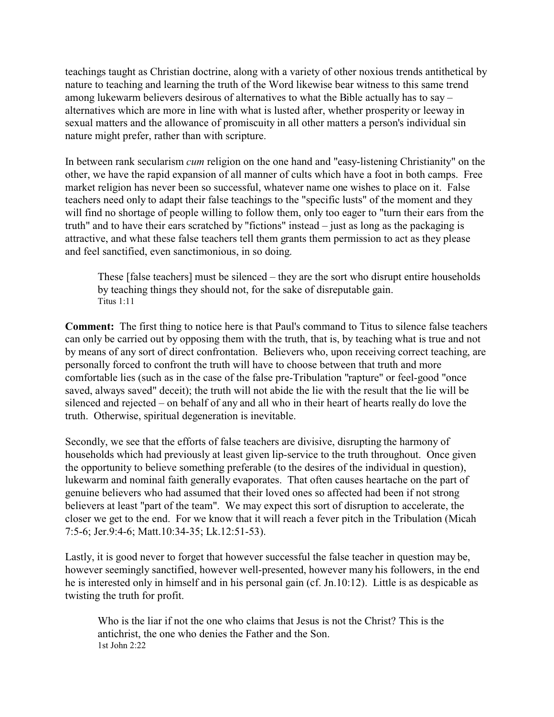teachings taught as Christian doctrine, along with a variety of other noxious trends antithetical by nature to teaching and learning the truth of the Word likewise bear witness to this same trend among lukewarm believers desirous of alternatives to what the Bible actually has to say – alternatives which are more in line with what is lusted after, whether prosperity or leeway in sexual matters and the allowance of promiscuity in all other matters a person's individual sin nature might prefer, rather than with scripture.

In between rank secularism *cum* religion on the one hand and "easy-listening Christianity" on the other, we have the rapid expansion of all manner of cults which have a foot in both camps. Free market religion has never been so successful, whatever name one wishes to place on it. False teachers need only to adapt their false teachings to the "specific lusts" of the moment and they will find no shortage of people willing to follow them, only too eager to "turn their ears from the truth" and to have their ears scratched by "fictions" instead – just as long as the packaging is attractive, and what these false teachers tell them grants them permission to act as they please and feel sanctified, even sanctimonious, in so doing.

These [false teachers] must be silenced – they are the sort who disrupt entire households by teaching things they should not, for the sake of disreputable gain. Titus  $1:11$ 

**Comment:** The first thing to notice here is that Paul's command to Titus to silence false teachers can only be carried out by opposing them with the truth, that is, by teaching what is true and not by means of any sort of direct confrontation. Believers who, upon receiving correct teaching, are personally forced to confront the truth will have to choose between that truth and more comfortable lies (such as in the case of the false pre-Tribulation "rapture" or feel-good "once saved, always saved" deceit); the truth will not abide the lie with the result that the lie will be silenced and rejected – on behalf of any and all who in their heart of hearts really do love the truth. Otherwise, spiritual degeneration is inevitable.

Secondly, we see that the efforts of false teachers are divisive, disrupting the harmony of households which had previously at least given lip-service to the truth throughout. Once given the opportunity to believe something preferable (to the desires of the individual in question), lukewarm and nominal faith generally evaporates. That often causes heartache on the part of genuine believers who had assumed that their loved ones so affected had been if not strong believers at least "part of the team". We may expect this sort of disruption to accelerate, the closer we get to the end. For we know that it will reach a fever pitch in the Tribulation (Micah 7:5-6; Jer.9:4-6; Matt.10:34-35; Lk.12:51-53).

Lastly, it is good never to forget that however successful the false teacher in question may be, however seemingly sanctified, however well-presented, however many his followers, in the end he is interested only in himself and in his personal gain (cf. Jn.10:12). Little is as despicable as twisting the truth for profit.

Who is the liar if not the one who claims that Jesus is not the Christ? This is the antichrist, the one who denies the Father and the Son. 1st John 2:22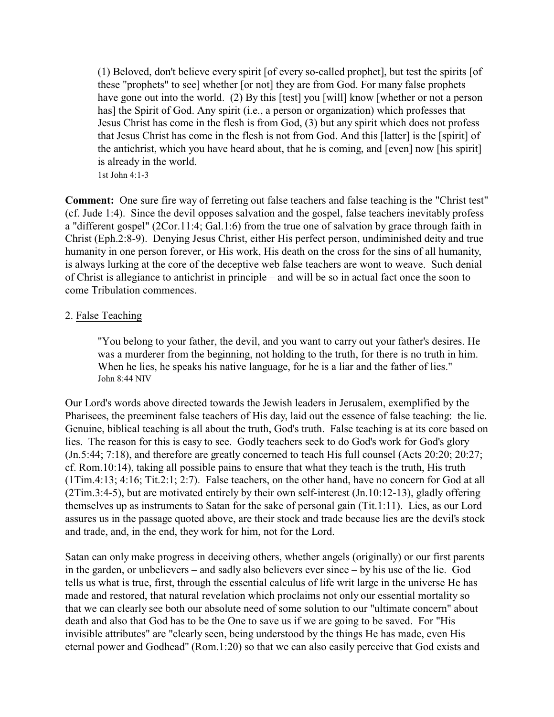(1) Beloved, don't believe every spirit [of every so-called prophet], but test the spirits [of these "prophets" to see] whether [or not] they are from God. For many false prophets have gone out into the world. (2) By this [test] you [will] know [whether or not a person has] the Spirit of God. Any spirit (i.e., a person or organization) which professes that Jesus Christ has come in the flesh is from God, (3) but any spirit which does not profess that Jesus Christ has come in the flesh is not from God. And this [latter] is the [spirit] of the antichrist, which you have heard about, that he is coming, and [even] now [his spirit] is already in the world. 1st John 4:1-3

**Comment:** One sure fire way of ferreting out false teachers and false teaching is the "Christ test" (cf. Jude 1:4). Since the devil opposes salvation and the gospel, false teachers inevitably profess a "different gospel" (2Cor.11:4; Gal.1:6) from the true one of salvation by grace through faith in Christ (Eph.2:8-9). Denying Jesus Christ, either His perfect person, undiminished deity and true humanity in one person forever, or His work, His death on the cross for the sins of all humanity, is always lurking at the core of the deceptive web false teachers are wont to weave. Such denial of Christ is allegiance to antichrist in principle – and will be so in actual fact once the soon to come Tribulation commences.

### 2. False Teaching

"You belong to your father, the devil, and you want to carry out your father's desires. He was a murderer from the beginning, not holding to the truth, for there is no truth in him. When he lies, he speaks his native language, for he is a liar and the father of lies." John 8:44 NIV

Our Lord's words above directed towards the Jewish leaders in Jerusalem, exemplified by the Pharisees, the preeminent false teachers of His day, laid out the essence of false teaching: the lie. Genuine, biblical teaching is all about the truth, God's truth. False teaching is at its core based on lies. The reason for this is easy to see. Godly teachers seek to do God's work for God's glory (Jn.5:44; 7:18), and therefore are greatly concerned to teach His full counsel (Acts 20:20; 20:27; cf. Rom.10:14), taking all possible pains to ensure that what they teach is the truth, His truth (1Tim.4:13; 4:16; Tit.2:1; 2:7). False teachers, on the other hand, have no concern for God at all (2Tim.3:4-5), but are motivated entirely by their own self-interest (Jn.10:12-13), gladly offering themselves up as instruments to Satan for the sake of personal gain (Tit.1:11). Lies, as our Lord assures us in the passage quoted above, are their stock and trade because lies are the devil's stock and trade, and, in the end, they work for him, not for the Lord.

Satan can only make progress in deceiving others, whether angels (originally) or our first parents in the garden, or unbelievers – and sadly also believers ever since – by his use of the lie. God tells us what is true, first, through the essential calculus of life writ large in the universe He has made and restored, that natural revelation which proclaims not only our essential mortality so that we can clearly see both our absolute need of some solution to our "ultimate concern" about death and also that God has to be the One to save us if we are going to be saved. For "His invisible attributes" are "clearly seen, being understood by the things He has made, even His eternal power and Godhead" (Rom.1:20) so that we can also easily perceive that God exists and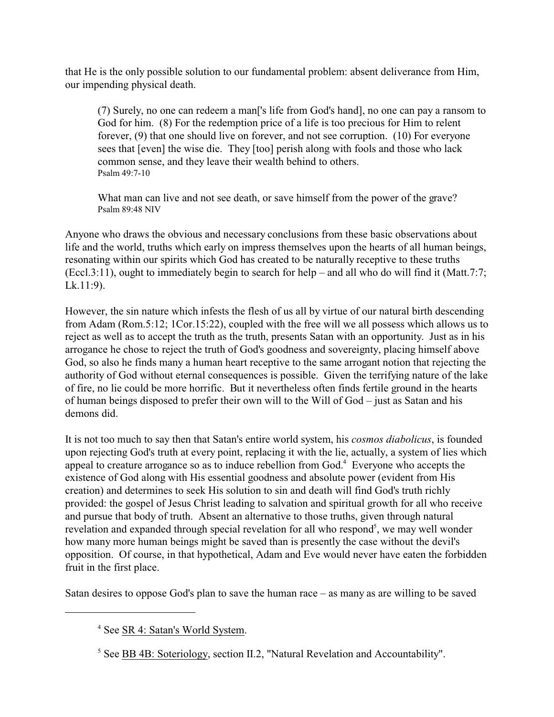that He is the only possible solution to our fundamental problem: absent deliverance from Him, our impending physical death.

(7) Surely, no one can redeem a man['s life from God's hand], no one can pay a ransom to God for him. (8) For the redemption price of a life is too precious for Him to relent forever, (9) that one should live on forever, and not see corruption. (10) For everyone sees that [even] the wise die. They [too] perish along with fools and those who lack common sense, and they leave their wealth behind to others. Psalm 49:7-10

What man can live and not see death, or save himself from the power of the grave? Psalm 89:48 NIV

Anyone who draws the obvious and necessary conclusions from these basic observations about life and the world, truths which early on impress themselves upon the hearts of all human beings, resonating within our spirits which God has created to be naturally receptive to these truths (Eccl.3:11), ought to immediately begin to search for help – and all who do will find it (Matt.7:7; Lk.11:9).

However, the sin nature which infests the flesh of us all by virtue of our natural birth descending from Adam (Rom.5:12; 1Cor.15:22), coupled with the free will we all possess which allows us to reject as well as to accept the truth as the truth, presents Satan with an opportunity. Just as in his arrogance he chose to reject the truth of God's goodness and sovereignty, placing himself above God, so also he finds many a human heart receptive to the same arrogant notion that rejecting the authority of God without eternal consequences is possible. Given the terrifying nature of the lake of fire, no lie could be more horrific. But it nevertheless often finds fertile ground in the hearts of human beings disposed to prefer their own will to the Will of God – just as Satan and his demons did.

It is not too much to say then that Satan's entire world system, his *cosmos diabolicus*, is founded upon rejecting God's truth at every point, replacing it with the lie, actually, a system of lies which appeal to creature arrogance so as to induce rebellion from God.<sup>4</sup> Everyone who accepts the existence of God along with His essential goodness and absolute power (evident from His creation) and determines to seek His solution to sin and death will find God's truth richly provided: the gospel of Jesus Christ leading to salvation and spiritual growth for all who receive and pursue that body of truth. Absent an alternative to those truths, given through natural revelation and expanded through special revelation for all who respond<sup>5</sup>, we may well wonder how many more human beings might be saved than is presently the case without the devil's opposition. Of course, in that hypothetical, Adam and Eve would never have eaten the forbidden fruit in the first place.

Satan desires to oppose God's plan to save the human race – as many as are willing to be saved

<sup>&</sup>lt;sup>4</sup> See SR 4: Satan's World System.

<sup>&</sup>lt;sup>5</sup> See **BB 4B: Soteriology**, section II.2, "Natural Revelation and Accountability".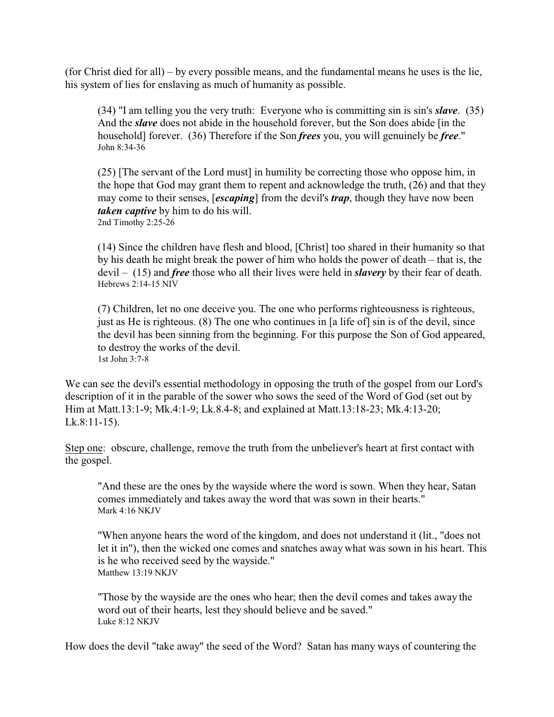(for Christ died for all) – by every possible means, and the fundamental means he uses is the lie, his system of lies for enslaving as much of humanity as possible.

(34) "I am telling you the very truth: Everyone who is committing sin is sin's *slave*. (35) And the *slave* does not abide in the household forever, but the Son does abide [in the household] forever. (36) Therefore if the Son *frees* you, you will genuinely be *free*." John 8:34-36

(25) [The servant of the Lord must] in humility be correcting those who oppose him, in the hope that God may grant them to repent and acknowledge the truth, (26) and that they may come to their senses, [*escaping*] from the devil's *trap*, though they have now been *taken captive* by him to do his will. 2nd Timothy 2:25-26

(14) Since the children have flesh and blood, [Christ] too shared in their humanity so that by his death he might break the power of him who holds the power of death – that is, the devil – (15) and *free* those who all their lives were held in *slavery* by their fear of death. Hebrews 2:14-15 NIV

(7) Children, let no one deceive you. The one who performs righteousness is righteous, just as He is righteous. (8) The one who continues in [a life of] sin is of the devil, since the devil has been sinning from the beginning. For this purpose the Son of God appeared, to destroy the works of the devil. 1st John 3:7-8

We can see the devil's essential methodology in opposing the truth of the gospel from our Lord's description of it in the parable of the sower who sows the seed of the Word of God (set out by Him at Matt.13:1-9; Mk.4:1-9; Lk.8.4-8; and explained at Matt.13:18-23; Mk.4:13-20; Lk.8:11-15).

Step one: obscure, challenge, remove the truth from the unbeliever's heart at first contact with the gospel.

"And these are the ones by the wayside where the word is sown. When they hear, Satan comes immediately and takes away the word that was sown in their hearts." Mark 4:16 NKJV

"When anyone hears the word of the kingdom, and does not understand it (lit., "does not let it in"), then the wicked one comes and snatches away what was sown in his heart. This is he who received seed by the wayside." Matthew 13:19 NKJV

"Those by the wayside are the ones who hear; then the devil comes and takes away the word out of their hearts, lest they should believe and be saved." Luke 8:12 NKJV

How does the devil "take away" the seed of the Word? Satan has many ways of countering the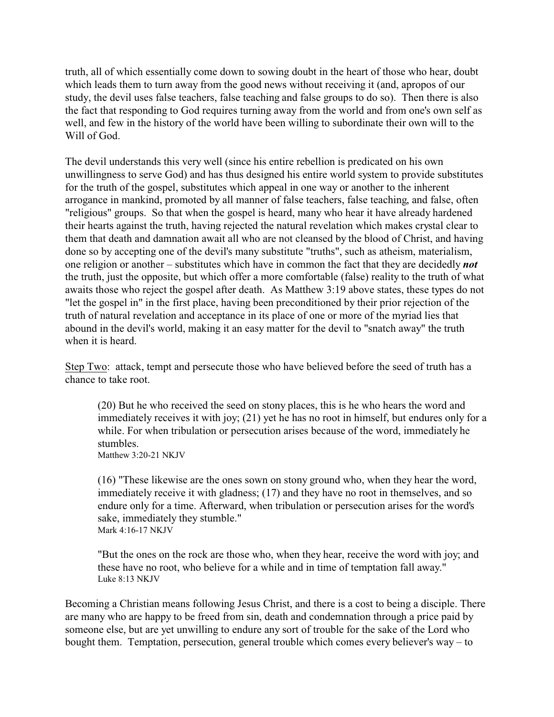truth, all of which essentially come down to sowing doubt in the heart of those who hear, doubt which leads them to turn away from the good news without receiving it (and, apropos of our study, the devil uses false teachers, false teaching and false groups to do so). Then there is also the fact that responding to God requires turning away from the world and from one's own self as well, and few in the history of the world have been willing to subordinate their own will to the Will of God.

The devil understands this very well (since his entire rebellion is predicated on his own unwillingness to serve God) and has thus designed his entire world system to provide substitutes for the truth of the gospel, substitutes which appeal in one way or another to the inherent arrogance in mankind, promoted by all manner of false teachers, false teaching, and false, often "religious" groups. So that when the gospel is heard, many who hear it have already hardened their hearts against the truth, having rejected the natural revelation which makes crystal clear to them that death and damnation await all who are not cleansed by the blood of Christ, and having done so by accepting one of the devil's many substitute "truths", such as atheism, materialism, one religion or another – substitutes which have in common the fact that they are decidedly *not* the truth, just the opposite, but which offer a more comfortable (false) reality to the truth of what awaits those who reject the gospel after death. As Matthew 3:19 above states, these types do not "let the gospel in" in the first place, having been preconditioned by their prior rejection of the truth of natural revelation and acceptance in its place of one or more of the myriad lies that abound in the devil's world, making it an easy matter for the devil to "snatch away" the truth when it is heard.

Step Two: attack, tempt and persecute those who have believed before the seed of truth has a chance to take root.

(20) But he who received the seed on stony places, this is he who hears the word and immediately receives it with joy; (21) yet he has no root in himself, but endures only for a while. For when tribulation or persecution arises because of the word, immediately he stumbles.

Matthew 3:20-21 NKJV

(16) "These likewise are the ones sown on stony ground who, when they hear the word, immediately receive it with gladness; (17) and they have no root in themselves, and so endure only for a time. Afterward, when tribulation or persecution arises for the word's sake, immediately they stumble." Mark 4:16-17 NKJV

"But the ones on the rock are those who, when they hear, receive the word with joy; and these have no root, who believe for a while and in time of temptation fall away." Luke 8:13 NKJV

Becoming a Christian means following Jesus Christ, and there is a cost to being a disciple. There are many who are happy to be freed from sin, death and condemnation through a price paid by someone else, but are yet unwilling to endure any sort of trouble for the sake of the Lord who bought them. Temptation, persecution, general trouble which comes every believer's way – to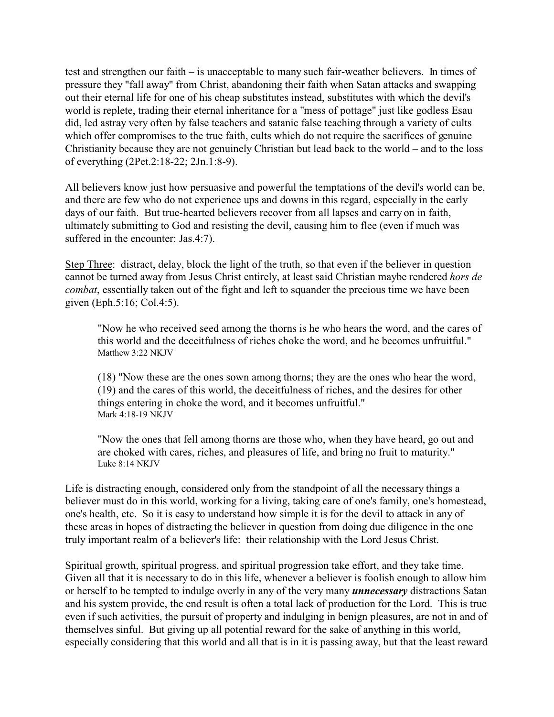test and strengthen our faith – is unacceptable to many such fair-weather believers. In times of pressure they "fall away" from Christ, abandoning their faith when Satan attacks and swapping out their eternal life for one of his cheap substitutes instead, substitutes with which the devil's world is replete, trading their eternal inheritance for a "mess of pottage" just like godless Esau did, led astray very often by false teachers and satanic false teaching through a variety of cults which offer compromises to the true faith, cults which do not require the sacrifices of genuine Christianity because they are not genuinely Christian but lead back to the world – and to the loss of everything (2Pet.2:18-22; 2Jn.1:8-9).

All believers know just how persuasive and powerful the temptations of the devil's world can be, and there are few who do not experience ups and downs in this regard, especially in the early days of our faith. But true-hearted believers recover from all lapses and carry on in faith, ultimately submitting to God and resisting the devil, causing him to flee (even if much was suffered in the encounter: Jas.4:7).

Step Three: distract, delay, block the light of the truth, so that even if the believer in question cannot be turned away from Jesus Christ entirely, at least said Christian maybe rendered *hors de combat*, essentially taken out of the fight and left to squander the precious time we have been given (Eph.5:16; Col.4:5).

"Now he who received seed among the thorns is he who hears the word, and the cares of this world and the deceitfulness of riches choke the word, and he becomes unfruitful." Matthew 3:22 NKJV

(18) "Now these are the ones sown among thorns; they are the ones who hear the word, (19) and the cares of this world, the deceitfulness of riches, and the desires for other things entering in choke the word, and it becomes unfruitful." Mark 4:18-19 NKJV

"Now the ones that fell among thorns are those who, when they have heard, go out and are choked with cares, riches, and pleasures of life, and bring no fruit to maturity." Luke 8:14 NKJV

Life is distracting enough, considered only from the standpoint of all the necessary things a believer must do in this world, working for a living, taking care of one's family, one's homestead, one's health, etc. So it is easy to understand how simple it is for the devil to attack in any of these areas in hopes of distracting the believer in question from doing due diligence in the one truly important realm of a believer's life: their relationship with the Lord Jesus Christ.

Spiritual growth, spiritual progress, and spiritual progression take effort, and they take time. Given all that it is necessary to do in this life, whenever a believer is foolish enough to allow him or herself to be tempted to indulge overly in any of the very many *unnecessary* distractions Satan and his system provide, the end result is often a total lack of production for the Lord. This is true even if such activities, the pursuit of property and indulging in benign pleasures, are not in and of themselves sinful. But giving up all potential reward for the sake of anything in this world, especially considering that this world and all that is in it is passing away, but that the least reward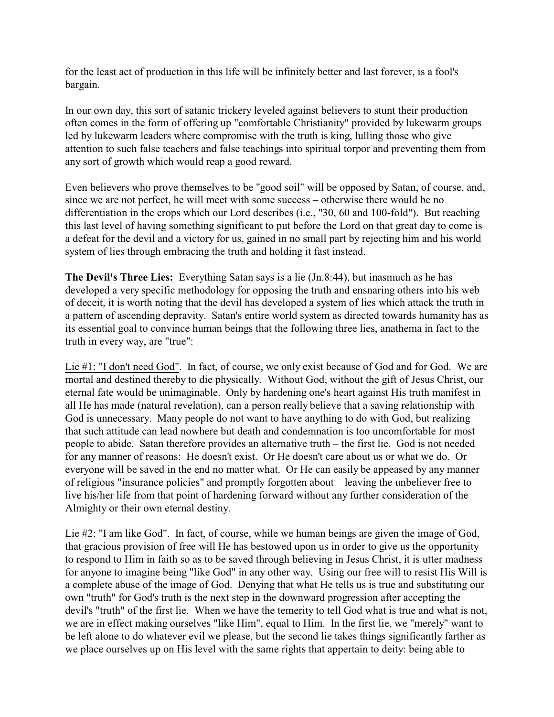for the least act of production in this life will be infinitely better and last forever, is a fool's bargain.

In our own day, this sort of satanic trickery leveled against believers to stunt their production often comes in the form of offering up "comfortable Christianity" provided by lukewarm groups led by lukewarm leaders where compromise with the truth is king, lulling those who give attention to such false teachers and false teachings into spiritual torpor and preventing them from any sort of growth which would reap a good reward.

Even believers who prove themselves to be "good soil" will be opposed by Satan, of course, and, since we are not perfect, he will meet with some success – otherwise there would be no differentiation in the crops which our Lord describes (i.e., "30, 60 and 100-fold"). But reaching this last level of having something significant to put before the Lord on that great day to come is a defeat for the devil and a victory for us, gained in no small part by rejecting him and his world system of lies through embracing the truth and holding it fast instead.

**The Devil's Three Lies:** Everything Satan says is a lie (Jn.8:44), but inasmuch as he has developed a very specific methodology for opposing the truth and ensnaring others into his web of deceit, it is worth noting that the devil has developed a system of lies which attack the truth in a pattern of ascending depravity. Satan's entire world system as directed towards humanity has as its essential goal to convince human beings that the following three lies, anathema in fact to the truth in every way, are "true":

Lie #1: "I don't need God". In fact, of course, we only exist because of God and for God. We are mortal and destined thereby to die physically. Without God, without the gift of Jesus Christ, our eternal fate would be unimaginable. Only by hardening one's heart against His truth manifest in all He has made (natural revelation), can a person really believe that a saving relationship with God is unnecessary. Many people do not want to have anything to do with God, but realizing that such attitude can lead nowhere but death and condemnation is too uncomfortable for most people to abide. Satan therefore provides an alternative truth – the first lie. God is not needed for any manner of reasons: He doesn't exist. Or He doesn't care about us or what we do. Or everyone will be saved in the end no matter what. Or He can easily be appeased by any manner of religious "insurance policies" and promptly forgotten about – leaving the unbeliever free to live his/her life from that point of hardening forward without any further consideration of the Almighty or their own eternal destiny.

Lie #2: "I am like God". In fact, of course, while we human beings are given the image of God, that gracious provision of free will He has bestowed upon us in order to give us the opportunity to respond to Him in faith so as to be saved through believing in Jesus Christ, it is utter madness for anyone to imagine being "like God" in any other way. Using our free will to resist His Will is a complete abuse of the image of God. Denying that what He tells us is true and substituting our own "truth" for God's truth is the next step in the downward progression after accepting the devil's "truth" of the first lie. When we have the temerity to tell God what is true and what is not, we are in effect making ourselves "like Him", equal to Him. In the first lie, we "merely" want to be left alone to do whatever evil we please, but the second lie takes things significantly farther as we place ourselves up on His level with the same rights that appertain to deity: being able to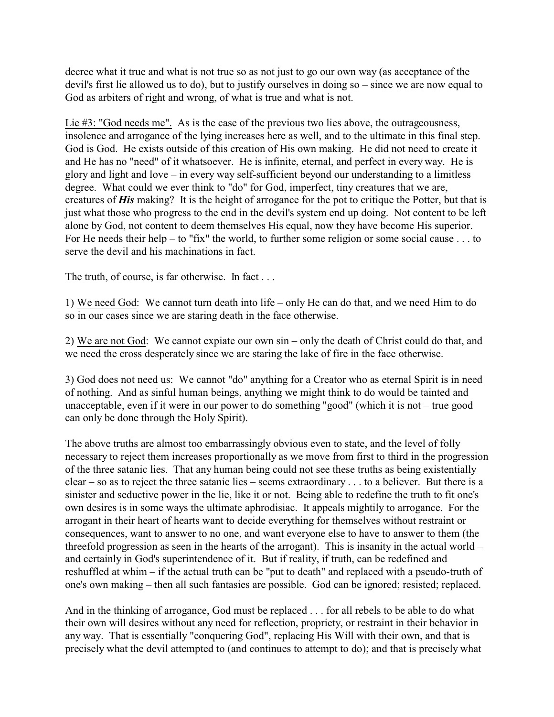decree what it true and what is not true so as not just to go our own way (as acceptance of the devil's first lie allowed us to do), but to justify ourselves in doing so – since we are now equal to God as arbiters of right and wrong, of what is true and what is not.

Lie #3: "God needs me". As is the case of the previous two lies above, the outrageousness, insolence and arrogance of the lying increases here as well, and to the ultimate in this final step. God is God. He exists outside of this creation of His own making. He did not need to create it and He has no "need" of it whatsoever. He is infinite, eternal, and perfect in every way. He is glory and light and love – in every way self-sufficient beyond our understanding to a limitless degree. What could we ever think to "do" for God, imperfect, tiny creatures that we are, creatures of *His* making? It is the height of arrogance for the pot to critique the Potter, but that is just what those who progress to the end in the devil's system end up doing. Not content to be left alone by God, not content to deem themselves His equal, now they have become His superior. For He needs their help – to "fix" the world, to further some religion or some social cause . . . to serve the devil and his machinations in fact.

The truth, of course, is far otherwise. In fact . . .

1) We need God: We cannot turn death into life – only He can do that, and we need Him to do so in our cases since we are staring death in the face otherwise.

2) We are not God: We cannot expiate our own sin – only the death of Christ could do that, and we need the cross desperately since we are staring the lake of fire in the face otherwise.

3) God does not need us: We cannot "do" anything for a Creator who as eternal Spirit is in need of nothing. And as sinful human beings, anything we might think to do would be tainted and unacceptable, even if it were in our power to do something "good" (which it is not – true good can only be done through the Holy Spirit).

The above truths are almost too embarrassingly obvious even to state, and the level of folly necessary to reject them increases proportionally as we move from first to third in the progression of the three satanic lies. That any human being could not see these truths as being existentially clear – so as to reject the three satanic lies – seems extraordinary . . . to a believer. But there is a sinister and seductive power in the lie, like it or not. Being able to redefine the truth to fit one's own desires is in some ways the ultimate aphrodisiac. It appeals mightily to arrogance. For the arrogant in their heart of hearts want to decide everything for themselves without restraint or consequences, want to answer to no one, and want everyone else to have to answer to them (the threefold progression as seen in the hearts of the arrogant). This is insanity in the actual world – and certainly in God's superintendence of it. But if reality, if truth, can be redefined and reshuffled at whim – if the actual truth can be "put to death" and replaced with a pseudo-truth of one's own making – then all such fantasies are possible. God can be ignored; resisted; replaced.

And in the thinking of arrogance, God must be replaced . . . for all rebels to be able to do what their own will desires without any need for reflection, propriety, or restraint in their behavior in any way. That is essentially "conquering God", replacing His Will with their own, and that is precisely what the devil attempted to (and continues to attempt to do); and that is precisely what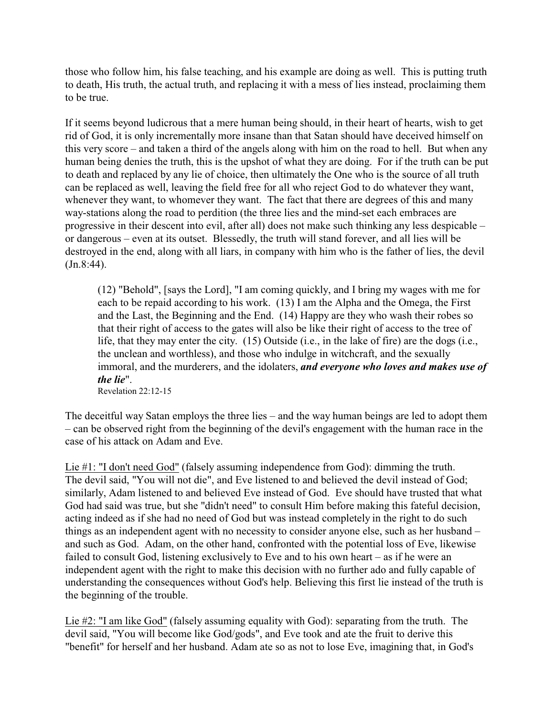those who follow him, his false teaching, and his example are doing as well. This is putting truth to death, His truth, the actual truth, and replacing it with a mess of lies instead, proclaiming them to be true.

If it seems beyond ludicrous that a mere human being should, in their heart of hearts, wish to get rid of God, it is only incrementally more insane than that Satan should have deceived himself on this very score – and taken a third of the angels along with him on the road to hell. But when any human being denies the truth, this is the upshot of what they are doing. For if the truth can be put to death and replaced by any lie of choice, then ultimately the One who is the source of all truth can be replaced as well, leaving the field free for all who reject God to do whatever they want, whenever they want, to whomever they want. The fact that there are degrees of this and many way-stations along the road to perdition (the three lies and the mind-set each embraces are progressive in their descent into evil, after all) does not make such thinking any less despicable – or dangerous – even at its outset. Blessedly, the truth will stand forever, and all lies will be destroyed in the end, along with all liars, in company with him who is the father of lies, the devil (Jn.8:44).

(12) "Behold", [says the Lord], "I am coming quickly, and I bring my wages with me for each to be repaid according to his work. (13) I am the Alpha and the Omega, the First and the Last, the Beginning and the End. (14) Happy are they who wash their robes so that their right of access to the gates will also be like their right of access to the tree of life, that they may enter the city. (15) Outside (i.e., in the lake of fire) are the dogs (i.e., the unclean and worthless), and those who indulge in witchcraft, and the sexually immoral, and the murderers, and the idolaters, *and everyone who loves and makes use of the lie*". Revelation 22:12-15

The deceitful way Satan employs the three lies – and the way human beings are led to adopt them – can be observed right from the beginning of the devil's engagement with the human race in the case of his attack on Adam and Eve.

Lie #1: "I don't need God" (falsely assuming independence from God): dimming the truth. The devil said, "You will not die", and Eve listened to and believed the devil instead of God; similarly, Adam listened to and believed Eve instead of God. Eve should have trusted that what God had said was true, but she "didn't need" to consult Him before making this fateful decision, acting indeed as if she had no need of God but was instead completely in the right to do such things as an independent agent with no necessity to consider anyone else, such as her husband – and such as God. Adam, on the other hand, confronted with the potential loss of Eve, likewise failed to consult God, listening exclusively to Eve and to his own heart – as if he were an independent agent with the right to make this decision with no further ado and fully capable of understanding the consequences without God's help. Believing this first lie instead of the truth is the beginning of the trouble.

Lie #2: "I am like God" (falsely assuming equality with God): separating from the truth. The devil said, "You will become like God/gods", and Eve took and ate the fruit to derive this "benefit" for herself and her husband. Adam ate so as not to lose Eve, imagining that, in God's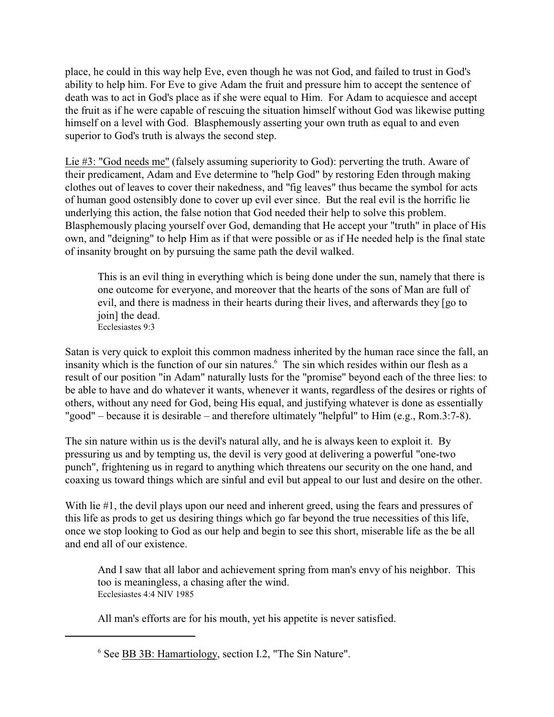place, he could in this way help Eve, even though he was not God, and failed to trust in God's ability to help him. For Eve to give Adam the fruit and pressure him to accept the sentence of death was to act in God's place as if she were equal to Him. For Adam to acquiesce and accept the fruit as if he were capable of rescuing the situation himself without God was likewise putting himself on a level with God. Blasphemously asserting your own truth as equal to and even superior to God's truth is always the second step.

Lie #3: "God needs me" (falsely assuming superiority to God): perverting the truth. Aware of their predicament, Adam and Eve determine to "help God" by restoring Eden through making clothes out of leaves to cover their nakedness, and "fig leaves" thus became the symbol for acts of human good ostensibly done to cover up evil ever since. But the real evil is the horrific lie underlying this action, the false notion that God needed their help to solve this problem. Blasphemously placing yourself over God, demanding that He accept your "truth" in place of His own, and "deigning" to help Him as if that were possible or as if He needed help is the final state of insanity brought on by pursuing the same path the devil walked.

This is an evil thing in everything which is being done under the sun, namely that there is one outcome for everyone, and moreover that the hearts of the sons of Man are full of evil, and there is madness in their hearts during their lives, and afterwards they [go to join] the dead. Ecclesiastes 9:3

Satan is very quick to exploit this common madness inherited by the human race since the fall, an insanity which is the function of our sin natures.<sup>6</sup> The sin which resides within our flesh as a result of our position "in Adam" naturally lusts for the "promise" beyond each of the three lies: to be able to have and do whatever it wants, whenever it wants, regardless of the desires or rights of others, without any need for God, being His equal, and justifying whatever is done as essentially "good" – because it is desirable – and therefore ultimately "helpful" to Him (e.g., Rom.3:7-8).

The sin nature within us is the devil's natural ally, and he is always keen to exploit it. By pressuring us and by tempting us, the devil is very good at delivering a powerful "one-two punch", frightening us in regard to anything which threatens our security on the one hand, and coaxing us toward things which are sinful and evil but appeal to our lust and desire on the other.

With lie #1, the devil plays upon our need and inherent greed, using the fears and pressures of this life as prods to get us desiring things which go far beyond the true necessities of this life, once we stop looking to God as our help and begin to see this short, miserable life as the be all and end all of our existence.

And I saw that all labor and achievement spring from man's envy of his neighbor. This too is meaningless, a chasing after the wind. Ecclesiastes 4:4 NIV 1985

All man's efforts are for his mouth, yet his appetite is never satisfied.

<sup>&</sup>lt;sup>6</sup> See **BB 3B: Hamartiology**, section I.2, "The Sin Nature".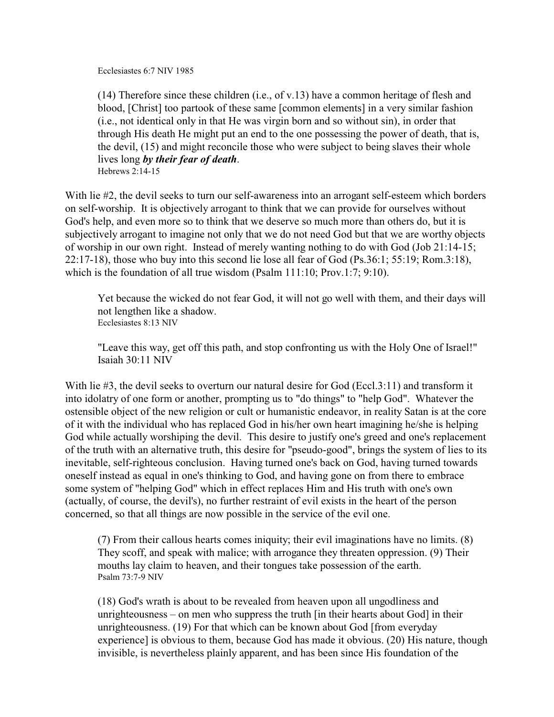Ecclesiastes 6:7 NIV 1985

(14) Therefore since these children (i.e., of v.13) have a common heritage of flesh and blood, [Christ] too partook of these same [common elements] in a very similar fashion (i.e., not identical only in that He was virgin born and so without sin), in order that through His death He might put an end to the one possessing the power of death, that is, the devil, (15) and might reconcile those who were subject to being slaves their whole lives long *by their fear of death*. Hebrews 2:14-15

With lie #2, the devil seeks to turn our self-awareness into an arrogant self-esteem which borders on self-worship. It is objectively arrogant to think that we can provide for ourselves without God's help, and even more so to think that we deserve so much more than others do, but it is subjectively arrogant to imagine not only that we do not need God but that we are worthy objects of worship in our own right. Instead of merely wanting nothing to do with God (Job 21:14-15; 22:17-18), those who buy into this second lie lose all fear of God (Ps.36:1; 55:19; Rom.3:18), which is the foundation of all true wisdom (Psalm 111:10; Prov.1:7; 9:10).

Yet because the wicked do not fear God, it will not go well with them, and their days will not lengthen like a shadow. Ecclesiastes 8:13 NIV

"Leave this way, get off this path, and stop confronting us with the Holy One of Israel!" Isaiah 30:11 NIV

With lie #3, the devil seeks to overturn our natural desire for God (Eccl.3:11) and transform it into idolatry of one form or another, prompting us to "do things" to "help God". Whatever the ostensible object of the new religion or cult or humanistic endeavor, in reality Satan is at the core of it with the individual who has replaced God in his/her own heart imagining he/she is helping God while actually worshiping the devil. This desire to justify one's greed and one's replacement of the truth with an alternative truth, this desire for "pseudo-good", brings the system of lies to its inevitable, self-righteous conclusion. Having turned one's back on God, having turned towards oneself instead as equal in one's thinking to God, and having gone on from there to embrace some system of "helping God" which in effect replaces Him and His truth with one's own (actually, of course, the devil's), no further restraint of evil exists in the heart of the person concerned, so that all things are now possible in the service of the evil one.

(7) From their callous hearts comes iniquity; their evil imaginations have no limits. (8) They scoff, and speak with malice; with arrogance they threaten oppression. (9) Their mouths lay claim to heaven, and their tongues take possession of the earth. Psalm 73:7-9 NIV

(18) God's wrath is about to be revealed from heaven upon all ungodliness and unrighteousness – on men who suppress the truth [in their hearts about God] in their unrighteousness. (19) For that which can be known about God [from everyday experience] is obvious to them, because God has made it obvious. (20) His nature, though invisible, is nevertheless plainly apparent, and has been since His foundation of the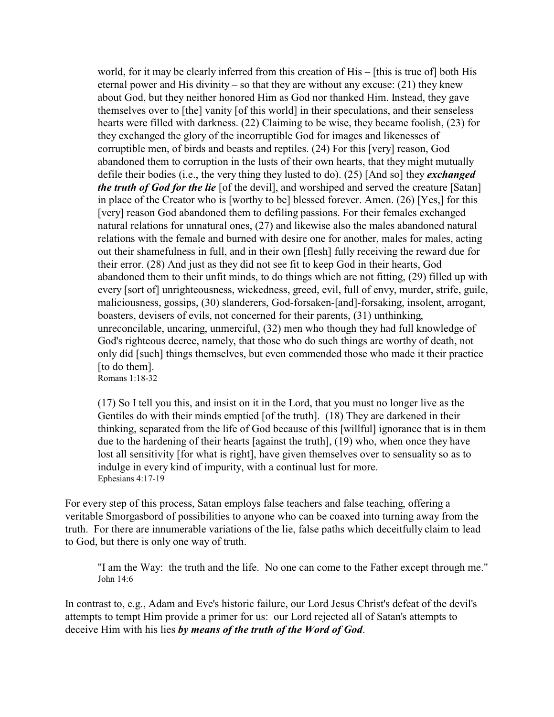world, for it may be clearly inferred from this creation of His – [this is true of] both His eternal power and His divinity – so that they are without any excuse: (21) they knew about God, but they neither honored Him as God nor thanked Him. Instead, they gave themselves over to [the] vanity [of this world] in their speculations, and their senseless hearts were filled with darkness. (22) Claiming to be wise, they became foolish, (23) for they exchanged the glory of the incorruptible God for images and likenesses of corruptible men, of birds and beasts and reptiles. (24) For this [very] reason, God abandoned them to corruption in the lusts of their own hearts, that they might mutually defile their bodies (i.e., the very thing they lusted to do). (25) [And so] they *exchanged the truth of God for the lie* [of the devil], and worshiped and served the creature [Satan] in place of the Creator who is [worthy to be] blessed forever. Amen. (26) [Yes,] for this [very] reason God abandoned them to defiling passions. For their females exchanged natural relations for unnatural ones, (27) and likewise also the males abandoned natural relations with the female and burned with desire one for another, males for males, acting out their shamefulness in full, and in their own [flesh] fully receiving the reward due for their error. (28) And just as they did not see fit to keep God in their hearts, God abandoned them to their unfit minds, to do things which are not fitting, (29) filled up with every [sort of] unrighteousness, wickedness, greed, evil, full of envy, murder, strife, guile, maliciousness, gossips, (30) slanderers, God-forsaken-[and]-forsaking, insolent, arrogant, boasters, devisers of evils, not concerned for their parents, (31) unthinking, unreconcilable, uncaring, unmerciful, (32) men who though they had full knowledge of God's righteous decree, namely, that those who do such things are worthy of death, not only did [such] things themselves, but even commended those who made it their practice [to do them]. Romans 1:18-32

(17) So I tell you this, and insist on it in the Lord, that you must no longer live as the Gentiles do with their minds emptied [of the truth]. (18) They are darkened in their thinking, separated from the life of God because of this [willful] ignorance that is in them due to the hardening of their hearts [against the truth], (19) who, when once they have lost all sensitivity [for what is right], have given themselves over to sensuality so as to indulge in every kind of impurity, with a continual lust for more. Ephesians 4:17-19

For every step of this process, Satan employs false teachers and false teaching, offering a veritable Smorgasbord of possibilities to anyone who can be coaxed into turning away from the truth. For there are innumerable variations of the lie, false paths which deceitfully claim to lead to God, but there is only one way of truth.

"I am the Way: the truth and the life. No one can come to the Father except through me." John 14:6

In contrast to, e.g., Adam and Eve's historic failure, our Lord Jesus Christ's defeat of the devil's attempts to tempt Him provide a primer for us: our Lord rejected all of Satan's attempts to deceive Him with his lies *by means of the truth of the Word of God*.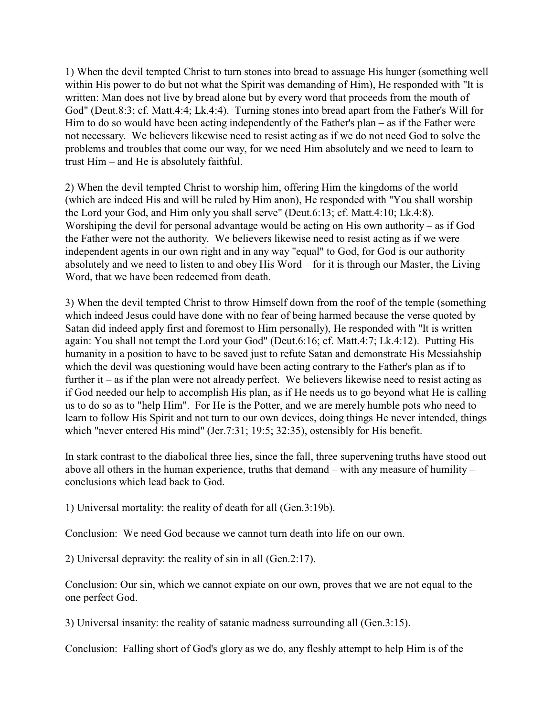1) When the devil tempted Christ to turn stones into bread to assuage His hunger (something well within His power to do but not what the Spirit was demanding of Him), He responded with "It is written: Man does not live by bread alone but by every word that proceeds from the mouth of God" (Deut.8:3; cf. Matt.4:4; Lk.4:4). Turning stones into bread apart from the Father's Will for Him to do so would have been acting independently of the Father's plan – as if the Father were not necessary. We believers likewise need to resist acting as if we do not need God to solve the problems and troubles that come our way, for we need Him absolutely and we need to learn to trust Him – and He is absolutely faithful.

2) When the devil tempted Christ to worship him, offering Him the kingdoms of the world (which are indeed His and will be ruled by Him anon), He responded with "You shall worship the Lord your God, and Him only you shall serve" (Deut.6:13; cf. Matt.4:10; Lk.4:8). Worshiping the devil for personal advantage would be acting on His own authority – as if God the Father were not the authority. We believers likewise need to resist acting as if we were independent agents in our own right and in any way "equal" to God, for God is our authority absolutely and we need to listen to and obey His Word – for it is through our Master, the Living Word, that we have been redeemed from death.

3) When the devil tempted Christ to throw Himself down from the roof of the temple (something which indeed Jesus could have done with no fear of being harmed because the verse quoted by Satan did indeed apply first and foremost to Him personally), He responded with "It is written again: You shall not tempt the Lord your God" (Deut.6:16; cf. Matt.4:7; Lk.4:12). Putting His humanity in a position to have to be saved just to refute Satan and demonstrate His Messiahship which the devil was questioning would have been acting contrary to the Father's plan as if to further it – as if the plan were not already perfect. We believers likewise need to resist acting as if God needed our help to accomplish His plan, as if He needs us to go beyond what He is calling us to do so as to "help Him". For He is the Potter, and we are merely humble pots who need to learn to follow His Spirit and not turn to our own devices, doing things He never intended, things which "never entered His mind" (Jer.7:31; 19:5; 32:35), ostensibly for His benefit.

In stark contrast to the diabolical three lies, since the fall, three supervening truths have stood out above all others in the human experience, truths that demand – with any measure of humility – conclusions which lead back to God.

1) Universal mortality: the reality of death for all (Gen.3:19b).

Conclusion: We need God because we cannot turn death into life on our own.

2) Universal depravity: the reality of sin in all (Gen.2:17).

Conclusion: Our sin, which we cannot expiate on our own, proves that we are not equal to the one perfect God.

3) Universal insanity: the reality of satanic madness surrounding all (Gen.3:15).

Conclusion: Falling short of God's glory as we do, any fleshly attempt to help Him is of the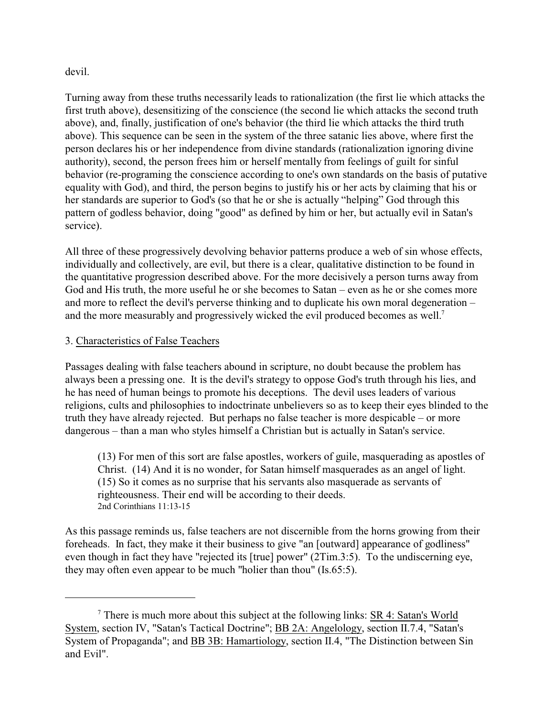### devil.

Turning away from these truths necessarily leads to rationalization (the first lie which attacks the first truth above), desensitizing of the conscience (the second lie which attacks the second truth above), and, finally, justification of one's behavior (the third lie which attacks the third truth above). This sequence can be seen in the system of the three satanic lies above, where first the person declares his or her independence from divine standards (rationalization ignoring divine authority), second, the person frees him or herself mentally from feelings of guilt for sinful behavior (re-programing the conscience according to one's own standards on the basis of putative equality with God), and third, the person begins to justify his or her acts by claiming that his or her standards are superior to God's (so that he or she is actually "helping" God through this pattern of godless behavior, doing "good" as defined by him or her, but actually evil in Satan's service).

All three of these progressively devolving behavior patterns produce a web of sin whose effects, individually and collectively, are evil, but there is a clear, qualitative distinction to be found in the quantitative progression described above. For the more decisively a person turns away from God and His truth, the more useful he or she becomes to Satan – even as he or she comes more and more to reflect the devil's perverse thinking and to duplicate his own moral degeneration – and the more measurably and progressively wicked the evil produced becomes as well.<sup>7</sup>

# 3. Characteristics of False Teachers

Passages dealing with false teachers abound in scripture, no doubt because the problem has always been a pressing one. It is the devil's strategy to oppose God's truth through his lies, and he has need of human beings to promote his deceptions. The devil uses leaders of various religions, cults and philosophies to indoctrinate unbelievers so as to keep their eyes blinded to the truth they have already rejected. But perhaps no false teacher is more despicable – or more dangerous – than a man who styles himself a Christian but is actually in Satan's service.

(13) For men of this sort are false apostles, workers of guile, masquerading as apostles of Christ. (14) And it is no wonder, for Satan himself masquerades as an angel of light. (15) So it comes as no surprise that his servants also masquerade as servants of righteousness. Their end will be according to their deeds. 2nd Corinthians 11:13-15

As this passage reminds us, false teachers are not discernible from the horns growing from their foreheads. In fact, they make it their business to give "an [outward] appearance of godliness" even though in fact they have "rejected its [true] power" (2Tim.3:5). To the undiscerning eye, they may often even appear to be much "holier than thou" (Is.65:5).

There is much more about this subject at the following links:  $SR 4$ : Satan's World System, section IV, "Satan's Tactical Doctrine"; BB 2A: Angelology, section II.7.4, "Satan's System of Propaganda"; and BB 3B: Hamartiology, section II.4, "The Distinction between Sin and Evil".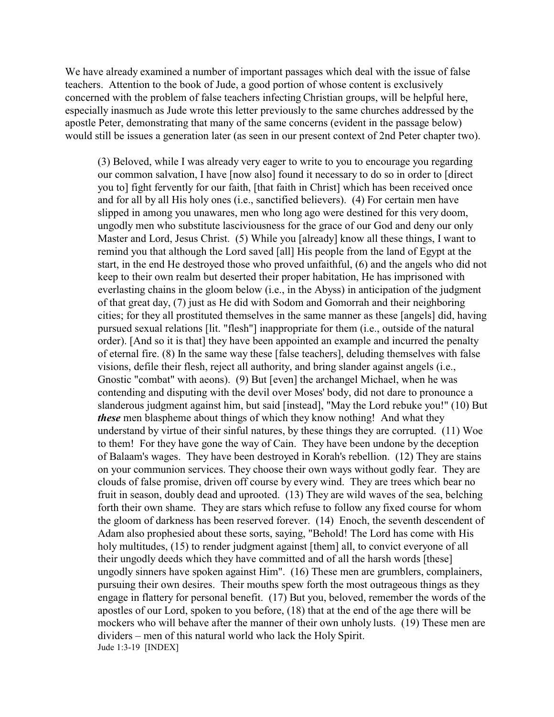We have already examined a number of important passages which deal with the issue of false teachers. Attention to the book of Jude, a good portion of whose content is exclusively concerned with the problem of false teachers infecting Christian groups, will be helpful here, especially inasmuch as Jude wrote this letter previously to the same churches addressed by the apostle Peter, demonstrating that many of the same concerns (evident in the passage below) would still be issues a generation later (as seen in our present context of 2nd Peter chapter two).

(3) Beloved, while I was already very eager to write to you to encourage you regarding our common salvation, I have [now also] found it necessary to do so in order to [direct you to] fight fervently for our faith, [that faith in Christ] which has been received once and for all by all His holy ones (i.e., sanctified believers). (4) For certain men have slipped in among you unawares, men who long ago were destined for this very doom, ungodly men who substitute lasciviousness for the grace of our God and deny our only Master and Lord, Jesus Christ. (5) While you [already] know all these things, I want to remind you that although the Lord saved [all] His people from the land of Egypt at the start, in the end He destroyed those who proved unfaithful, (6) and the angels who did not keep to their own realm but deserted their proper habitation, He has imprisoned with everlasting chains in the gloom below (i.e., in the Abyss) in anticipation of the judgment of that great day, (7) just as He did with Sodom and Gomorrah and their neighboring cities; for they all prostituted themselves in the same manner as these [angels] did, having pursued sexual relations [lit. "flesh"] inappropriate for them (i.e., outside of the natural order). [And so it is that] they have been appointed an example and incurred the penalty of eternal fire. (8) In the same way these [false teachers], deluding themselves with false visions, defile their flesh, reject all authority, and bring slander against angels (i.e., Gnostic "combat" with aeons). (9) But [even] the archangel Michael, when he was contending and disputing with the devil over Moses' body, did not dare to pronounce a slanderous judgment against him, but said [instead], "May the Lord rebuke you!" (10) But *these* men blaspheme about things of which they know nothing! And what they understand by virtue of their sinful natures, by these things they are corrupted. (11) Woe to them! For they have gone the way of Cain. They have been undone by the deception of Balaam's wages. They have been destroyed in Korah's rebellion. (12) They are stains on your communion services. They choose their own ways without godly fear. They are clouds of false promise, driven off course by every wind. They are trees which bear no fruit in season, doubly dead and uprooted. (13) They are wild waves of the sea, belching forth their own shame. They are stars which refuse to follow any fixed course for whom the gloom of darkness has been reserved forever. (14) Enoch, the seventh descendent of Adam also prophesied about these sorts, saying, "Behold! The Lord has come with His holy multitudes, (15) to render judgment against [them] all, to convict everyone of all their ungodly deeds which they have committed and of all the harsh words [these] ungodly sinners have spoken against Him". (16) These men are grumblers, complainers, pursuing their own desires. Their mouths spew forth the most outrageous things as they engage in flattery for personal benefit. (17) But you, beloved, remember the words of the apostles of our Lord, spoken to you before, (18) that at the end of the age there will be mockers who will behave after the manner of their own unholy lusts. (19) These men are dividers – men of this natural world who lack the Holy Spirit. Jude 1:3-19 [INDEX]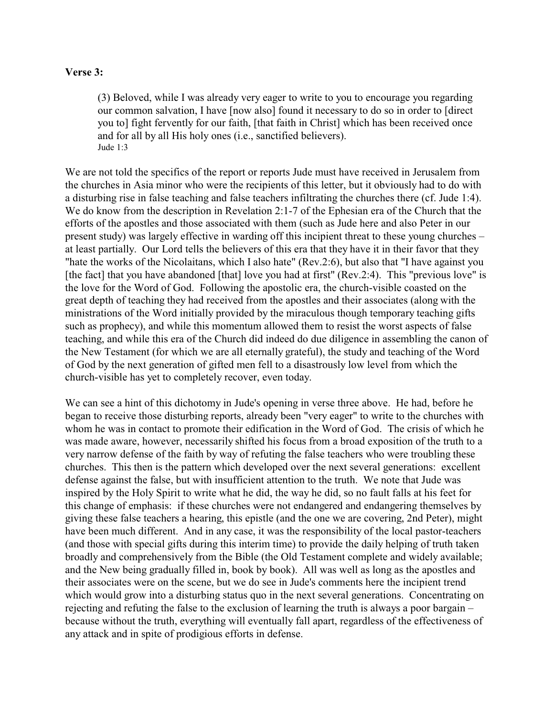#### **Verse 3:**

(3) Beloved, while I was already very eager to write to you to encourage you regarding our common salvation, I have [now also] found it necessary to do so in order to [direct you to] fight fervently for our faith, [that faith in Christ] which has been received once and for all by all His holy ones (i.e., sanctified believers). Jude 1:3

We are not told the specifics of the report or reports Jude must have received in Jerusalem from the churches in Asia minor who were the recipients of this letter, but it obviously had to do with a disturbing rise in false teaching and false teachers infiltrating the churches there (cf. Jude 1:4). We do know from the description in Revelation 2:1-7 of the Ephesian era of the Church that the efforts of the apostles and those associated with them (such as Jude here and also Peter in our present study) was largely effective in warding off this incipient threat to these young churches – at least partially. Our Lord tells the believers of this era that they have it in their favor that they "hate the works of the Nicolaitans, which I also hate" (Rev.2:6), but also that "I have against you [the fact] that you have abandoned [that] love you had at first" (Rev.2:4). This "previous love" is the love for the Word of God. Following the apostolic era, the church-visible coasted on the great depth of teaching they had received from the apostles and their associates (along with the ministrations of the Word initially provided by the miraculous though temporary teaching gifts such as prophecy), and while this momentum allowed them to resist the worst aspects of false teaching, and while this era of the Church did indeed do due diligence in assembling the canon of the New Testament (for which we are all eternally grateful), the study and teaching of the Word of God by the next generation of gifted men fell to a disastrously low level from which the church-visible has yet to completely recover, even today.

We can see a hint of this dichotomy in Jude's opening in verse three above. He had, before he began to receive those disturbing reports, already been "very eager" to write to the churches with whom he was in contact to promote their edification in the Word of God. The crisis of which he was made aware, however, necessarily shifted his focus from a broad exposition of the truth to a very narrow defense of the faith by way of refuting the false teachers who were troubling these churches. This then is the pattern which developed over the next several generations: excellent defense against the false, but with insufficient attention to the truth. We note that Jude was inspired by the Holy Spirit to write what he did, the way he did, so no fault falls at his feet for this change of emphasis: if these churches were not endangered and endangering themselves by giving these false teachers a hearing, this epistle (and the one we are covering, 2nd Peter), might have been much different. And in any case, it was the responsibility of the local pastor-teachers (and those with special gifts during this interim time) to provide the daily helping of truth taken broadly and comprehensively from the Bible (the Old Testament complete and widely available; and the New being gradually filled in, book by book). All was well as long as the apostles and their associates were on the scene, but we do see in Jude's comments here the incipient trend which would grow into a disturbing status quo in the next several generations. Concentrating on rejecting and refuting the false to the exclusion of learning the truth is always a poor bargain – because without the truth, everything will eventually fall apart, regardless of the effectiveness of any attack and in spite of prodigious efforts in defense.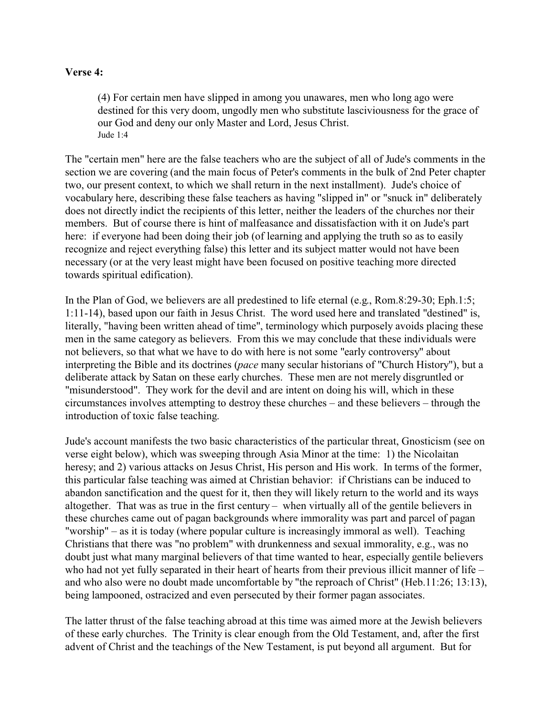### **Verse 4:**

(4) For certain men have slipped in among you unawares, men who long ago were destined for this very doom, ungodly men who substitute lasciviousness for the grace of our God and deny our only Master and Lord, Jesus Christ. Jude 1:4

The "certain men" here are the false teachers who are the subject of all of Jude's comments in the section we are covering (and the main focus of Peter's comments in the bulk of 2nd Peter chapter two, our present context, to which we shall return in the next installment). Jude's choice of vocabulary here, describing these false teachers as having "slipped in" or "snuck in" deliberately does not directly indict the recipients of this letter, neither the leaders of the churches nor their members. But of course there is hint of malfeasance and dissatisfaction with it on Jude's part here: if everyone had been doing their job (of learning and applying the truth so as to easily recognize and reject everything false) this letter and its subject matter would not have been necessary (or at the very least might have been focused on positive teaching more directed towards spiritual edification).

In the Plan of God, we believers are all predestined to life eternal (e.g., Rom.8:29-30; Eph.1:5; 1:11-14), based upon our faith in Jesus Christ. The word used here and translated "destined" is, literally, "having been written ahead of time", terminology which purposely avoids placing these men in the same category as believers. From this we may conclude that these individuals were not believers, so that what we have to do with here is not some "early controversy" about interpreting the Bible and its doctrines (*pace* many secular historians of "Church History"), but a deliberate attack by Satan on these early churches. These men are not merely disgruntled or "misunderstood". They work for the devil and are intent on doing his will, which in these circumstances involves attempting to destroy these churches – and these believers – through the introduction of toxic false teaching.

Jude's account manifests the two basic characteristics of the particular threat, Gnosticism (see on verse eight below), which was sweeping through Asia Minor at the time: 1) the Nicolaitan heresy; and 2) various attacks on Jesus Christ, His person and His work. In terms of the former, this particular false teaching was aimed at Christian behavior: if Christians can be induced to abandon sanctification and the quest for it, then they will likely return to the world and its ways altogether. That was as true in the first century – when virtually all of the gentile believers in these churches came out of pagan backgrounds where immorality was part and parcel of pagan "worship" – as it is today (where popular culture is increasingly immoral as well). Teaching Christians that there was "no problem" with drunkenness and sexual immorality, e.g., was no doubt just what many marginal believers of that time wanted to hear, especially gentile believers who had not yet fully separated in their heart of hearts from their previous illicit manner of life – and who also were no doubt made uncomfortable by "the reproach of Christ" (Heb.11:26; 13:13), being lampooned, ostracized and even persecuted by their former pagan associates.

The latter thrust of the false teaching abroad at this time was aimed more at the Jewish believers of these early churches. The Trinity is clear enough from the Old Testament, and, after the first advent of Christ and the teachings of the New Testament, is put beyond all argument. But for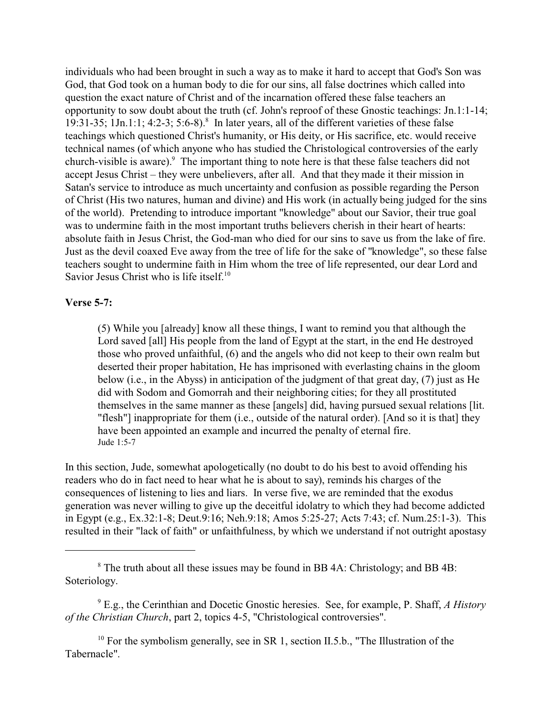individuals who had been brought in such a way as to make it hard to accept that God's Son was God, that God took on a human body to die for our sins, all false doctrines which called into question the exact nature of Christ and of the incarnation offered these false teachers an opportunity to sow doubt about the truth (cf. John's reproof of these Gnostic teachings: Jn.1:1-14; 19:31-35; 1Jn.1:1; 4:2-3; 5:6-8).<sup>8</sup> In later years, all of the different varieties of these false teachings which questioned Christ's humanity, or His deity, or His sacrifice, etc. would receive technical names (of which anyone who has studied the Christological controversies of the early church-visible is aware).<sup>9</sup> The important thing to note here is that these false teachers did not accept Jesus Christ – they were unbelievers, after all. And that they made it their mission in Satan's service to introduce as much uncertainty and confusion as possible regarding the Person of Christ (His two natures, human and divine) and His work (in actually being judged for the sins of the world). Pretending to introduce important "knowledge" about our Savior, their true goal was to undermine faith in the most important truths believers cherish in their heart of hearts: absolute faith in Jesus Christ, the God-man who died for our sins to save us from the lake of fire. Just as the devil coaxed Eve away from the tree of life for the sake of "knowledge", so these false teachers sought to undermine faith in Him whom the tree of life represented, our dear Lord and Savior Jesus Christ who is life itself.<sup>10</sup>

### **Verse 5-7:**

(5) While you [already] know all these things, I want to remind you that although the Lord saved [all] His people from the land of Egypt at the start, in the end He destroyed those who proved unfaithful, (6) and the angels who did not keep to their own realm but deserted their proper habitation, He has imprisoned with everlasting chains in the gloom below (i.e., in the Abyss) in anticipation of the judgment of that great day, (7) just as He did with Sodom and Gomorrah and their neighboring cities; for they all prostituted themselves in the same manner as these [angels] did, having pursued sexual relations [lit. "flesh"] inappropriate for them (i.e., outside of the natural order). [And so it is that] they have been appointed an example and incurred the penalty of eternal fire. Jude 1:5-7

In this section, Jude, somewhat apologetically (no doubt to do his best to avoid offending his readers who do in fact need to hear what he is about to say), reminds his charges of the consequences of listening to lies and liars. In verse five, we are reminded that the exodus generation was never willing to give up the deceitful idolatry to which they had become addicted in Egypt (e.g., Ex.32:1-8; Deut.9:16; Neh.9:18; Amos 5:25-27; Acts 7:43; cf. Num.25:1-3). This resulted in their "lack of faith" or unfaithfulness, by which we understand if not outright apostasy

<sup>10</sup> For the symbolism generally, see in SR 1, section II.5.b., "The Illustration of the Tabernacle".

<sup>&</sup>lt;sup>8</sup> The truth about all these issues may be found in BB 4A: Christology; and BB 4B: Soteriology.

<sup>9</sup> E.g., the Cerinthian and Docetic Gnostic heresies. See, for example, P. Shaff, *A History of the Christian Church*, part 2, topics 4-5, "Christological controversies".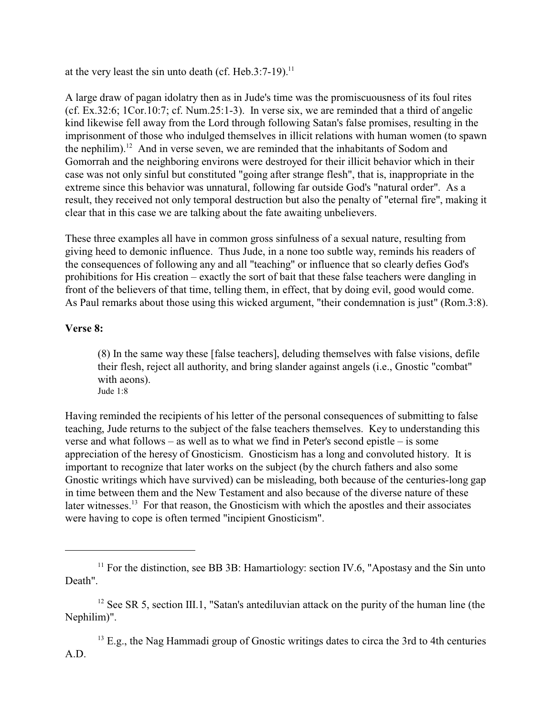at the very least the sin unto death (cf. Heb.3:7-19).<sup>11</sup>

A large draw of pagan idolatry then as in Jude's time was the promiscuousness of its foul rites (cf. Ex.32:6; 1Cor.10:7; cf. Num.25:1-3). In verse six, we are reminded that a third of angelic kind likewise fell away from the Lord through following Satan's false promises, resulting in the imprisonment of those who indulged themselves in illicit relations with human women (to spawn the nephilim).<sup>12</sup> And in verse seven, we are reminded that the inhabitants of Sodom and Gomorrah and the neighboring environs were destroyed for their illicit behavior which in their case was not only sinful but constituted "going after strange flesh", that is, inappropriate in the extreme since this behavior was unnatural, following far outside God's "natural order". As a result, they received not only temporal destruction but also the penalty of "eternal fire", making it clear that in this case we are talking about the fate awaiting unbelievers.

These three examples all have in common gross sinfulness of a sexual nature, resulting from giving heed to demonic influence. Thus Jude, in a none too subtle way, reminds his readers of the consequences of following any and all "teaching" or influence that so clearly defies God's prohibitions for His creation – exactly the sort of bait that these false teachers were dangling in front of the believers of that time, telling them, in effect, that by doing evil, good would come. As Paul remarks about those using this wicked argument, "their condemnation is just" (Rom.3:8).

# **Verse 8:**

(8) In the same way these [false teachers], deluding themselves with false visions, defile their flesh, reject all authority, and bring slander against angels (i.e., Gnostic "combat" with aeons). Jude 1:8

Having reminded the recipients of his letter of the personal consequences of submitting to false teaching, Jude returns to the subject of the false teachers themselves. Key to understanding this verse and what follows – as well as to what we find in Peter's second epistle – is some appreciation of the heresy of Gnosticism. Gnosticism has a long and convoluted history. It is important to recognize that later works on the subject (by the church fathers and also some Gnostic writings which have survived) can be misleading, both because of the centuries-long gap in time between them and the New Testament and also because of the diverse nature of these later witnesses.<sup>13</sup> For that reason, the Gnosticism with which the apostles and their associates were having to cope is often termed "incipient Gnosticism".

<sup>13</sup> E.g., the Nag Hammadi group of Gnostic writings dates to circa the 3rd to 4th centuries A.D.

<sup>&</sup>lt;sup>11</sup> For the distinction, see BB 3B: Hamartiology: section IV.6, "Apostasy and the Sin unto Death".

 $12$  See SR 5, section III.1, "Satan's antediluvian attack on the purity of the human line (the Nephilim)".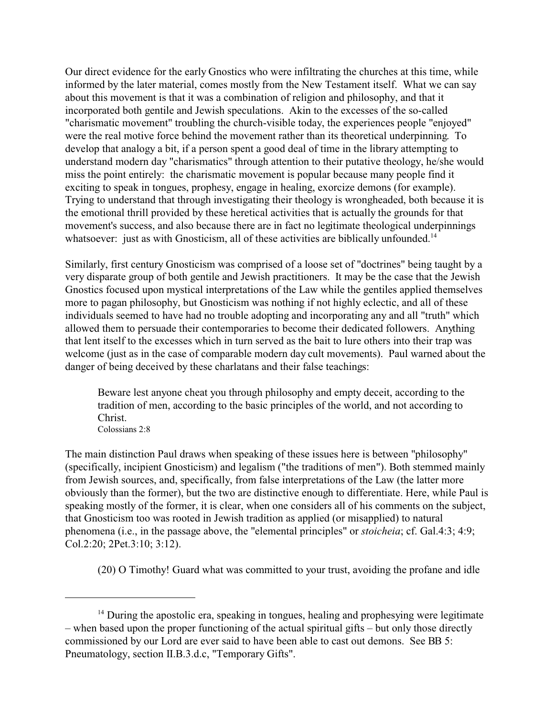Our direct evidence for the early Gnostics who were infiltrating the churches at this time, while informed by the later material, comes mostly from the New Testament itself. What we can say about this movement is that it was a combination of religion and philosophy, and that it incorporated both gentile and Jewish speculations. Akin to the excesses of the so-called "charismatic movement" troubling the church-visible today, the experiences people "enjoyed" were the real motive force behind the movement rather than its theoretical underpinning. To develop that analogy a bit, if a person spent a good deal of time in the library attempting to understand modern day "charismatics" through attention to their putative theology, he/she would miss the point entirely: the charismatic movement is popular because many people find it exciting to speak in tongues, prophesy, engage in healing, exorcize demons (for example). Trying to understand that through investigating their theology is wrongheaded, both because it is the emotional thrill provided by these heretical activities that is actually the grounds for that movement's success, and also because there are in fact no legitimate theological underpinnings whatsoever: just as with Gnosticism, all of these activities are biblically unfounded.<sup>14</sup>

Similarly, first century Gnosticism was comprised of a loose set of "doctrines" being taught by a very disparate group of both gentile and Jewish practitioners. It may be the case that the Jewish Gnostics focused upon mystical interpretations of the Law while the gentiles applied themselves more to pagan philosophy, but Gnosticism was nothing if not highly eclectic, and all of these individuals seemed to have had no trouble adopting and incorporating any and all "truth" which allowed them to persuade their contemporaries to become their dedicated followers. Anything that lent itself to the excesses which in turn served as the bait to lure others into their trap was welcome (just as in the case of comparable modern day cult movements). Paul warned about the danger of being deceived by these charlatans and their false teachings:

Beware lest anyone cheat you through philosophy and empty deceit, according to the tradition of men, according to the basic principles of the world, and not according to Christ. Colossians 2:8

The main distinction Paul draws when speaking of these issues here is between "philosophy" (specifically, incipient Gnosticism) and legalism ("the traditions of men"). Both stemmed mainly from Jewish sources, and, specifically, from false interpretations of the Law (the latter more obviously than the former), but the two are distinctive enough to differentiate. Here, while Paul is speaking mostly of the former, it is clear, when one considers all of his comments on the subject, that Gnosticism too was rooted in Jewish tradition as applied (or misapplied) to natural phenomena (i.e., in the passage above, the "elemental principles" or *stoicheia*; cf. Gal.4:3; 4:9; Col.2:20; 2Pet.3:10; 3:12).

(20) O Timothy! Guard what was committed to your trust, avoiding the profane and idle

<sup>&</sup>lt;sup>14</sup> During the apostolic era, speaking in tongues, healing and prophesying were legitimate – when based upon the proper functioning of the actual spiritual gifts – but only those directly commissioned by our Lord are ever said to have been able to cast out demons. See BB 5: Pneumatology, section II.B.3.d.c, "Temporary Gifts".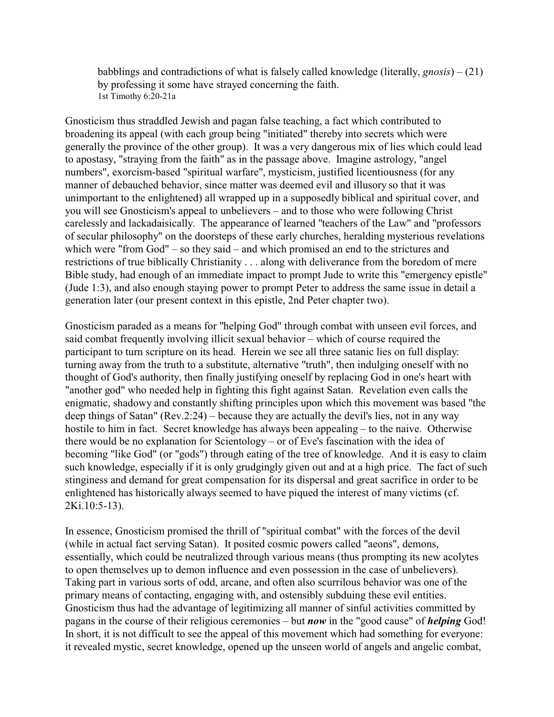babblings and contradictions of what is falsely called knowledge (literally, *gnosis*) – (21) by professing it some have strayed concerning the faith. 1st Timothy 6:20-21a

Gnosticism thus straddled Jewish and pagan false teaching, a fact which contributed to broadening its appeal (with each group being "initiated" thereby into secrets which were generally the province of the other group). It was a very dangerous mix of lies which could lead to apostasy, "straying from the faith" as in the passage above. Imagine astrology, "angel numbers", exorcism-based "spiritual warfare", mysticism, justified licentiousness (for any manner of debauched behavior, since matter was deemed evil and illusory so that it was unimportant to the enlightened) all wrapped up in a supposedly biblical and spiritual cover, and you will see Gnosticism's appeal to unbelievers – and to those who were following Christ carelessly and lackadaisically. The appearance of learned "teachers of the Law" and "professors of secular philosophy" on the doorsteps of these early churches, heralding mysterious revelations which were "from God" – so they said – and which promised an end to the strictures and restrictions of true biblically Christianity . . . along with deliverance from the boredom of mere Bible study, had enough of an immediate impact to prompt Jude to write this "emergency epistle" (Jude 1:3), and also enough staying power to prompt Peter to address the same issue in detail a generation later (our present context in this epistle, 2nd Peter chapter two).

Gnosticism paraded as a means for "helping God" through combat with unseen evil forces, and said combat frequently involving illicit sexual behavior – which of course required the participant to turn scripture on its head. Herein we see all three satanic lies on full display: turning away from the truth to a substitute, alternative "truth", then indulging oneself with no thought of God's authority, then finally justifying oneself by replacing God in one's heart with "another god" who needed help in fighting this fight against Satan. Revelation even calls the enigmatic, shadowy and constantly shifting principles upon which this movement was based "the deep things of Satan" (Rev.2:24) – because they are actually the devil's lies, not in any way hostile to him in fact. Secret knowledge has always been appealing – to the naive. Otherwise there would be no explanation for Scientology – or of Eve's fascination with the idea of becoming "like God" (or "gods") through eating of the tree of knowledge. And it is easy to claim such knowledge, especially if it is only grudgingly given out and at a high price. The fact of such stinginess and demand for great compensation for its dispersal and great sacrifice in order to be enlightened has historically always seemed to have piqued the interest of many victims (cf. 2Ki.10:5-13).

In essence, Gnosticism promised the thrill of "spiritual combat" with the forces of the devil (while in actual fact serving Satan). It posited cosmic powers called "aeons", demons, essentially, which could be neutralized through various means (thus prompting its new acolytes to open themselves up to demon influence and even possession in the case of unbelievers). Taking part in various sorts of odd, arcane, and often also scurrilous behavior was one of the primary means of contacting, engaging with, and ostensibly subduing these evil entities. Gnosticism thus had the advantage of legitimizing all manner of sinful activities committed by pagans in the course of their religious ceremonies – but *now* in the "good cause" of *helping* God! In short, it is not difficult to see the appeal of this movement which had something for everyone: it revealed mystic, secret knowledge, opened up the unseen world of angels and angelic combat,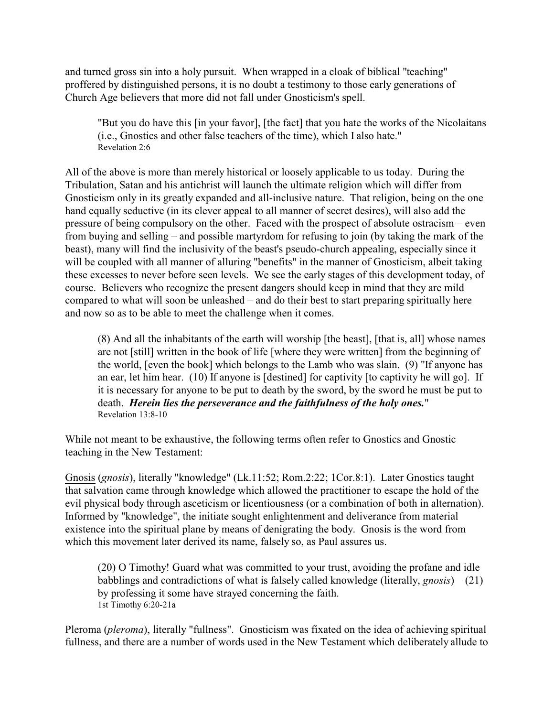and turned gross sin into a holy pursuit. When wrapped in a cloak of biblical "teaching" proffered by distinguished persons, it is no doubt a testimony to those early generations of Church Age believers that more did not fall under Gnosticism's spell.

"But you do have this [in your favor], [the fact] that you hate the works of the Nicolaitans (i.e., Gnostics and other false teachers of the time), which I also hate." Revelation 2:6

All of the above is more than merely historical or loosely applicable to us today. During the Tribulation, Satan and his antichrist will launch the ultimate religion which will differ from Gnosticism only in its greatly expanded and all-inclusive nature. That religion, being on the one hand equally seductive (in its clever appeal to all manner of secret desires), will also add the pressure of being compulsory on the other. Faced with the prospect of absolute ostracism – even from buying and selling – and possible martyrdom for refusing to join (by taking the mark of the beast), many will find the inclusivity of the beast's pseudo-church appealing, especially since it will be coupled with all manner of alluring "benefits" in the manner of Gnosticism, albeit taking these excesses to never before seen levels. We see the early stages of this development today, of course. Believers who recognize the present dangers should keep in mind that they are mild compared to what will soon be unleashed – and do their best to start preparing spiritually here and now so as to be able to meet the challenge when it comes.

(8) And all the inhabitants of the earth will worship [the beast], [that is, all] whose names are not [still] written in the book of life [where they were written] from the beginning of the world, [even the book] which belongs to the Lamb who was slain. (9) "If anyone has an ear, let him hear. (10) If anyone is [destined] for captivity [to captivity he will go]. If it is necessary for anyone to be put to death by the sword, by the sword he must be put to death. *Herein lies the perseverance and the faithfulness of the holy ones.*" Revelation 13:8-10

While not meant to be exhaustive, the following terms often refer to Gnostics and Gnostic teaching in the New Testament:

Gnosis (*gnosis*), literally "knowledge" (Lk.11:52; Rom.2:22; 1Cor.8:1). Later Gnostics taught that salvation came through knowledge which allowed the practitioner to escape the hold of the evil physical body through asceticism or licentiousness (or a combination of both in alternation). Informed by "knowledge", the initiate sought enlightenment and deliverance from material existence into the spiritual plane by means of denigrating the body. Gnosis is the word from which this movement later derived its name, falsely so, as Paul assures us.

(20) O Timothy! Guard what was committed to your trust, avoiding the profane and idle babblings and contradictions of what is falsely called knowledge (literally, *gnosis*) – (21) by professing it some have strayed concerning the faith. 1st Timothy 6:20-21a

Pleroma (*pleroma*), literally "fullness". Gnosticism was fixated on the idea of achieving spiritual fullness, and there are a number of words used in the New Testament which deliberately allude to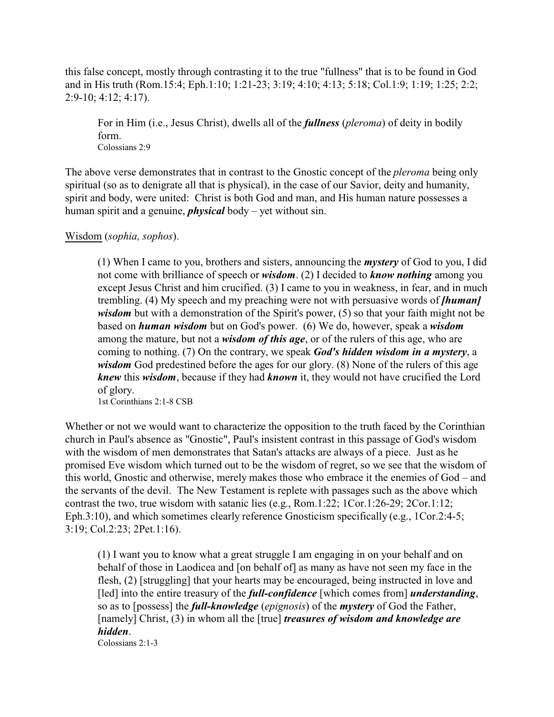this false concept, mostly through contrasting it to the true "fullness" that is to be found in God and in His truth (Rom.15:4; Eph.1:10; 1:21-23; 3:19; 4:10; 4:13; 5:18; Col.1:9; 1:19; 1:25; 2:2; 2:9-10; 4:12; 4:17).

For in Him (i.e., Jesus Christ), dwells all of the *fullness* (*pleroma*) of deity in bodily form. Colossians 2:9

The above verse demonstrates that in contrast to the Gnostic concept of the *pleroma* being only spiritual (so as to denigrate all that is physical), in the case of our Savior, deity and humanity, spirit and body, were united: Christ is both God and man, and His human nature possesses a human spirit and a genuine, *physical* body – yet without sin.

# Wisdom (*sophia, sophos*).

(1) When I came to you, brothers and sisters, announcing the *mystery* of God to you, I did not come with brilliance of speech or *wisdom*. (2) I decided to *know nothing* among you except Jesus Christ and him crucified. (3) I came to you in weakness, in fear, and in much trembling. (4) My speech and my preaching were not with persuasive words of *[human] wisdom* but with a demonstration of the Spirit's power, (5) so that your faith might not be based on *human wisdom* but on God's power. (6) We do, however, speak a *wisdom* among the mature, but not a *wisdom of this age*, or of the rulers of this age, who are coming to nothing. (7) On the contrary, we speak *God's hidden wisdom in a mystery*, a *wisdom* God predestined before the ages for our glory. (8) None of the rulers of this age *knew* this *wisdom*, because if they had *known* it, they would not have crucified the Lord of glory.

1st Corinthians 2:1-8 CSB

Whether or not we would want to characterize the opposition to the truth faced by the Corinthian church in Paul's absence as "Gnostic", Paul's insistent contrast in this passage of God's wisdom with the wisdom of men demonstrates that Satan's attacks are always of a piece. Just as he promised Eve wisdom which turned out to be the wisdom of regret, so we see that the wisdom of this world, Gnostic and otherwise, merely makes those who embrace it the enemies of God – and the servants of the devil. The New Testament is replete with passages such as the above which contrast the two, true wisdom with satanic lies (e.g., Rom.1:22; 1Cor.1:26-29; 2Cor.1:12; Eph.3:10), and which sometimes clearly reference Gnosticism specifically (e.g., 1Cor.2:4-5; 3:19; Col.2:23; 2Pet.1:16).

(1) I want you to know what a great struggle I am engaging in on your behalf and on behalf of those in Laodicea and [on behalf of] as many as have not seen my face in the flesh, (2) [struggling] that your hearts may be encouraged, being instructed in love and [led] into the entire treasury of the *full-confidence* [which comes from] *understanding*, so as to [possess] the *full-knowledge* (*epignosis*) of the *mystery* of God the Father, [namely] Christ, (3) in whom all the [true] *treasures of wisdom and knowledge are hidden*.

Colossians 2:1-3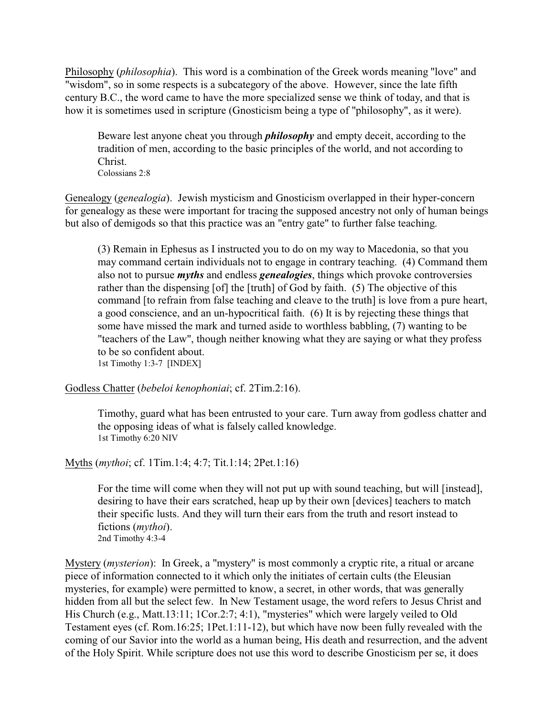Philosophy (*philosophia*). This word is a combination of the Greek words meaning "love" and "wisdom", so in some respects is a subcategory of the above. However, since the late fifth century B.C., the word came to have the more specialized sense we think of today, and that is how it is sometimes used in scripture (Gnosticism being a type of "philosophy", as it were).

Beware lest anyone cheat you through *philosophy* and empty deceit, according to the tradition of men, according to the basic principles of the world, and not according to Christ.

Colossians 2:8

Genealogy (*genealogia*). Jewish mysticism and Gnosticism overlapped in their hyper-concern for genealogy as these were important for tracing the supposed ancestry not only of human beings but also of demigods so that this practice was an "entry gate" to further false teaching.

(3) Remain in Ephesus as I instructed you to do on my way to Macedonia, so that you may command certain individuals not to engage in contrary teaching. (4) Command them also not to pursue *myths* and endless *genealogies*, things which provoke controversies rather than the dispensing [of] the [truth] of God by faith. (5) The objective of this command [to refrain from false teaching and cleave to the truth] is love from a pure heart, a good conscience, and an un-hypocritical faith. (6) It is by rejecting these things that some have missed the mark and turned aside to worthless babbling, (7) wanting to be "teachers of the Law", though neither knowing what they are saying or what they profess to be so confident about.

1st Timothy 1:3-7 [INDEX]

Godless Chatter (*bebeloi kenophoniai*; cf. 2Tim.2:16).

Timothy, guard what has been entrusted to your care. Turn away from godless chatter and the opposing ideas of what is falsely called knowledge. 1st Timothy 6:20 NIV

Myths (*mythoi*; cf. 1Tim.1:4; 4:7; Tit.1:14; 2Pet.1:16)

For the time will come when they will not put up with sound teaching, but will [instead], desiring to have their ears scratched, heap up by their own [devices] teachers to match their specific lusts. And they will turn their ears from the truth and resort instead to fictions (*mythoi*). 2nd Timothy 4:3-4

Mystery (*mysterion*): In Greek, a "mystery" is most commonly a cryptic rite, a ritual or arcane piece of information connected to it which only the initiates of certain cults (the Eleusian mysteries, for example) were permitted to know, a secret, in other words, that was generally hidden from all but the select few. In New Testament usage, the word refers to Jesus Christ and His Church (e.g., Matt.13:11; 1Cor.2:7; 4:1), "mysteries" which were largely veiled to Old Testament eyes (cf. Rom.16:25; 1Pet.1:11-12), but which have now been fully revealed with the coming of our Savior into the world as a human being, His death and resurrection, and the advent of the Holy Spirit. While scripture does not use this word to describe Gnosticism per se, it does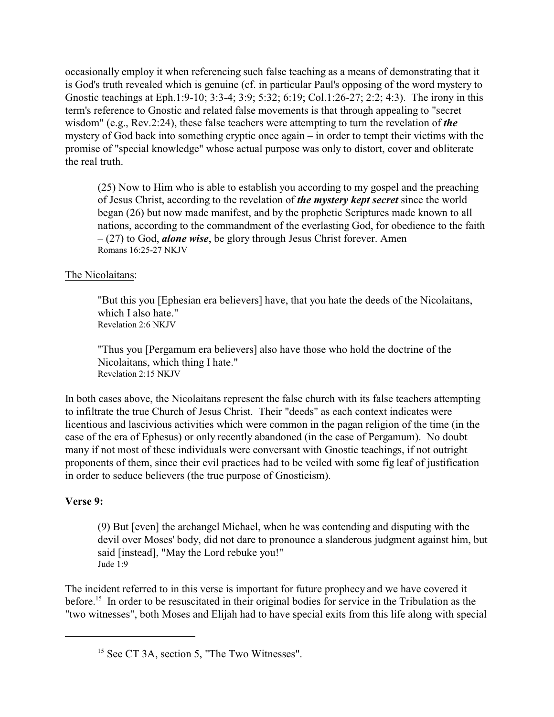occasionally employ it when referencing such false teaching as a means of demonstrating that it is God's truth revealed which is genuine (cf. in particular Paul's opposing of the word mystery to Gnostic teachings at Eph.1:9-10; 3:3-4; 3:9; 5:32; 6:19; Col.1:26-27; 2:2; 4:3). The irony in this term's reference to Gnostic and related false movements is that through appealing to "secret wisdom" (e.g., Rev.2:24), these false teachers were attempting to turn the revelation of *the* mystery of God back into something cryptic once again – in order to tempt their victims with the promise of "special knowledge" whose actual purpose was only to distort, cover and obliterate the real truth.

(25) Now to Him who is able to establish you according to my gospel and the preaching of Jesus Christ, according to the revelation of *the mystery kept secret* since the world began (26) but now made manifest, and by the prophetic Scriptures made known to all nations, according to the commandment of the everlasting God, for obedience to the faith – (27) to God, *alone wise*, be glory through Jesus Christ forever. Amen Romans 16:25-27 NKJV

# The Nicolaitans:

"But this you [Ephesian era believers] have, that you hate the deeds of the Nicolaitans, which I also hate." Revelation 2:6 NKJV

"Thus you [Pergamum era believers] also have those who hold the doctrine of the Nicolaitans, which thing I hate." Revelation 2:15 NKJV

In both cases above, the Nicolaitans represent the false church with its false teachers attempting to infiltrate the true Church of Jesus Christ. Their "deeds" as each context indicates were licentious and lascivious activities which were common in the pagan religion of the time (in the case of the era of Ephesus) or only recently abandoned (in the case of Pergamum). No doubt many if not most of these individuals were conversant with Gnostic teachings, if not outright proponents of them, since their evil practices had to be veiled with some fig leaf of justification in order to seduce believers (the true purpose of Gnosticism).

### **Verse 9:**

(9) But [even] the archangel Michael, when he was contending and disputing with the devil over Moses' body, did not dare to pronounce a slanderous judgment against him, but said [instead], "May the Lord rebuke you!" Jude 1:9

The incident referred to in this verse is important for future prophecy and we have covered it before.<sup>15</sup> In order to be resuscitated in their original bodies for service in the Tribulation as the "two witnesses", both Moses and Elijah had to have special exits from this life along with special

<sup>&</sup>lt;sup>15</sup> See CT 3A, section 5, "The Two Witnesses".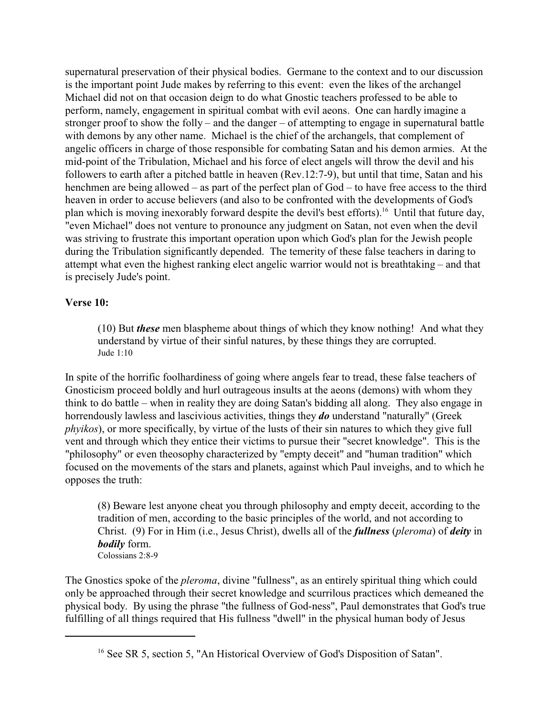supernatural preservation of their physical bodies. Germane to the context and to our discussion is the important point Jude makes by referring to this event: even the likes of the archangel Michael did not on that occasion deign to do what Gnostic teachers professed to be able to perform, namely, engagement in spiritual combat with evil aeons. One can hardly imagine a stronger proof to show the folly – and the danger – of attempting to engage in supernatural battle with demons by any other name. Michael is the chief of the archangels, that complement of angelic officers in charge of those responsible for combating Satan and his demon armies. At the mid-point of the Tribulation, Michael and his force of elect angels will throw the devil and his followers to earth after a pitched battle in heaven (Rev.12:7-9), but until that time, Satan and his henchmen are being allowed – as part of the perfect plan of God – to have free access to the third heaven in order to accuse believers (and also to be confronted with the developments of God's plan which is moving inexorably forward despite the devil's best efforts).<sup>16</sup> Until that future day, "even Michael" does not venture to pronounce any judgment on Satan, not even when the devil was striving to frustrate this important operation upon which God's plan for the Jewish people during the Tribulation significantly depended. The temerity of these false teachers in daring to attempt what even the highest ranking elect angelic warrior would not is breathtaking – and that is precisely Jude's point.

### **Verse 10:**

(10) But *these* men blaspheme about things of which they know nothing! And what they understand by virtue of their sinful natures, by these things they are corrupted. Jude 1:10

In spite of the horrific foolhardiness of going where angels fear to tread, these false teachers of Gnosticism proceed boldly and hurl outrageous insults at the aeons (demons) with whom they think to do battle – when in reality they are doing Satan's bidding all along. They also engage in horrendously lawless and lascivious activities, things they *do* understand "naturally" (Greek *phyikos*), or more specifically, by virtue of the lusts of their sin natures to which they give full vent and through which they entice their victims to pursue their "secret knowledge". This is the "philosophy" or even theosophy characterized by "empty deceit" and "human tradition" which focused on the movements of the stars and planets, against which Paul inveighs, and to which he opposes the truth:

(8) Beware lest anyone cheat you through philosophy and empty deceit, according to the tradition of men, according to the basic principles of the world, and not according to Christ. (9) For in Him (i.e., Jesus Christ), dwells all of the *fullness* (*pleroma*) of *deity* in *bodily* form. Colossians 2:8-9

The Gnostics spoke of the *pleroma*, divine "fullness", as an entirely spiritual thing which could only be approached through their secret knowledge and scurrilous practices which demeaned the physical body. By using the phrase "the fullness of God-ness", Paul demonstrates that God's true fulfilling of all things required that His fullness "dwell" in the physical human body of Jesus

<sup>&</sup>lt;sup>16</sup> See SR 5, section 5, "An Historical Overview of God's Disposition of Satan".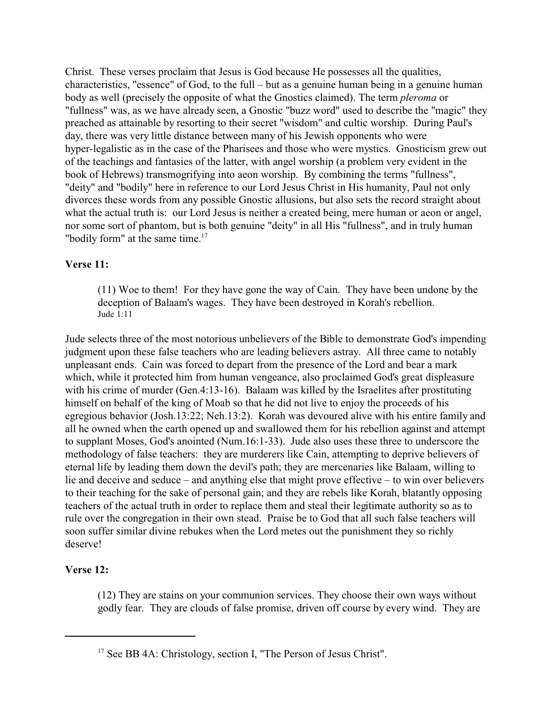Christ. These verses proclaim that Jesus is God because He possesses all the qualities, characteristics, "essence" of God, to the full – but as a genuine human being in a genuine human body as well (precisely the opposite of what the Gnostics claimed). The term *pleroma* or "fullness" was, as we have already seen, a Gnostic "buzz word" used to describe the "magic" they preached as attainable by resorting to their secret "wisdom" and cultic worship. During Paul's day, there was very little distance between many of his Jewish opponents who were hyper-legalistic as in the case of the Pharisees and those who were mystics. Gnosticism grew out of the teachings and fantasies of the latter, with angel worship (a problem very evident in the book of Hebrews) transmogrifying into aeon worship. By combining the terms "fullness", "deity" and "bodily" here in reference to our Lord Jesus Christ in His humanity, Paul not only divorces these words from any possible Gnostic allusions, but also sets the record straight about what the actual truth is: our Lord Jesus is neither a created being, mere human or aeon or angel, nor some sort of phantom, but is both genuine "deity" in all His "fullness", and in truly human "bodily form" at the same time.<sup>17</sup>

# **Verse 11:**

(11) Woe to them! For they have gone the way of Cain. They have been undone by the deception of Balaam's wages. They have been destroyed in Korah's rebellion. Jude  $1:11$ 

Jude selects three of the most notorious unbelievers of the Bible to demonstrate God's impending judgment upon these false teachers who are leading believers astray. All three came to notably unpleasant ends. Cain was forced to depart from the presence of the Lord and bear a mark which, while it protected him from human vengeance, also proclaimed God's great displeasure with his crime of murder (Gen.4:13-16). Balaam was killed by the Israelites after prostituting himself on behalf of the king of Moab so that he did not live to enjoy the proceeds of his egregious behavior (Josh.13:22; Neh.13:2). Korah was devoured alive with his entire family and all he owned when the earth opened up and swallowed them for his rebellion against and attempt to supplant Moses, God's anointed (Num.16:1-33). Jude also uses these three to underscore the methodology of false teachers: they are murderers like Cain, attempting to deprive believers of eternal life by leading them down the devil's path; they are mercenaries like Balaam, willing to lie and deceive and seduce – and anything else that might prove effective – to win over believers to their teaching for the sake of personal gain; and they are rebels like Korah, blatantly opposing teachers of the actual truth in order to replace them and steal their legitimate authority so as to rule over the congregation in their own stead. Praise be to God that all such false teachers will soon suffer similar divine rebukes when the Lord metes out the punishment they so richly deserve!

# **Verse 12:**

(12) They are stains on your communion services. They choose their own ways without godly fear. They are clouds of false promise, driven off course by every wind. They are

<sup>&</sup>lt;sup>17</sup> See BB 4A: Christology, section I, "The Person of Jesus Christ".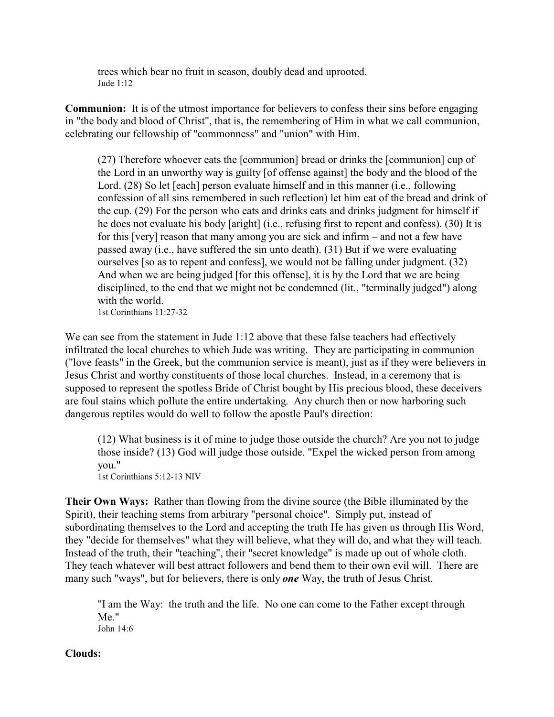trees which bear no fruit in season, doubly dead and uprooted. Jude 1:12

**Communion:** It is of the utmost importance for believers to confess their sins before engaging in "the body and blood of Christ", that is, the remembering of Him in what we call communion, celebrating our fellowship of "commonness" and "union" with Him.

(27) Therefore whoever eats the [communion] bread or drinks the [communion] cup of the Lord in an unworthy way is guilty [of offense against] the body and the blood of the Lord. (28) So let [each] person evaluate himself and in this manner (i.e., following confession of all sins remembered in such reflection) let him eat of the bread and drink of the cup. (29) For the person who eats and drinks eats and drinks judgment for himself if he does not evaluate his body [aright] (i.e., refusing first to repent and confess). (30) It is for this [very] reason that many among you are sick and infirm – and not a few have passed away (i.e., have suffered the sin unto death). (31) But if we were evaluating ourselves [so as to repent and confess], we would not be falling under judgment. (32) And when we are being judged [for this offense], it is by the Lord that we are being disciplined, to the end that we might not be condemned (lit., "terminally judged") along with the world. 1st Corinthians 11:27-32

We can see from the statement in Jude 1:12 above that these false teachers had effectively infiltrated the local churches to which Jude was writing. They are participating in communion ("love feasts" in the Greek, but the communion service is meant), just as if they were believers in Jesus Christ and worthy constituents of those local churches. Instead, in a ceremony that is supposed to represent the spotless Bride of Christ bought by His precious blood, these deceivers are foul stains which pollute the entire undertaking. Any church then or now harboring such dangerous reptiles would do well to follow the apostle Paul's direction:

(12) What business is it of mine to judge those outside the church? Are you not to judge those inside? (13) God will judge those outside. "Expel the wicked person from among you." 1st Corinthians 5:12-13 NIV

**Their Own Ways:** Rather than flowing from the divine source (the Bible illuminated by the Spirit), their teaching stems from arbitrary "personal choice". Simply put, instead of subordinating themselves to the Lord and accepting the truth He has given us through His Word, they "decide for themselves" what they will believe, what they will do, and what they will teach. Instead of the truth, their "teaching", their "secret knowledge" is made up out of whole cloth. They teach whatever will best attract followers and bend them to their own evil will. There are many such "ways", but for believers, there is only *one* Way, the truth of Jesus Christ.

"I am the Way: the truth and the life. No one can come to the Father except through Me." John 14:6

### **Clouds:**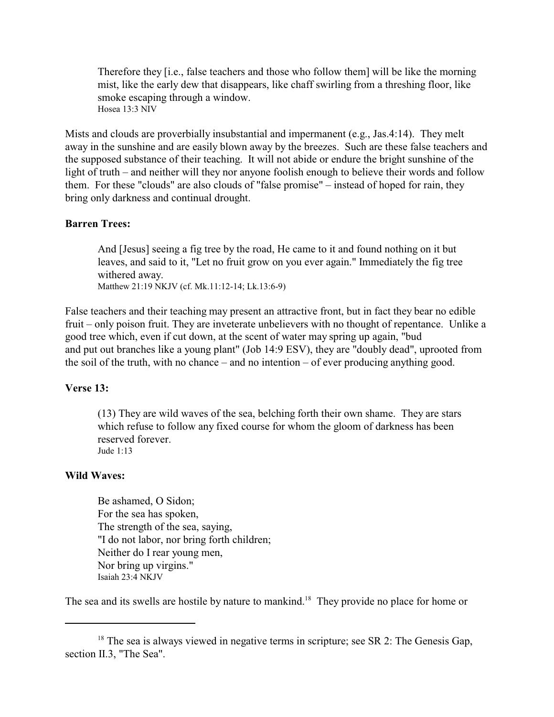Therefore they [i.e., false teachers and those who follow them] will be like the morning mist, like the early dew that disappears, like chaff swirling from a threshing floor, like smoke escaping through a window. Hosea 13:3 NIV

Mists and clouds are proverbially insubstantial and impermanent (e.g., Jas.4:14). They melt away in the sunshine and are easily blown away by the breezes. Such are these false teachers and the supposed substance of their teaching. It will not abide or endure the bright sunshine of the light of truth – and neither will they nor anyone foolish enough to believe their words and follow them. For these "clouds" are also clouds of "false promise" – instead of hoped for rain, they bring only darkness and continual drought.

### **Barren Trees:**

And [Jesus] seeing a fig tree by the road, He came to it and found nothing on it but leaves, and said to it, "Let no fruit grow on you ever again." Immediately the fig tree withered away. Matthew 21:19 NKJV (cf. Mk.11:12-14; Lk.13:6-9)

False teachers and their teaching may present an attractive front, but in fact they bear no edible fruit – only poison fruit. They are inveterate unbelievers with no thought of repentance. Unlike a good tree which, even if cut down, at the scent of water may spring up again, "bud and put out branches like a young plant" (Job 14:9 ESV), they are "doubly dead", uprooted from the soil of the truth, with no chance – and no intention – of ever producing anything good.

### **Verse 13:**

(13) They are wild waves of the sea, belching forth their own shame. They are stars which refuse to follow any fixed course for whom the gloom of darkness has been reserved forever. Jude 1:13

#### **Wild Waves:**

Be ashamed, O Sidon; For the sea has spoken, The strength of the sea, saying, "I do not labor, nor bring forth children; Neither do I rear young men, Nor bring up virgins." Isaiah 23:4 NKJV

The sea and its swells are hostile by nature to mankind.<sup>18</sup> They provide no place for home or

 $18$  The sea is always viewed in negative terms in scripture; see SR 2: The Genesis Gap, section II.3, "The Sea".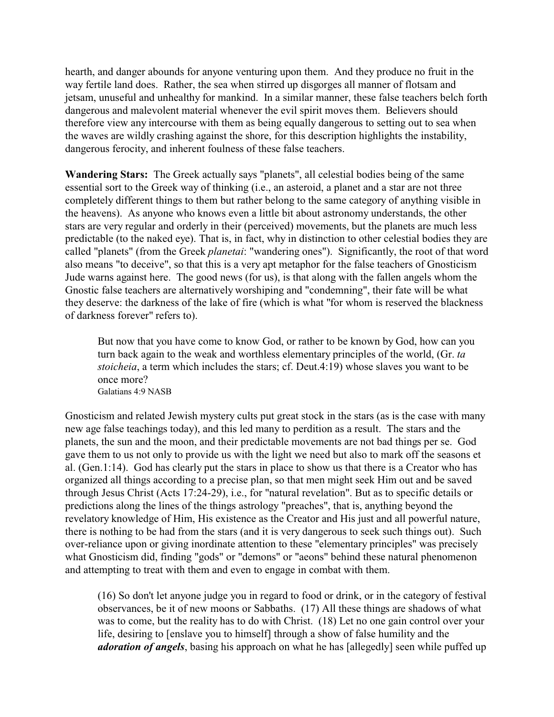hearth, and danger abounds for anyone venturing upon them. And they produce no fruit in the way fertile land does. Rather, the sea when stirred up disgorges all manner of flotsam and jetsam, unuseful and unhealthy for mankind. In a similar manner, these false teachers belch forth dangerous and malevolent material whenever the evil spirit moves them. Believers should therefore view any intercourse with them as being equally dangerous to setting out to sea when the waves are wildly crashing against the shore, for this description highlights the instability, dangerous ferocity, and inherent foulness of these false teachers.

**Wandering Stars:** The Greek actually says "planets", all celestial bodies being of the same essential sort to the Greek way of thinking (i.e., an asteroid, a planet and a star are not three completely different things to them but rather belong to the same category of anything visible in the heavens). As anyone who knows even a little bit about astronomy understands, the other stars are very regular and orderly in their (perceived) movements, but the planets are much less predictable (to the naked eye). That is, in fact, why in distinction to other celestial bodies they are called "planets" (from the Greek *planetai*: "wandering ones"). Significantly, the root of that word also means "to deceive", so that this is a very apt metaphor for the false teachers of Gnosticism Jude warns against here. The good news (for us), is that along with the fallen angels whom the Gnostic false teachers are alternatively worshiping and "condemning", their fate will be what they deserve: the darkness of the lake of fire (which is what "for whom is reserved the blackness of darkness forever" refers to).

But now that you have come to know God, or rather to be known by God, how can you turn back again to the weak and worthless elementary principles of the world, (Gr. *ta stoicheia*, a term which includes the stars; cf. Deut.4:19) whose slaves you want to be once more? Galatians 4:9 NASB

Gnosticism and related Jewish mystery cults put great stock in the stars (as is the case with many new age false teachings today), and this led many to perdition as a result. The stars and the planets, the sun and the moon, and their predictable movements are not bad things per se. God gave them to us not only to provide us with the light we need but also to mark off the seasons et al. (Gen.1:14). God has clearly put the stars in place to show us that there is a Creator who has organized all things according to a precise plan, so that men might seek Him out and be saved through Jesus Christ (Acts 17:24-29), i.e., for "natural revelation". But as to specific details or predictions along the lines of the things astrology "preaches", that is, anything beyond the revelatory knowledge of Him, His existence as the Creator and His just and all powerful nature, there is nothing to be had from the stars (and it is very dangerous to seek such things out). Such over-reliance upon or giving inordinate attention to these "elementary principles" was precisely what Gnosticism did, finding "gods" or "demons" or "aeons" behind these natural phenomenon and attempting to treat with them and even to engage in combat with them.

(16) So don't let anyone judge you in regard to food or drink, or in the category of festival observances, be it of new moons or Sabbaths. (17) All these things are shadows of what was to come, but the reality has to do with Christ. (18) Let no one gain control over your life, desiring to [enslave you to himself] through a show of false humility and the *adoration of angels*, basing his approach on what he has [allegedly] seen while puffed up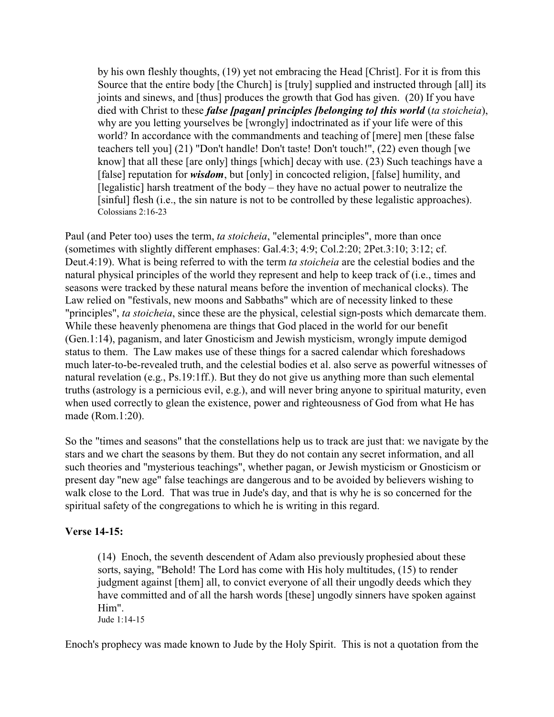by his own fleshly thoughts, (19) yet not embracing the Head [Christ]. For it is from this Source that the entire body [the Church] is [truly] supplied and instructed through [all] its joints and sinews, and [thus] produces the growth that God has given. (20) If you have died with Christ to these *false [pagan] principles [belonging to] this world* (*ta stoicheia*), why are you letting yourselves be [wrongly] indoctrinated as if your life were of this world? In accordance with the commandments and teaching of [mere] men [these false teachers tell you] (21) "Don't handle! Don't taste! Don't touch!", (22) even though [we know] that all these [are only] things [which] decay with use. (23) Such teachings have a [false] reputation for *wisdom*, but [only] in concocted religion, [false] humility, and [legalistic] harsh treatment of the body – they have no actual power to neutralize the [sinful] flesh (i.e., the sin nature is not to be controlled by these legalistic approaches). Colossians 2:16-23

Paul (and Peter too) uses the term, *ta stoicheia*, "elemental principles", more than once (sometimes with slightly different emphases: Gal.4:3; 4:9; Col.2:20; 2Pet.3:10; 3:12; cf. Deut.4:19). What is being referred to with the term *ta stoicheia* are the celestial bodies and the natural physical principles of the world they represent and help to keep track of (i.e., times and seasons were tracked by these natural means before the invention of mechanical clocks). The Law relied on "festivals, new moons and Sabbaths" which are of necessity linked to these "principles", *ta stoicheia*, since these are the physical, celestial sign-posts which demarcate them. While these heavenly phenomena are things that God placed in the world for our benefit (Gen.1:14), paganism, and later Gnosticism and Jewish mysticism, wrongly impute demigod status to them. The Law makes use of these things for a sacred calendar which foreshadows much later-to-be-revealed truth, and the celestial bodies et al. also serve as powerful witnesses of natural revelation (e.g., Ps.19:1ff.). But they do not give us anything more than such elemental truths (astrology is a pernicious evil, e.g.), and will never bring anyone to spiritual maturity, even when used correctly to glean the existence, power and righteousness of God from what He has made (Rom.1:20).

So the "times and seasons" that the constellations help us to track are just that: we navigate by the stars and we chart the seasons by them. But they do not contain any secret information, and all such theories and "mysterious teachings", whether pagan, or Jewish mysticism or Gnosticism or present day "new age" false teachings are dangerous and to be avoided by believers wishing to walk close to the Lord. That was true in Jude's day, and that is why he is so concerned for the spiritual safety of the congregations to which he is writing in this regard.

# **Verse 14-15:**

(14) Enoch, the seventh descendent of Adam also previously prophesied about these sorts, saying, "Behold! The Lord has come with His holy multitudes, (15) to render judgment against [them] all, to convict everyone of all their ungodly deeds which they have committed and of all the harsh words [these] ungodly sinners have spoken against Him". Jude 1:14-15

Enoch's prophecy was made known to Jude by the Holy Spirit. This is not a quotation from the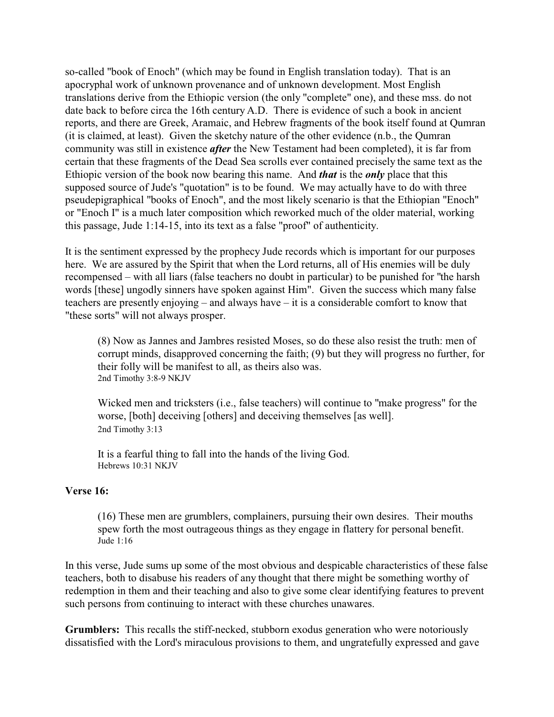so-called "book of Enoch" (which may be found in English translation today). That is an apocryphal work of unknown provenance and of unknown development. Most English translations derive from the Ethiopic version (the only "complete" one), and these mss. do not date back to before circa the 16th century A.D. There is evidence of such a book in ancient reports, and there are Greek, Aramaic, and Hebrew fragments of the book itself found at Qumran (it is claimed, at least). Given the sketchy nature of the other evidence (n.b., the Qumran community was still in existence *after* the New Testament had been completed), it is far from certain that these fragments of the Dead Sea scrolls ever contained precisely the same text as the Ethiopic version of the book now bearing this name. And *that* is the *only* place that this supposed source of Jude's "quotation" is to be found. We may actually have to do with three pseudepigraphical "books of Enoch", and the most likely scenario is that the Ethiopian "Enoch" or "Enoch I" is a much later composition which reworked much of the older material, working this passage, Jude 1:14-15, into its text as a false "proof" of authenticity.

It is the sentiment expressed by the prophecy Jude records which is important for our purposes here. We are assured by the Spirit that when the Lord returns, all of His enemies will be duly recompensed – with all liars (false teachers no doubt in particular) to be punished for "the harsh words [these] ungodly sinners have spoken against Him". Given the success which many false teachers are presently enjoying – and always have – it is a considerable comfort to know that "these sorts" will not always prosper.

(8) Now as Jannes and Jambres resisted Moses, so do these also resist the truth: men of corrupt minds, disapproved concerning the faith; (9) but they will progress no further, for their folly will be manifest to all, as theirs also was. 2nd Timothy 3:8-9 NKJV

Wicked men and tricksters (i.e., false teachers) will continue to "make progress" for the worse, [both] deceiving [others] and deceiving themselves [as well]. 2nd Timothy 3:13

It is a fearful thing to fall into the hands of the living God. Hebrews 10:31 NKJV

#### **Verse 16:**

(16) These men are grumblers, complainers, pursuing their own desires. Their mouths spew forth the most outrageous things as they engage in flattery for personal benefit. Jude 1:16

In this verse, Jude sums up some of the most obvious and despicable characteristics of these false teachers, both to disabuse his readers of any thought that there might be something worthy of redemption in them and their teaching and also to give some clear identifying features to prevent such persons from continuing to interact with these churches unawares.

**Grumblers:** This recalls the stiff-necked, stubborn exodus generation who were notoriously dissatisfied with the Lord's miraculous provisions to them, and ungratefully expressed and gave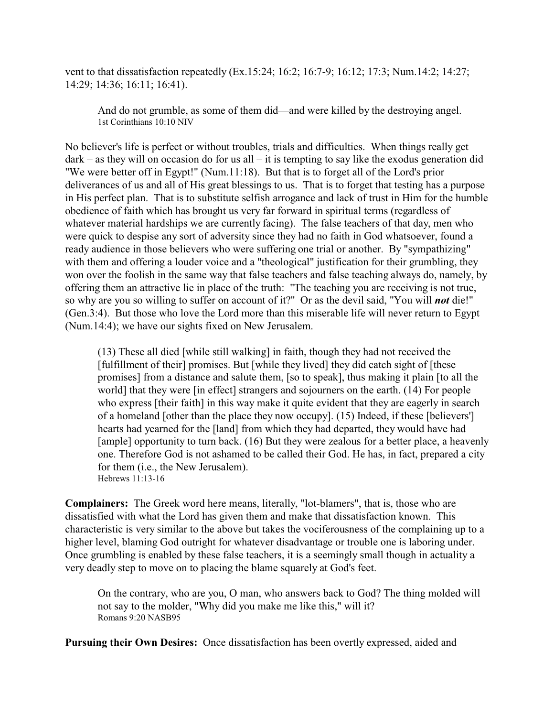vent to that dissatisfaction repeatedly (Ex.15:24; 16:2; 16:7-9; 16:12; 17:3; Num.14:2; 14:27; 14:29; 14:36; 16:11; 16:41).

And do not grumble, as some of them did—and were killed by the destroying angel. 1st Corinthians 10:10 NIV

No believer's life is perfect or without troubles, trials and difficulties. When things really get dark – as they will on occasion do for us all – it is tempting to say like the exodus generation did "We were better off in Egypt!" (Num.11:18). But that is to forget all of the Lord's prior deliverances of us and all of His great blessings to us. That is to forget that testing has a purpose in His perfect plan. That is to substitute selfish arrogance and lack of trust in Him for the humble obedience of faith which has brought us very far forward in spiritual terms (regardless of whatever material hardships we are currently facing). The false teachers of that day, men who were quick to despise any sort of adversity since they had no faith in God whatsoever, found a ready audience in those believers who were suffering one trial or another. By "sympathizing" with them and offering a louder voice and a "theological" justification for their grumbling, they won over the foolish in the same way that false teachers and false teaching always do, namely, by offering them an attractive lie in place of the truth: "The teaching you are receiving is not true, so why are you so willing to suffer on account of it?" Or as the devil said, "You will *not* die!" (Gen.3:4). But those who love the Lord more than this miserable life will never return to Egypt (Num.14:4); we have our sights fixed on New Jerusalem.

(13) These all died [while still walking] in faith, though they had not received the [fulfillment of their] promises. But [while they lived] they did catch sight of [these promises] from a distance and salute them, [so to speak], thus making it plain [to all the world] that they were [in effect] strangers and sojourners on the earth. (14) For people who express [their faith] in this way make it quite evident that they are eagerly in search of a homeland [other than the place they now occupy]. (15) Indeed, if these [believers'] hearts had yearned for the [land] from which they had departed, they would have had [ample] opportunity to turn back. (16) But they were zealous for a better place, a heavenly one. Therefore God is not ashamed to be called their God. He has, in fact, prepared a city for them (i.e., the New Jerusalem). Hebrews 11:13-16

**Complainers:** The Greek word here means, literally, "lot-blamers", that is, those who are dissatisfied with what the Lord has given them and make that dissatisfaction known. This characteristic is very similar to the above but takes the vociferousness of the complaining up to a higher level, blaming God outright for whatever disadvantage or trouble one is laboring under. Once grumbling is enabled by these false teachers, it is a seemingly small though in actuality a very deadly step to move on to placing the blame squarely at God's feet.

On the contrary, who are you, O man, who answers back to God? The thing molded will not say to the molder, "Why did you make me like this," will it? Romans 9:20 NASB95

**Pursuing their Own Desires:** Once dissatisfaction has been overtly expressed, aided and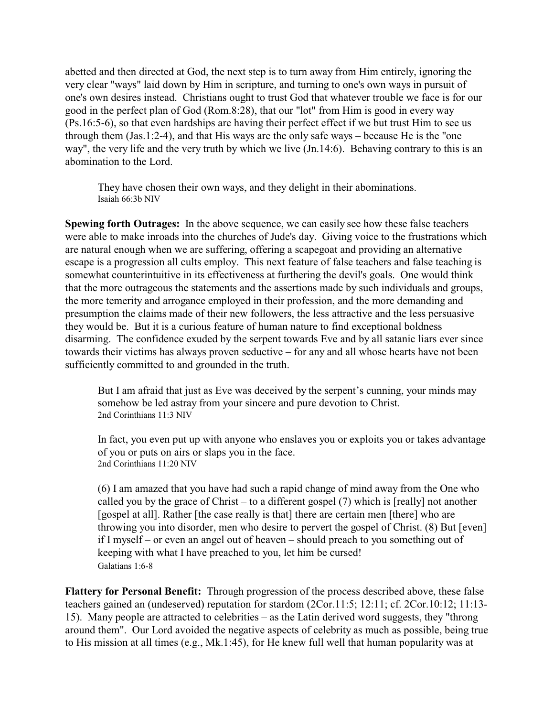abetted and then directed at God, the next step is to turn away from Him entirely, ignoring the very clear "ways" laid down by Him in scripture, and turning to one's own ways in pursuit of one's own desires instead. Christians ought to trust God that whatever trouble we face is for our good in the perfect plan of God (Rom.8:28), that our "lot" from Him is good in every way (Ps.16:5-6), so that even hardships are having their perfect effect if we but trust Him to see us through them (Jas.1:2-4), and that His ways are the only safe ways – because He is the "one way", the very life and the very truth by which we live (Jn.14:6). Behaving contrary to this is an abomination to the Lord.

They have chosen their own ways, and they delight in their abominations. Isaiah 66:3b NIV

**Spewing forth Outrages:** In the above sequence, we can easily see how these false teachers were able to make inroads into the churches of Jude's day. Giving voice to the frustrations which are natural enough when we are suffering, offering a scapegoat and providing an alternative escape is a progression all cults employ. This next feature of false teachers and false teaching is somewhat counterintuitive in its effectiveness at furthering the devil's goals. One would think that the more outrageous the statements and the assertions made by such individuals and groups, the more temerity and arrogance employed in their profession, and the more demanding and presumption the claims made of their new followers, the less attractive and the less persuasive they would be. But it is a curious feature of human nature to find exceptional boldness disarming. The confidence exuded by the serpent towards Eve and by all satanic liars ever since towards their victims has always proven seductive – for any and all whose hearts have not been sufficiently committed to and grounded in the truth.

But I am afraid that just as Eve was deceived by the serpent's cunning, your minds may somehow be led astray from your sincere and pure devotion to Christ. 2nd Corinthians 11:3 NIV

In fact, you even put up with anyone who enslaves you or exploits you or takes advantage of you or puts on airs or slaps you in the face. 2nd Corinthians 11:20 NIV

(6) I am amazed that you have had such a rapid change of mind away from the One who called you by the grace of Christ – to a different gospel (7) which is [really] not another [gospel at all]. Rather [the case really is that] there are certain men [there] who are throwing you into disorder, men who desire to pervert the gospel of Christ. (8) But [even] if I myself – or even an angel out of heaven – should preach to you something out of keeping with what I have preached to you, let him be cursed! Galatians 1:6-8

**Flattery for Personal Benefit:** Through progression of the process described above, these false teachers gained an (undeserved) reputation for stardom (2Cor.11:5; 12:11; cf. 2Cor.10:12; 11:13- 15). Many people are attracted to celebrities – as the Latin derived word suggests, they "throng around them". Our Lord avoided the negative aspects of celebrity as much as possible, being true to His mission at all times (e.g., Mk.1:45), for He knew full well that human popularity was at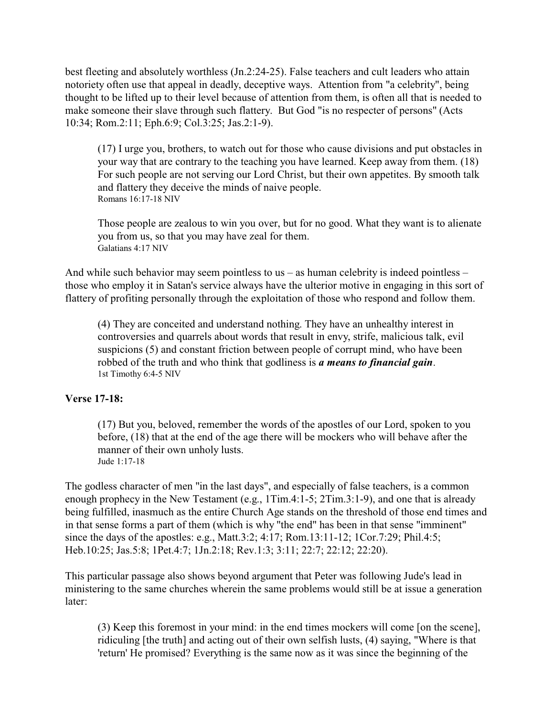best fleeting and absolutely worthless (Jn.2:24-25). False teachers and cult leaders who attain notoriety often use that appeal in deadly, deceptive ways. Attention from "a celebrity", being thought to be lifted up to their level because of attention from them, is often all that is needed to make someone their slave through such flattery. But God "is no respecter of persons" (Acts 10:34; Rom.2:11; Eph.6:9; Col.3:25; Jas.2:1-9).

(17) I urge you, brothers, to watch out for those who cause divisions and put obstacles in your way that are contrary to the teaching you have learned. Keep away from them. (18) For such people are not serving our Lord Christ, but their own appetites. By smooth talk and flattery they deceive the minds of naive people. Romans 16:17-18 NIV

Those people are zealous to win you over, but for no good. What they want is to alienate you from us, so that you may have zeal for them. Galatians 4:17 NIV

And while such behavior may seem pointless to us – as human celebrity is indeed pointless – those who employ it in Satan's service always have the ulterior motive in engaging in this sort of flattery of profiting personally through the exploitation of those who respond and follow them.

(4) They are conceited and understand nothing. They have an unhealthy interest in controversies and quarrels about words that result in envy, strife, malicious talk, evil suspicions (5) and constant friction between people of corrupt mind, who have been robbed of the truth and who think that godliness is *a means to financial gain*. 1st Timothy 6:4-5 NIV

#### **Verse 17-18:**

(17) But you, beloved, remember the words of the apostles of our Lord, spoken to you before, (18) that at the end of the age there will be mockers who will behave after the manner of their own unholy lusts. Jude 1:17-18

The godless character of men "in the last days", and especially of false teachers, is a common enough prophecy in the New Testament (e.g., 1Tim.4:1-5; 2Tim.3:1-9), and one that is already being fulfilled, inasmuch as the entire Church Age stands on the threshold of those end times and in that sense forms a part of them (which is why "the end" has been in that sense "imminent" since the days of the apostles: e.g., Matt.3:2; 4:17; Rom.13:11-12; 1Cor.7:29; Phil.4:5; Heb.10:25; Jas.5:8; 1Pet.4:7; 1Jn.2:18; Rev.1:3; 3:11; 22:7; 22:12; 22:20).

This particular passage also shows beyond argument that Peter was following Jude's lead in ministering to the same churches wherein the same problems would still be at issue a generation later:

(3) Keep this foremost in your mind: in the end times mockers will come [on the scene], ridiculing [the truth] and acting out of their own selfish lusts, (4) saying, "Where is that 'return' He promised? Everything is the same now as it was since the beginning of the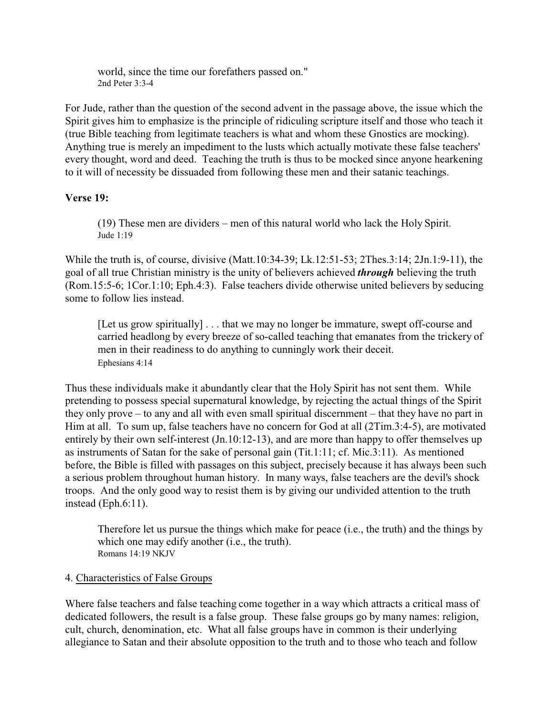world, since the time our forefathers passed on." 2nd Peter 3:3-4

For Jude, rather than the question of the second advent in the passage above, the issue which the Spirit gives him to emphasize is the principle of ridiculing scripture itself and those who teach it (true Bible teaching from legitimate teachers is what and whom these Gnostics are mocking). Anything true is merely an impediment to the lusts which actually motivate these false teachers' every thought, word and deed. Teaching the truth is thus to be mocked since anyone hearkening to it will of necessity be dissuaded from following these men and their satanic teachings.

#### **Verse 19:**

(19) These men are dividers – men of this natural world who lack the Holy Spirit. Jude 1:19

While the truth is, of course, divisive (Matt.10:34-39; Lk.12:51-53; 2Thes.3:14; 2Jn.1:9-11), the goal of all true Christian ministry is the unity of believers achieved *through* believing the truth (Rom.15:5-6; 1Cor.1:10; Eph.4:3). False teachers divide otherwise united believers by seducing some to follow lies instead.

[Let us grow spiritually] . . . that we may no longer be immature, swept off-course and carried headlong by every breeze of so-called teaching that emanates from the trickery of men in their readiness to do anything to cunningly work their deceit. Ephesians 4:14

Thus these individuals make it abundantly clear that the Holy Spirit has not sent them. While pretending to possess special supernatural knowledge, by rejecting the actual things of the Spirit they only prove – to any and all with even small spiritual discernment – that they have no part in Him at all. To sum up, false teachers have no concern for God at all (2Tim.3:4-5), are motivated entirely by their own self-interest (Jn.10:12-13), and are more than happy to offer themselves up as instruments of Satan for the sake of personal gain (Tit.1:11; cf. Mic.3:11). As mentioned before, the Bible is filled with passages on this subject, precisely because it has always been such a serious problem throughout human history. In many ways, false teachers are the devil's shock troops. And the only good way to resist them is by giving our undivided attention to the truth instead (Eph.6:11).

Therefore let us pursue the things which make for peace (i.e., the truth) and the things by which one may edify another (i.e., the truth). Romans 14:19 NKJV

#### 4. Characteristics of False Groups

Where false teachers and false teaching come together in a way which attracts a critical mass of dedicated followers, the result is a false group. These false groups go by many names: religion, cult, church, denomination, etc. What all false groups have in common is their underlying allegiance to Satan and their absolute opposition to the truth and to those who teach and follow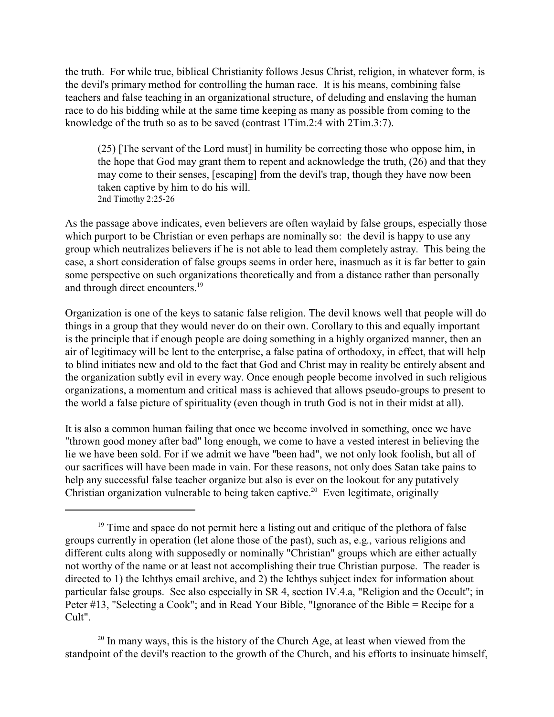the truth. For while true, biblical Christianity follows Jesus Christ, religion, in whatever form, is the devil's primary method for controlling the human race. It is his means, combining false teachers and false teaching in an organizational structure, of deluding and enslaving the human race to do his bidding while at the same time keeping as many as possible from coming to the knowledge of the truth so as to be saved (contrast 1Tim.2:4 with 2Tim.3:7).

(25) [The servant of the Lord must] in humility be correcting those who oppose him, in the hope that God may grant them to repent and acknowledge the truth, (26) and that they may come to their senses, [escaping] from the devil's trap, though they have now been taken captive by him to do his will. 2nd Timothy 2:25-26

As the passage above indicates, even believers are often waylaid by false groups, especially those which purport to be Christian or even perhaps are nominally so: the devil is happy to use any group which neutralizes believers if he is not able to lead them completely astray. This being the case, a short consideration of false groups seems in order here, inasmuch as it is far better to gain some perspective on such organizations theoretically and from a distance rather than personally and through direct encounters.<sup>19</sup>

Organization is one of the keys to satanic false religion. The devil knows well that people will do things in a group that they would never do on their own. Corollary to this and equally important is the principle that if enough people are doing something in a highly organized manner, then an air of legitimacy will be lent to the enterprise, a false patina of orthodoxy, in effect, that will help to blind initiates new and old to the fact that God and Christ may in reality be entirely absent and the organization subtly evil in every way. Once enough people become involved in such religious organizations, a momentum and critical mass is achieved that allows pseudo-groups to present to the world a false picture of spirituality (even though in truth God is not in their midst at all).

It is also a common human failing that once we become involved in something, once we have "thrown good money after bad" long enough, we come to have a vested interest in believing the lie we have been sold. For if we admit we have "been had", we not only look foolish, but all of our sacrifices will have been made in vain. For these reasons, not only does Satan take pains to help any successful false teacher organize but also is ever on the lookout for any putatively Christian organization vulnerable to being taken captive.<sup>20</sup> Even legitimate, originally

<sup>20</sup> In many ways, this is the history of the Church Age, at least when viewed from the standpoint of the devil's reaction to the growth of the Church, and his efforts to insinuate himself,

<sup>&</sup>lt;sup>19</sup> Time and space do not permit here a listing out and critique of the plethora of false groups currently in operation (let alone those of the past), such as, e.g., various religions and different cults along with supposedly or nominally "Christian" groups which are either actually not worthy of the name or at least not accomplishing their true Christian purpose. The reader is directed to 1) the Ichthys email archive, and 2) the Ichthys subject index for information about particular false groups. See also especially in SR 4, section IV.4.a, "Religion and the Occult"; in Peter #13, "Selecting a Cook"; and in Read Your Bible, "Ignorance of the Bible = Recipe for a Cult".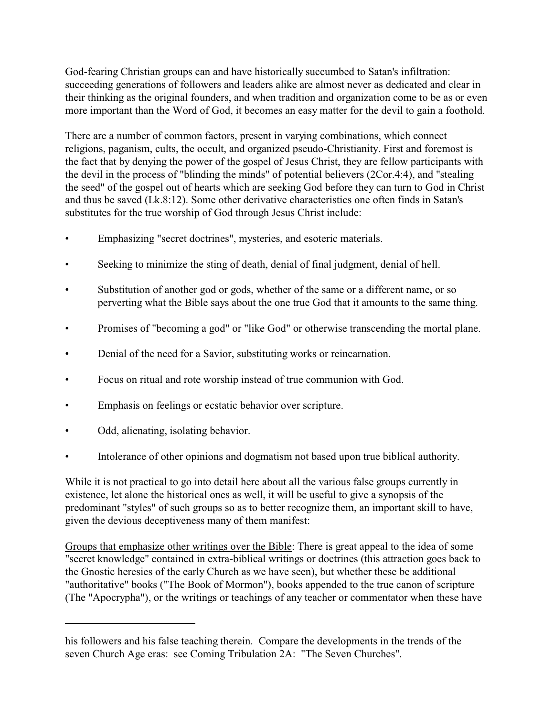God-fearing Christian groups can and have historically succumbed to Satan's infiltration: succeeding generations of followers and leaders alike are almost never as dedicated and clear in their thinking as the original founders, and when tradition and organization come to be as or even more important than the Word of God, it becomes an easy matter for the devil to gain a foothold.

There are a number of common factors, present in varying combinations, which connect religions, paganism, cults, the occult, and organized pseudo-Christianity. First and foremost is the fact that by denying the power of the gospel of Jesus Christ, they are fellow participants with the devil in the process of "blinding the minds" of potential believers (2Cor.4:4), and "stealing the seed" of the gospel out of hearts which are seeking God before they can turn to God in Christ and thus be saved (Lk.8:12). Some other derivative characteristics one often finds in Satan's substitutes for the true worship of God through Jesus Christ include:

- Emphasizing "secret doctrines", mysteries, and esoteric materials.
- Seeking to minimize the sting of death, denial of final judgment, denial of hell.
- Substitution of another god or gods, whether of the same or a different name, or so perverting what the Bible says about the one true God that it amounts to the same thing.
- Promises of "becoming a god" or "like God" or otherwise transcending the mortal plane.
- Denial of the need for a Savior, substituting works or reincarnation.
- Focus on ritual and rote worship instead of true communion with God.
- Emphasis on feelings or ecstatic behavior over scripture.
- Odd, alienating, isolating behavior.
- Intolerance of other opinions and dogmatism not based upon true biblical authority.

While it is not practical to go into detail here about all the various false groups currently in existence, let alone the historical ones as well, it will be useful to give a synopsis of the predominant "styles" of such groups so as to better recognize them, an important skill to have, given the devious deceptiveness many of them manifest:

Groups that emphasize other writings over the Bible: There is great appeal to the idea of some "secret knowledge" contained in extra-biblical writings or doctrines (this attraction goes back to the Gnostic heresies of the early Church as we have seen), but whether these be additional "authoritative" books ("The Book of Mormon"), books appended to the true canon of scripture (The "Apocrypha"), or the writings or teachings of any teacher or commentator when these have

his followers and his false teaching therein. Compare the developments in the trends of the seven Church Age eras: see Coming Tribulation 2A: "The Seven Churches".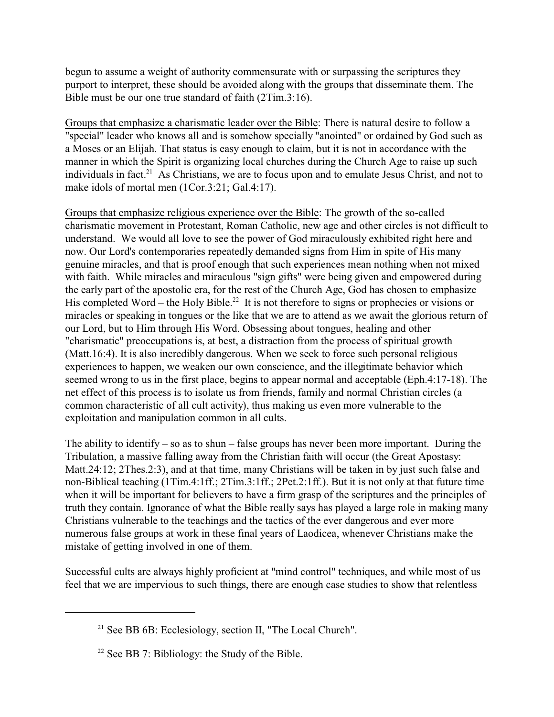begun to assume a weight of authority commensurate with or surpassing the scriptures they purport to interpret, these should be avoided along with the groups that disseminate them. The Bible must be our one true standard of faith (2Tim.3:16).

Groups that emphasize a charismatic leader over the Bible: There is natural desire to follow a "special" leader who knows all and is somehow specially "anointed" or ordained by God such as a Moses or an Elijah. That status is easy enough to claim, but it is not in accordance with the manner in which the Spirit is organizing local churches during the Church Age to raise up such individuals in fact.<sup>21</sup> As Christians, we are to focus upon and to emulate Jesus Christ, and not to make idols of mortal men (1Cor.3:21; Gal.4:17).

Groups that emphasize religious experience over the Bible: The growth of the so-called charismatic movement in Protestant, Roman Catholic, new age and other circles is not difficult to understand. We would all love to see the power of God miraculously exhibited right here and now. Our Lord's contemporaries repeatedly demanded signs from Him in spite of His many genuine miracles, and that is proof enough that such experiences mean nothing when not mixed with faith. While miracles and miraculous "sign gifts" were being given and empowered during the early part of the apostolic era, for the rest of the Church Age, God has chosen to emphasize His completed Word – the Holy Bible.<sup>22</sup> It is not therefore to signs or prophecies or visions or miracles or speaking in tongues or the like that we are to attend as we await the glorious return of our Lord, but to Him through His Word. Obsessing about tongues, healing and other "charismatic" preoccupations is, at best, a distraction from the process of spiritual growth (Matt.16:4). It is also incredibly dangerous. When we seek to force such personal religious experiences to happen, we weaken our own conscience, and the illegitimate behavior which seemed wrong to us in the first place, begins to appear normal and acceptable (Eph.4:17-18). The net effect of this process is to isolate us from friends, family and normal Christian circles (a common characteristic of all cult activity), thus making us even more vulnerable to the exploitation and manipulation common in all cults.

The ability to identify – so as to shun – false groups has never been more important. During the Tribulation, a massive falling away from the Christian faith will occur (the Great Apostasy: Matt.24:12; 2Thes.2:3), and at that time, many Christians will be taken in by just such false and non-Biblical teaching (1Tim.4:1ff.; 2Tim.3:1ff.; 2Pet.2:1ff.). But it is not only at that future time when it will be important for believers to have a firm grasp of the scriptures and the principles of truth they contain. Ignorance of what the Bible really says has played a large role in making many Christians vulnerable to the teachings and the tactics of the ever dangerous and ever more numerous false groups at work in these final years of Laodicea, whenever Christians make the mistake of getting involved in one of them.

Successful cults are always highly proficient at "mind control" techniques, and while most of us feel that we are impervious to such things, there are enough case studies to show that relentless

<sup>&</sup>lt;sup>21</sup> See BB 6B: Ecclesiology, section II, "The Local Church".

<sup>&</sup>lt;sup>22</sup> See BB 7: Bibliology: the Study of the Bible.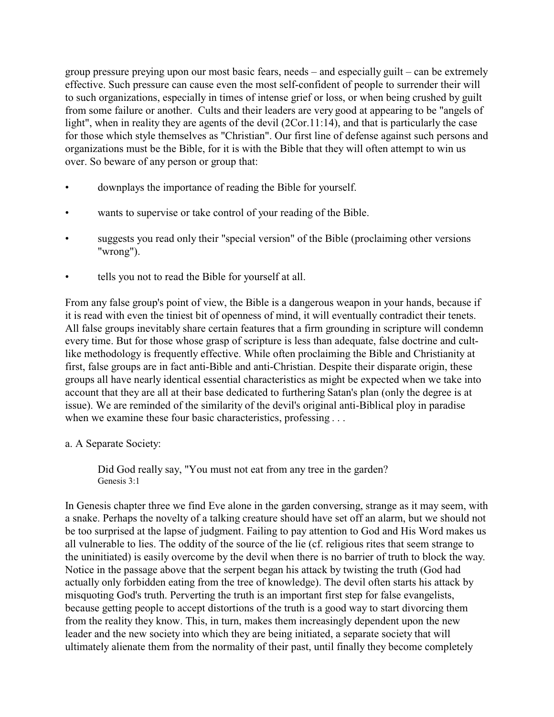group pressure preying upon our most basic fears, needs – and especially guilt – can be extremely effective. Such pressure can cause even the most self-confident of people to surrender their will to such organizations, especially in times of intense grief or loss, or when being crushed by guilt from some failure or another. Cults and their leaders are very good at appearing to be "angels of light", when in reality they are agents of the devil (2Cor.11:14), and that is particularly the case for those which style themselves as "Christian". Our first line of defense against such persons and organizations must be the Bible, for it is with the Bible that they will often attempt to win us over. So beware of any person or group that:

- downplays the importance of reading the Bible for yourself.
- wants to supervise or take control of your reading of the Bible.
- suggests you read only their "special version" of the Bible (proclaiming other versions "wrong").
- tells you not to read the Bible for yourself at all.

From any false group's point of view, the Bible is a dangerous weapon in your hands, because if it is read with even the tiniest bit of openness of mind, it will eventually contradict their tenets. All false groups inevitably share certain features that a firm grounding in scripture will condemn every time. But for those whose grasp of scripture is less than adequate, false doctrine and cultlike methodology is frequently effective. While often proclaiming the Bible and Christianity at first, false groups are in fact anti-Bible and anti-Christian. Despite their disparate origin, these groups all have nearly identical essential characteristics as might be expected when we take into account that they are all at their base dedicated to furthering Satan's plan (only the degree is at issue). We are reminded of the similarity of the devil's original anti-Biblical ploy in paradise when we examine these four basic characteristics, professing . . .

a. A Separate Society:

Did God really say, "You must not eat from any tree in the garden? Genesis 3:1

In Genesis chapter three we find Eve alone in the garden conversing, strange as it may seem, with a snake. Perhaps the novelty of a talking creature should have set off an alarm, but we should not be too surprised at the lapse of judgment. Failing to pay attention to God and His Word makes us all vulnerable to lies. The oddity of the source of the lie (cf. religious rites that seem strange to the uninitiated) is easily overcome by the devil when there is no barrier of truth to block the way. Notice in the passage above that the serpent began his attack by twisting the truth (God had actually only forbidden eating from the tree of knowledge). The devil often starts his attack by misquoting God's truth. Perverting the truth is an important first step for false evangelists, because getting people to accept distortions of the truth is a good way to start divorcing them from the reality they know. This, in turn, makes them increasingly dependent upon the new leader and the new society into which they are being initiated, a separate society that will ultimately alienate them from the normality of their past, until finally they become completely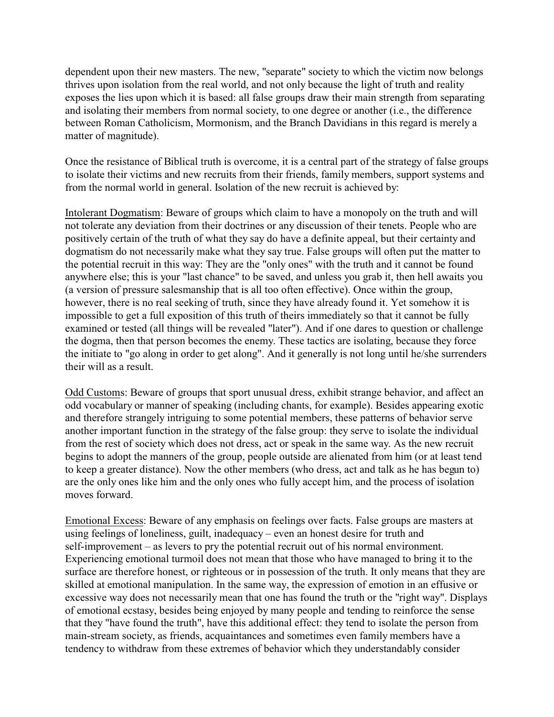dependent upon their new masters. The new, "separate" society to which the victim now belongs thrives upon isolation from the real world, and not only because the light of truth and reality exposes the lies upon which it is based: all false groups draw their main strength from separating and isolating their members from normal society, to one degree or another (i.e., the difference between Roman Catholicism, Mormonism, and the Branch Davidians in this regard is merely a matter of magnitude).

Once the resistance of Biblical truth is overcome, it is a central part of the strategy of false groups to isolate their victims and new recruits from their friends, family members, support systems and from the normal world in general. Isolation of the new recruit is achieved by:

Intolerant Dogmatism: Beware of groups which claim to have a monopoly on the truth and will not tolerate any deviation from their doctrines or any discussion of their tenets. People who are positively certain of the truth of what they say do have a definite appeal, but their certainty and dogmatism do not necessarily make what they say true. False groups will often put the matter to the potential recruit in this way: They are the "only ones" with the truth and it cannot be found anywhere else; this is your "last chance" to be saved, and unless you grab it, then hell awaits you (a version of pressure salesmanship that is all too often effective). Once within the group, however, there is no real seeking of truth, since they have already found it. Yet somehow it is impossible to get a full exposition of this truth of theirs immediately so that it cannot be fully examined or tested (all things will be revealed "later"). And if one dares to question or challenge the dogma, then that person becomes the enemy. These tactics are isolating, because they force the initiate to "go along in order to get along". And it generally is not long until he/she surrenders their will as a result.

Odd Customs: Beware of groups that sport unusual dress, exhibit strange behavior, and affect an odd vocabulary or manner of speaking (including chants, for example). Besides appearing exotic and therefore strangely intriguing to some potential members, these patterns of behavior serve another important function in the strategy of the false group: they serve to isolate the individual from the rest of society which does not dress, act or speak in the same way. As the new recruit begins to adopt the manners of the group, people outside are alienated from him (or at least tend to keep a greater distance). Now the other members (who dress, act and talk as he has begun to) are the only ones like him and the only ones who fully accept him, and the process of isolation moves forward.

Emotional Excess: Beware of any emphasis on feelings over facts. False groups are masters at using feelings of loneliness, guilt, inadequacy – even an honest desire for truth and self-improvement – as levers to pry the potential recruit out of his normal environment. Experiencing emotional turmoil does not mean that those who have managed to bring it to the surface are therefore honest, or righteous or in possession of the truth. It only means that they are skilled at emotional manipulation. In the same way, the expression of emotion in an effusive or excessive way does not necessarily mean that one has found the truth or the "right way". Displays of emotional ecstasy, besides being enjoyed by many people and tending to reinforce the sense that they "have found the truth", have this additional effect: they tend to isolate the person from main-stream society, as friends, acquaintances and sometimes even family members have a tendency to withdraw from these extremes of behavior which they understandably consider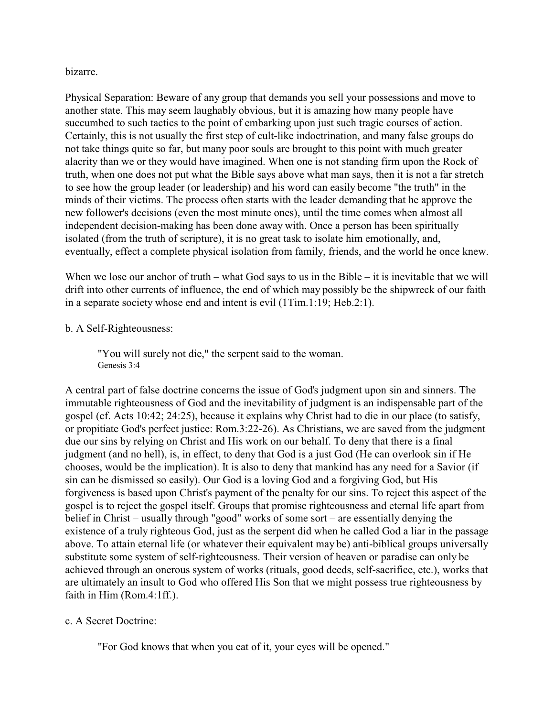### bizarre.

Physical Separation: Beware of any group that demands you sell your possessions and move to another state. This may seem laughably obvious, but it is amazing how many people have succumbed to such tactics to the point of embarking upon just such tragic courses of action. Certainly, this is not usually the first step of cult-like indoctrination, and many false groups do not take things quite so far, but many poor souls are brought to this point with much greater alacrity than we or they would have imagined. When one is not standing firm upon the Rock of truth, when one does not put what the Bible says above what man says, then it is not a far stretch to see how the group leader (or leadership) and his word can easily become "the truth" in the minds of their victims. The process often starts with the leader demanding that he approve the new follower's decisions (even the most minute ones), until the time comes when almost all independent decision-making has been done away with. Once a person has been spiritually isolated (from the truth of scripture), it is no great task to isolate him emotionally, and, eventually, effect a complete physical isolation from family, friends, and the world he once knew.

When we lose our anchor of truth – what God says to us in the Bible – it is inevitable that we will drift into other currents of influence, the end of which may possibly be the shipwreck of our faith in a separate society whose end and intent is evil (1Tim.1:19; Heb.2:1).

# b. A Self-Righteousness:

"You will surely not die," the serpent said to the woman. Genesis 3:4

A central part of false doctrine concerns the issue of God's judgment upon sin and sinners. The immutable righteousness of God and the inevitability of judgment is an indispensable part of the gospel (cf. Acts 10:42; 24:25), because it explains why Christ had to die in our place (to satisfy, or propitiate God's perfect justice: Rom.3:22-26). As Christians, we are saved from the judgment due our sins by relying on Christ and His work on our behalf. To deny that there is a final judgment (and no hell), is, in effect, to deny that God is a just God (He can overlook sin if He chooses, would be the implication). It is also to deny that mankind has any need for a Savior (if sin can be dismissed so easily). Our God is a loving God and a forgiving God, but His forgiveness is based upon Christ's payment of the penalty for our sins. To reject this aspect of the gospel is to reject the gospel itself. Groups that promise righteousness and eternal life apart from belief in Christ – usually through "good" works of some sort – are essentially denying the existence of a truly righteous God, just as the serpent did when he called God a liar in the passage above. To attain eternal life (or whatever their equivalent may be) anti-biblical groups universally substitute some system of self-righteousness. Their version of heaven or paradise can only be achieved through an onerous system of works (rituals, good deeds, self-sacrifice, etc.), works that are ultimately an insult to God who offered His Son that we might possess true righteousness by faith in Him (Rom.4:1ff.).

#### c. A Secret Doctrine:

"For God knows that when you eat of it, your eyes will be opened."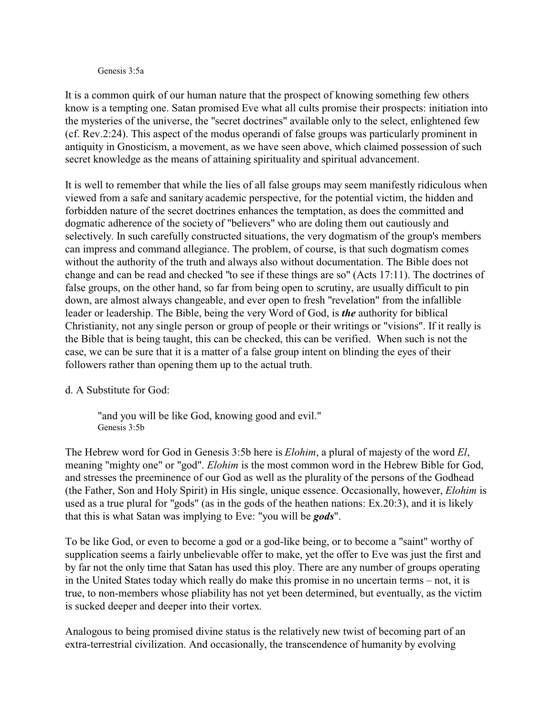#### Genesis 3:5a

It is a common quirk of our human nature that the prospect of knowing something few others know is a tempting one. Satan promised Eve what all cults promise their prospects: initiation into the mysteries of the universe, the "secret doctrines" available only to the select, enlightened few (cf. Rev.2:24). This aspect of the modus operandi of false groups was particularly prominent in antiquity in Gnosticism, a movement, as we have seen above, which claimed possession of such secret knowledge as the means of attaining spirituality and spiritual advancement.

It is well to remember that while the lies of all false groups may seem manifestly ridiculous when viewed from a safe and sanitary academic perspective, for the potential victim, the hidden and forbidden nature of the secret doctrines enhances the temptation, as does the committed and dogmatic adherence of the society of "believers" who are doling them out cautiously and selectively. In such carefully constructed situations, the very dogmatism of the group's members can impress and command allegiance. The problem, of course, is that such dogmatism comes without the authority of the truth and always also without documentation. The Bible does not change and can be read and checked "to see if these things are so" (Acts 17:11). The doctrines of false groups, on the other hand, so far from being open to scrutiny, are usually difficult to pin down, are almost always changeable, and ever open to fresh "revelation" from the infallible leader or leadership. The Bible, being the very Word of God, is *the* authority for biblical Christianity, not any single person or group of people or their writings or "visions". If it really is the Bible that is being taught, this can be checked, this can be verified. When such is not the case, we can be sure that it is a matter of a false group intent on blinding the eyes of their followers rather than opening them up to the actual truth.

#### d. A Substitute for God:

"and you will be like God, knowing good and evil." Genesis 3:5b

The Hebrew word for God in Genesis 3:5b here is *Elohim*, a plural of majesty of the word *El*, meaning "mighty one" or "god". *Elohim* is the most common word in the Hebrew Bible for God, and stresses the preeminence of our God as well as the plurality of the persons of the Godhead (the Father, Son and Holy Spirit) in His single, unique essence. Occasionally, however, *Elohim* is used as a true plural for "gods" (as in the gods of the heathen nations: Ex.20:3), and it is likely that this is what Satan was implying to Eve: "you will be *gods*".

To be like God, or even to become a god or a god-like being, or to become a "saint" worthy of supplication seems a fairly unbelievable offer to make, yet the offer to Eve was just the first and by far not the only time that Satan has used this ploy. There are any number of groups operating in the United States today which really do make this promise in no uncertain terms – not, it is true, to non-members whose pliability has not yet been determined, but eventually, as the victim is sucked deeper and deeper into their vortex.

Analogous to being promised divine status is the relatively new twist of becoming part of an extra-terrestrial civilization. And occasionally, the transcendence of humanity by evolving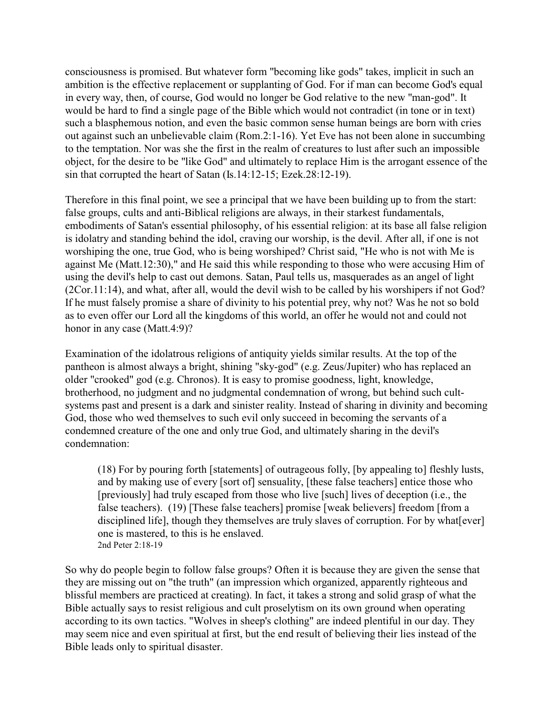consciousness is promised. But whatever form "becoming like gods" takes, implicit in such an ambition is the effective replacement or supplanting of God. For if man can become God's equal in every way, then, of course, God would no longer be God relative to the new "man-god". It would be hard to find a single page of the Bible which would not contradict (in tone or in text) such a blasphemous notion, and even the basic common sense human beings are born with cries out against such an unbelievable claim (Rom.2:1-16). Yet Eve has not been alone in succumbing to the temptation. Nor was she the first in the realm of creatures to lust after such an impossible object, for the desire to be "like God" and ultimately to replace Him is the arrogant essence of the sin that corrupted the heart of Satan (Is.14:12-15; Ezek.28:12-19).

Therefore in this final point, we see a principal that we have been building up to from the start: false groups, cults and anti-Biblical religions are always, in their starkest fundamentals, embodiments of Satan's essential philosophy, of his essential religion: at its base all false religion is idolatry and standing behind the idol, craving our worship, is the devil. After all, if one is not worshiping the one, true God, who is being worshiped? Christ said, "He who is not with Me is against Me (Matt.12:30)," and He said this while responding to those who were accusing Him of using the devil's help to cast out demons. Satan, Paul tells us, masquerades as an angel of light (2Cor.11:14), and what, after all, would the devil wish to be called by his worshipers if not God? If he must falsely promise a share of divinity to his potential prey, why not? Was he not so bold as to even offer our Lord all the kingdoms of this world, an offer he would not and could not honor in any case (Matt.4:9)?

Examination of the idolatrous religions of antiquity yields similar results. At the top of the pantheon is almost always a bright, shining "sky-god" (e.g. Zeus/Jupiter) who has replaced an older "crooked" god (e.g. Chronos). It is easy to promise goodness, light, knowledge, brotherhood, no judgment and no judgmental condemnation of wrong, but behind such cultsystems past and present is a dark and sinister reality. Instead of sharing in divinity and becoming God, those who wed themselves to such evil only succeed in becoming the servants of a condemned creature of the one and only true God, and ultimately sharing in the devil's condemnation:

(18) For by pouring forth [statements] of outrageous folly, [by appealing to] fleshly lusts, and by making use of every [sort of] sensuality, [these false teachers] entice those who [previously] had truly escaped from those who live [such] lives of deception (i.e., the false teachers). (19) [These false teachers] promise [weak believers] freedom [from a disciplined life], though they themselves are truly slaves of corruption. For by what[ever] one is mastered, to this is he enslaved. 2nd Peter 2:18-19

So why do people begin to follow false groups? Often it is because they are given the sense that they are missing out on "the truth" (an impression which organized, apparently righteous and blissful members are practiced at creating). In fact, it takes a strong and solid grasp of what the Bible actually says to resist religious and cult proselytism on its own ground when operating according to its own tactics. "Wolves in sheep's clothing" are indeed plentiful in our day. They may seem nice and even spiritual at first, but the end result of believing their lies instead of the Bible leads only to spiritual disaster.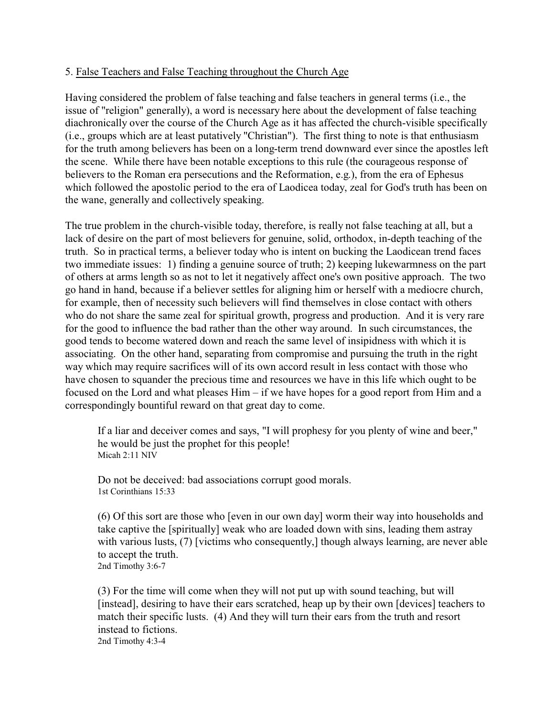### 5. False Teachers and False Teaching throughout the Church Age

Having considered the problem of false teaching and false teachers in general terms (i.e., the issue of "religion" generally), a word is necessary here about the development of false teaching diachronically over the course of the Church Age as it has affected the church-visible specifically (i.e., groups which are at least putatively "Christian"). The first thing to note is that enthusiasm for the truth among believers has been on a long-term trend downward ever since the apostles left the scene. While there have been notable exceptions to this rule (the courageous response of believers to the Roman era persecutions and the Reformation, e.g.), from the era of Ephesus which followed the apostolic period to the era of Laodicea today, zeal for God's truth has been on the wane, generally and collectively speaking.

The true problem in the church-visible today, therefore, is really not false teaching at all, but a lack of desire on the part of most believers for genuine, solid, orthodox, in-depth teaching of the truth. So in practical terms, a believer today who is intent on bucking the Laodicean trend faces two immediate issues: 1) finding a genuine source of truth; 2) keeping lukewarmness on the part of others at arms length so as not to let it negatively affect one's own positive approach. The two go hand in hand, because if a believer settles for aligning him or herself with a mediocre church, for example, then of necessity such believers will find themselves in close contact with others who do not share the same zeal for spiritual growth, progress and production. And it is very rare for the good to influence the bad rather than the other way around. In such circumstances, the good tends to become watered down and reach the same level of insipidness with which it is associating. On the other hand, separating from compromise and pursuing the truth in the right way which may require sacrifices will of its own accord result in less contact with those who have chosen to squander the precious time and resources we have in this life which ought to be focused on the Lord and what pleases Him – if we have hopes for a good report from Him and a correspondingly bountiful reward on that great day to come.

If a liar and deceiver comes and says, "I will prophesy for you plenty of wine and beer," he would be just the prophet for this people! Micah 2:11 NIV

Do not be deceived: bad associations corrupt good morals. 1st Corinthians 15:33

(6) Of this sort are those who [even in our own day] worm their way into households and take captive the [spiritually] weak who are loaded down with sins, leading them astray with various lusts, (7) [victims who consequently,] though always learning, are never able to accept the truth. 2nd Timothy 3:6-7

(3) For the time will come when they will not put up with sound teaching, but will [instead], desiring to have their ears scratched, heap up by their own [devices] teachers to match their specific lusts. (4) And they will turn their ears from the truth and resort instead to fictions. 2nd Timothy 4:3-4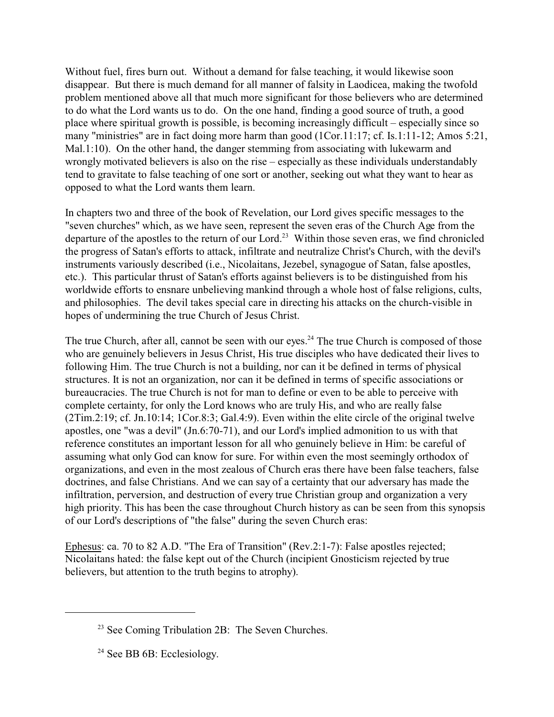Without fuel, fires burn out. Without a demand for false teaching, it would likewise soon disappear. But there is much demand for all manner of falsity in Laodicea, making the twofold problem mentioned above all that much more significant for those believers who are determined to do what the Lord wants us to do. On the one hand, finding a good source of truth, a good place where spiritual growth is possible, is becoming increasingly difficult – especially since so many "ministries" are in fact doing more harm than good (1Cor.11:17; cf. Is.1:11-12; Amos 5:21, Mal.1:10). On the other hand, the danger stemming from associating with lukewarm and wrongly motivated believers is also on the rise – especially as these individuals understandably tend to gravitate to false teaching of one sort or another, seeking out what they want to hear as opposed to what the Lord wants them learn.

In chapters two and three of the book of Revelation, our Lord gives specific messages to the "seven churches" which, as we have seen, represent the seven eras of the Church Age from the departure of the apostles to the return of our Lord.<sup>23</sup> Within those seven eras, we find chronicled the progress of Satan's efforts to attack, infiltrate and neutralize Christ's Church, with the devil's instruments variously described (i.e., Nicolaitans, Jezebel, synagogue of Satan, false apostles, etc.). This particular thrust of Satan's efforts against believers is to be distinguished from his worldwide efforts to ensnare unbelieving mankind through a whole host of false religions, cults, and philosophies. The devil takes special care in directing his attacks on the church-visible in hopes of undermining the true Church of Jesus Christ.

The true Church, after all, cannot be seen with our eyes.<sup>24</sup> The true Church is composed of those who are genuinely believers in Jesus Christ, His true disciples who have dedicated their lives to following Him. The true Church is not a building, nor can it be defined in terms of physical structures. It is not an organization, nor can it be defined in terms of specific associations or bureaucracies. The true Church is not for man to define or even to be able to perceive with complete certainty, for only the Lord knows who are truly His, and who are really false (2Tim.2:19; cf. Jn.10:14; 1Cor.8:3; Gal.4:9). Even within the elite circle of the original twelve apostles, one "was a devil" (Jn.6:70-71), and our Lord's implied admonition to us with that reference constitutes an important lesson for all who genuinely believe in Him: be careful of assuming what only God can know for sure. For within even the most seemingly orthodox of organizations, and even in the most zealous of Church eras there have been false teachers, false doctrines, and false Christians. And we can say of a certainty that our adversary has made the infiltration, perversion, and destruction of every true Christian group and organization a very high priority. This has been the case throughout Church history as can be seen from this synopsis of our Lord's descriptions of "the false" during the seven Church eras:

Ephesus: ca. 70 to 82 A.D. "The Era of Transition" (Rev.2:1-7): False apostles rejected; Nicolaitans hated: the false kept out of the Church (incipient Gnosticism rejected by true believers, but attention to the truth begins to atrophy).

<sup>&</sup>lt;sup>23</sup> See Coming Tribulation 2B: The Seven Churches.

<sup>&</sup>lt;sup>24</sup> See BB 6B: Ecclesiology.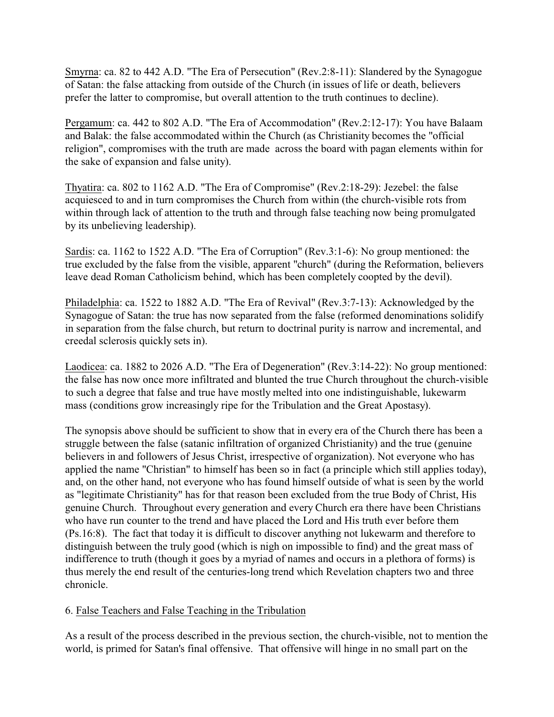Smyrna: ca. 82 to 442 A.D. "The Era of Persecution" (Rev.2:8-11): Slandered by the Synagogue of Satan: the false attacking from outside of the Church (in issues of life or death, believers prefer the latter to compromise, but overall attention to the truth continues to decline).

Pergamum: ca. 442 to 802 A.D. "The Era of Accommodation" (Rev.2:12-17): You have Balaam and Balak: the false accommodated within the Church (as Christianity becomes the "official religion", compromises with the truth are made across the board with pagan elements within for the sake of expansion and false unity).

Thyatira: ca. 802 to 1162 A.D. "The Era of Compromise" (Rev.2:18-29): Jezebel: the false acquiesced to and in turn compromises the Church from within (the church-visible rots from within through lack of attention to the truth and through false teaching now being promulgated by its unbelieving leadership).

Sardis: ca. 1162 to 1522 A.D. "The Era of Corruption" (Rev.3:1-6): No group mentioned: the true excluded by the false from the visible, apparent "church" (during the Reformation, believers leave dead Roman Catholicism behind, which has been completely coopted by the devil).

Philadelphia: ca. 1522 to 1882 A.D. "The Era of Revival" (Rev.3:7-13): Acknowledged by the Synagogue of Satan: the true has now separated from the false (reformed denominations solidify in separation from the false church, but return to doctrinal purity is narrow and incremental, and creedal sclerosis quickly sets in).

Laodicea: ca. 1882 to 2026 A.D. "The Era of Degeneration" (Rev.3:14-22): No group mentioned: the false has now once more infiltrated and blunted the true Church throughout the church-visible to such a degree that false and true have mostly melted into one indistinguishable, lukewarm mass (conditions grow increasingly ripe for the Tribulation and the Great Apostasy).

The synopsis above should be sufficient to show that in every era of the Church there has been a struggle between the false (satanic infiltration of organized Christianity) and the true (genuine believers in and followers of Jesus Christ, irrespective of organization). Not everyone who has applied the name "Christian" to himself has been so in fact (a principle which still applies today), and, on the other hand, not everyone who has found himself outside of what is seen by the world as "legitimate Christianity" has for that reason been excluded from the true Body of Christ, His genuine Church. Throughout every generation and every Church era there have been Christians who have run counter to the trend and have placed the Lord and His truth ever before them (Ps.16:8). The fact that today it is difficult to discover anything not lukewarm and therefore to distinguish between the truly good (which is nigh on impossible to find) and the great mass of indifference to truth (though it goes by a myriad of names and occurs in a plethora of forms) is thus merely the end result of the centuries-long trend which Revelation chapters two and three chronicle.

# 6. False Teachers and False Teaching in the Tribulation

As a result of the process described in the previous section, the church-visible, not to mention the world, is primed for Satan's final offensive. That offensive will hinge in no small part on the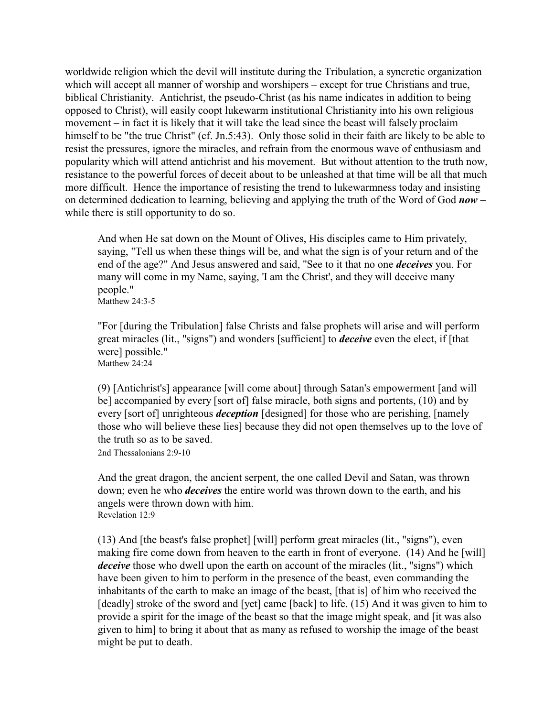worldwide religion which the devil will institute during the Tribulation, a syncretic organization which will accept all manner of worship and worshipers – except for true Christians and true, biblical Christianity. Antichrist, the pseudo-Christ (as his name indicates in addition to being opposed to Christ), will easily coopt lukewarm institutional Christianity into his own religious movement – in fact it is likely that it will take the lead since the beast will falsely proclaim himself to be "the true Christ" (cf. Jn.5:43). Only those solid in their faith are likely to be able to resist the pressures, ignore the miracles, and refrain from the enormous wave of enthusiasm and popularity which will attend antichrist and his movement. But without attention to the truth now, resistance to the powerful forces of deceit about to be unleashed at that time will be all that much more difficult. Hence the importance of resisting the trend to lukewarmness today and insisting on determined dedication to learning, believing and applying the truth of the Word of God *now* – while there is still opportunity to do so.

And when He sat down on the Mount of Olives, His disciples came to Him privately, saying, "Tell us when these things will be, and what the sign is of your return and of the end of the age?" And Jesus answered and said, "See to it that no one *deceives* you. For many will come in my Name, saying, 'I am the Christ', and they will deceive many people."

Matthew 24:3-5

"For [during the Tribulation] false Christs and false prophets will arise and will perform great miracles (lit., "signs") and wonders [sufficient] to *deceive* even the elect, if [that were] possible." Matthew 24:24

(9) [Antichrist's] appearance [will come about] through Satan's empowerment [and will be] accompanied by every [sort of] false miracle, both signs and portents, (10) and by every [sort of] unrighteous *deception* [designed] for those who are perishing, [namely those who will believe these lies] because they did not open themselves up to the love of the truth so as to be saved.

2nd Thessalonians 2:9-10

And the great dragon, the ancient serpent, the one called Devil and Satan, was thrown down; even he who *deceives* the entire world was thrown down to the earth, and his angels were thrown down with him. Revelation 12:9

(13) And [the beast's false prophet] [will] perform great miracles (lit., "signs"), even making fire come down from heaven to the earth in front of everyone. (14) And he [will] *deceive* those who dwell upon the earth on account of the miracles (lit., "signs") which have been given to him to perform in the presence of the beast, even commanding the inhabitants of the earth to make an image of the beast, [that is] of him who received the [deadly] stroke of the sword and [yet] came [back] to life. (15) And it was given to him to provide a spirit for the image of the beast so that the image might speak, and [it was also given to him] to bring it about that as many as refused to worship the image of the beast might be put to death.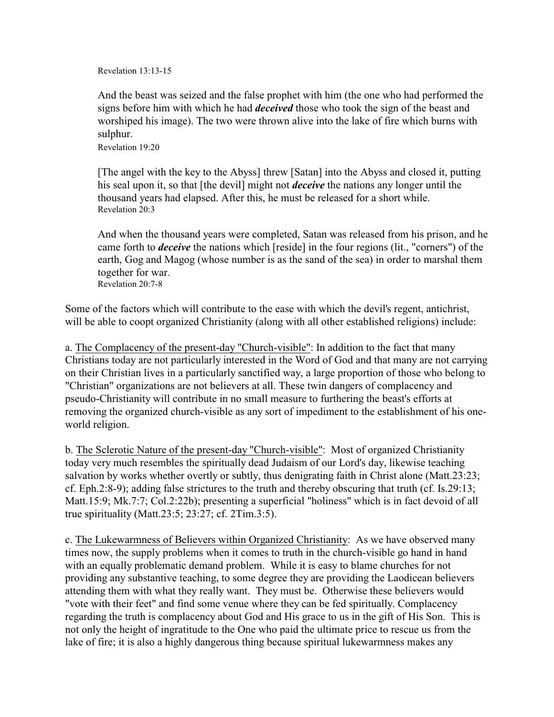Revelation 13:13-15

And the beast was seized and the false prophet with him (the one who had performed the signs before him with which he had *deceived* those who took the sign of the beast and worshiped his image). The two were thrown alive into the lake of fire which burns with sulphur.

Revelation 19:20

[The angel with the key to the Abyss] threw [Satan] into the Abyss and closed it, putting his seal upon it, so that [the devil] might not *deceive* the nations any longer until the thousand years had elapsed. After this, he must be released for a short while. Revelation 20:3

And when the thousand years were completed, Satan was released from his prison, and he came forth to *deceive* the nations which [reside] in the four regions (lit., "corners") of the earth, Gog and Magog (whose number is as the sand of the sea) in order to marshal them together for war. Revelation 20:7-8

Some of the factors which will contribute to the ease with which the devil's regent, antichrist, will be able to coopt organized Christianity (along with all other established religions) include:

a. The Complacency of the present-day "Church-visible": In addition to the fact that many Christians today are not particularly interested in the Word of God and that many are not carrying on their Christian lives in a particularly sanctified way, a large proportion of those who belong to "Christian" organizations are not believers at all. These twin dangers of complacency and pseudo-Christianity will contribute in no small measure to furthering the beast's efforts at removing the organized church-visible as any sort of impediment to the establishment of his oneworld religion.

b. The Sclerotic Nature of the present-day "Church-visible": Most of organized Christianity today very much resembles the spiritually dead Judaism of our Lord's day, likewise teaching salvation by works whether overtly or subtly, thus denigrating faith in Christ alone (Matt.23:23; cf. Eph.2:8-9); adding false strictures to the truth and thereby obscuring that truth (cf. Is.29:13; Matt.15:9; Mk.7:7; Col.2:22b); presenting a superficial "holiness" which is in fact devoid of all true spirituality (Matt.23:5; 23:27; cf. 2Tim.3:5).

c. The Lukewarmness of Believers within Organized Christianity: As we have observed many times now, the supply problems when it comes to truth in the church-visible go hand in hand with an equally problematic demand problem. While it is easy to blame churches for not providing any substantive teaching, to some degree they are providing the Laodicean believers attending them with what they really want. They must be. Otherwise these believers would "vote with their feet" and find some venue where they can be fed spiritually. Complacency regarding the truth is complacency about God and His grace to us in the gift of His Son. This is not only the height of ingratitude to the One who paid the ultimate price to rescue us from the lake of fire; it is also a highly dangerous thing because spiritual lukewarmness makes any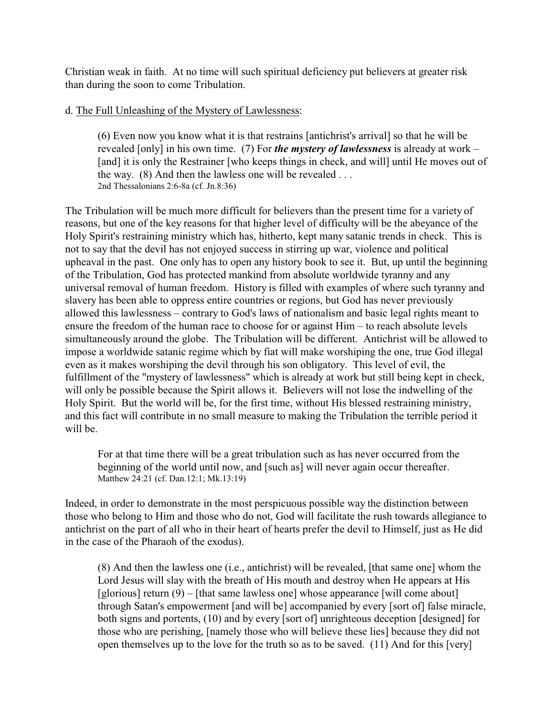Christian weak in faith. At no time will such spiritual deficiency put believers at greater risk than during the soon to come Tribulation.

### d. The Full Unleashing of the Mystery of Lawlessness:

(6) Even now you know what it is that restrains [antichrist's arrival] so that he will be revealed [only] in his own time. (7) For *the mystery of lawlessness* is already at work – [and] it is only the Restrainer [who keeps things in check, and will] until He moves out of the way.  $(8)$  And then the lawless one will be revealed ... 2nd Thessalonians 2:6-8a (cf. Jn.8:36)

The Tribulation will be much more difficult for believers than the present time for a variety of reasons, but one of the key reasons for that higher level of difficulty will be the abeyance of the Holy Spirit's restraining ministry which has, hitherto, kept many satanic trends in check. This is not to say that the devil has not enjoyed success in stirring up war, violence and political upheaval in the past. One only has to open any history book to see it. But, up until the beginning of the Tribulation, God has protected mankind from absolute worldwide tyranny and any universal removal of human freedom. History is filled with examples of where such tyranny and slavery has been able to oppress entire countries or regions, but God has never previously allowed this lawlessness – contrary to God's laws of nationalism and basic legal rights meant to ensure the freedom of the human race to choose for or against Him – to reach absolute levels simultaneously around the globe. The Tribulation will be different. Antichrist will be allowed to impose a worldwide satanic regime which by fiat will make worshiping the one, true God illegal even as it makes worshiping the devil through his son obligatory. This level of evil, the fulfillment of the "mystery of lawlessness" which is already at work but still being kept in check, will only be possible because the Spirit allows it. Believers will not lose the indwelling of the Holy Spirit. But the world will be, for the first time, without His blessed restraining ministry, and this fact will contribute in no small measure to making the Tribulation the terrible period it will be.

For at that time there will be a great tribulation such as has never occurred from the beginning of the world until now, and [such as] will never again occur thereafter. Matthew 24:21 (cf. Dan.12:1; Mk.13:19)

Indeed, in order to demonstrate in the most perspicuous possible way the distinction between those who belong to Him and those who do not, God will facilitate the rush towards allegiance to antichrist on the part of all who in their heart of hearts prefer the devil to Himself, just as He did in the case of the Pharaoh of the exodus).

(8) And then the lawless one (i.e., antichrist) will be revealed, [that same one] whom the Lord Jesus will slay with the breath of His mouth and destroy when He appears at His [glorious] return (9) – [that same lawless one] whose appearance [will come about] through Satan's empowerment [and will be] accompanied by every [sort of] false miracle, both signs and portents, (10) and by every [sort of] unrighteous deception [designed] for those who are perishing, [namely those who will believe these lies] because they did not open themselves up to the love for the truth so as to be saved. (11) And for this [very]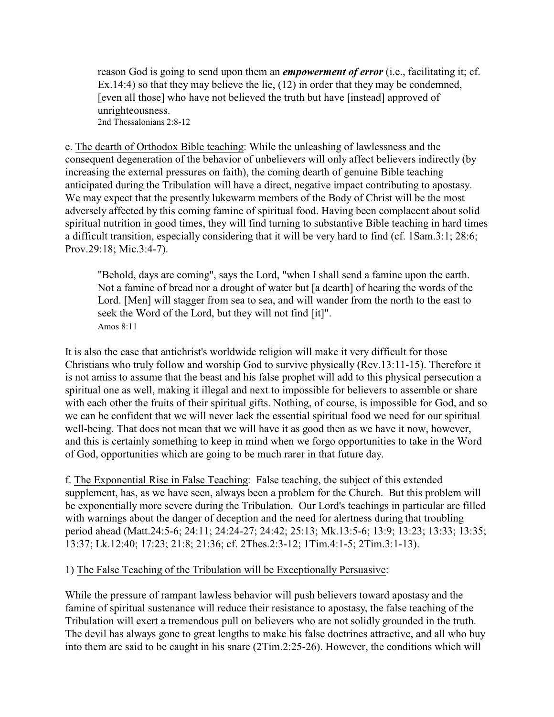reason God is going to send upon them an *empowerment of error* (i.e., facilitating it; cf. Ex.14:4) so that they may believe the lie, (12) in order that they may be condemned, [even all those] who have not believed the truth but have [instead] approved of unrighteousness. 2nd Thessalonians 2:8-12

e. The dearth of Orthodox Bible teaching: While the unleashing of lawlessness and the consequent degeneration of the behavior of unbelievers will only affect believers indirectly (by increasing the external pressures on faith), the coming dearth of genuine Bible teaching anticipated during the Tribulation will have a direct, negative impact contributing to apostasy. We may expect that the presently lukewarm members of the Body of Christ will be the most adversely affected by this coming famine of spiritual food. Having been complacent about solid spiritual nutrition in good times, they will find turning to substantive Bible teaching in hard times a difficult transition, especially considering that it will be very hard to find (cf. 1Sam.3:1; 28:6; Prov.29:18; Mic.3:4-7).

"Behold, days are coming", says the Lord, "when I shall send a famine upon the earth. Not a famine of bread nor a drought of water but [a dearth] of hearing the words of the Lord. [Men] will stagger from sea to sea, and will wander from the north to the east to seek the Word of the Lord, but they will not find [it]". Amos  $8:11$ 

It is also the case that antichrist's worldwide religion will make it very difficult for those Christians who truly follow and worship God to survive physically (Rev.13:11-15). Therefore it is not amiss to assume that the beast and his false prophet will add to this physical persecution a spiritual one as well, making it illegal and next to impossible for believers to assemble or share with each other the fruits of their spiritual gifts. Nothing, of course, is impossible for God, and so we can be confident that we will never lack the essential spiritual food we need for our spiritual well-being. That does not mean that we will have it as good then as we have it now, however, and this is certainly something to keep in mind when we forgo opportunities to take in the Word of God, opportunities which are going to be much rarer in that future day.

f. The Exponential Rise in False Teaching: False teaching, the subject of this extended supplement, has, as we have seen, always been a problem for the Church. But this problem will be exponentially more severe during the Tribulation. Our Lord's teachings in particular are filled with warnings about the danger of deception and the need for alertness during that troubling period ahead (Matt.24:5-6; 24:11; 24:24-27; 24:42; 25:13; Mk.13:5-6; 13:9; 13:23; 13:33; 13:35; 13:37; Lk.12:40; 17:23; 21:8; 21:36; cf. 2Thes.2:3-12; 1Tim.4:1-5; 2Tim.3:1-13).

# 1) The False Teaching of the Tribulation will be Exceptionally Persuasive:

While the pressure of rampant lawless behavior will push believers toward apostasy and the famine of spiritual sustenance will reduce their resistance to apostasy, the false teaching of the Tribulation will exert a tremendous pull on believers who are not solidly grounded in the truth. The devil has always gone to great lengths to make his false doctrines attractive, and all who buy into them are said to be caught in his snare (2Tim.2:25-26). However, the conditions which will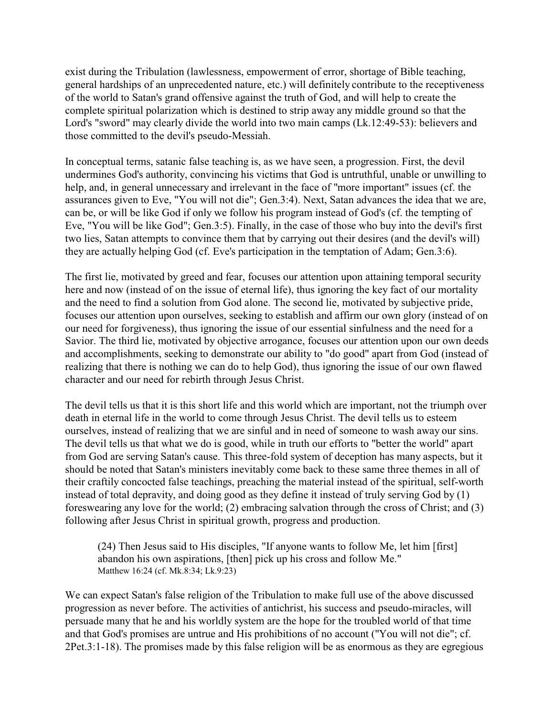exist during the Tribulation (lawlessness, empowerment of error, shortage of Bible teaching, general hardships of an unprecedented nature, etc.) will definitely contribute to the receptiveness of the world to Satan's grand offensive against the truth of God, and will help to create the complete spiritual polarization which is destined to strip away any middle ground so that the Lord's "sword" may clearly divide the world into two main camps (Lk.12:49-53): believers and those committed to the devil's pseudo-Messiah.

In conceptual terms, satanic false teaching is, as we have seen, a progression. First, the devil undermines God's authority, convincing his victims that God is untruthful, unable or unwilling to help, and, in general unnecessary and irrelevant in the face of "more important" issues (cf. the assurances given to Eve, "You will not die"; Gen.3:4). Next, Satan advances the idea that we are, can be, or will be like God if only we follow his program instead of God's (cf. the tempting of Eve, "You will be like God"; Gen.3:5). Finally, in the case of those who buy into the devil's first two lies, Satan attempts to convince them that by carrying out their desires (and the devil's will) they are actually helping God (cf. Eve's participation in the temptation of Adam; Gen.3:6).

The first lie, motivated by greed and fear, focuses our attention upon attaining temporal security here and now (instead of on the issue of eternal life), thus ignoring the key fact of our mortality and the need to find a solution from God alone. The second lie, motivated by subjective pride, focuses our attention upon ourselves, seeking to establish and affirm our own glory (instead of on our need for forgiveness), thus ignoring the issue of our essential sinfulness and the need for a Savior. The third lie, motivated by objective arrogance, focuses our attention upon our own deeds and accomplishments, seeking to demonstrate our ability to "do good" apart from God (instead of realizing that there is nothing we can do to help God), thus ignoring the issue of our own flawed character and our need for rebirth through Jesus Christ.

The devil tells us that it is this short life and this world which are important, not the triumph over death in eternal life in the world to come through Jesus Christ. The devil tells us to esteem ourselves, instead of realizing that we are sinful and in need of someone to wash away our sins. The devil tells us that what we do is good, while in truth our efforts to "better the world" apart from God are serving Satan's cause. This three-fold system of deception has many aspects, but it should be noted that Satan's ministers inevitably come back to these same three themes in all of their craftily concocted false teachings, preaching the material instead of the spiritual, self-worth instead of total depravity, and doing good as they define it instead of truly serving God by (1) foreswearing any love for the world; (2) embracing salvation through the cross of Christ; and (3) following after Jesus Christ in spiritual growth, progress and production.

(24) Then Jesus said to His disciples, "If anyone wants to follow Me, let him [first] abandon his own aspirations, [then] pick up his cross and follow Me." Matthew 16:24 (cf. Mk.8:34; Lk.9:23)

We can expect Satan's false religion of the Tribulation to make full use of the above discussed progression as never before. The activities of antichrist, his success and pseudo-miracles, will persuade many that he and his worldly system are the hope for the troubled world of that time and that God's promises are untrue and His prohibitions of no account ("You will not die"; cf. 2Pet.3:1-18). The promises made by this false religion will be as enormous as they are egregious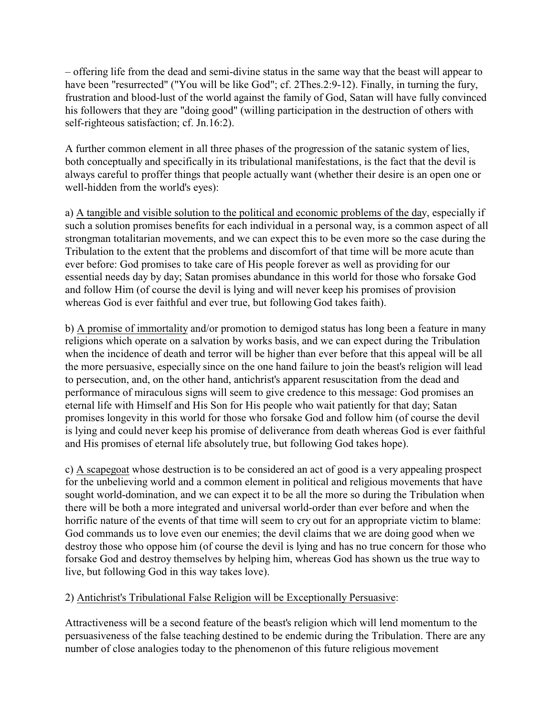– offering life from the dead and semi-divine status in the same way that the beast will appear to have been "resurrected" ("You will be like God"; cf. 2Thes.2:9-12). Finally, in turning the fury, frustration and blood-lust of the world against the family of God, Satan will have fully convinced his followers that they are "doing good" (willing participation in the destruction of others with self-righteous satisfaction; cf. Jn.16:2).

A further common element in all three phases of the progression of the satanic system of lies, both conceptually and specifically in its tribulational manifestations, is the fact that the devil is always careful to proffer things that people actually want (whether their desire is an open one or well-hidden from the world's eyes):

a) A tangible and visible solution to the political and economic problems of the day, especially if such a solution promises benefits for each individual in a personal way, is a common aspect of all strongman totalitarian movements, and we can expect this to be even more so the case during the Tribulation to the extent that the problems and discomfort of that time will be more acute than ever before: God promises to take care of His people forever as well as providing for our essential needs day by day; Satan promises abundance in this world for those who forsake God and follow Him (of course the devil is lying and will never keep his promises of provision whereas God is ever faithful and ever true, but following God takes faith).

b) A promise of immortality and/or promotion to demigod status has long been a feature in many religions which operate on a salvation by works basis, and we can expect during the Tribulation when the incidence of death and terror will be higher than ever before that this appeal will be all the more persuasive, especially since on the one hand failure to join the beast's religion will lead to persecution, and, on the other hand, antichrist's apparent resuscitation from the dead and performance of miraculous signs will seem to give credence to this message: God promises an eternal life with Himself and His Son for His people who wait patiently for that day; Satan promises longevity in this world for those who forsake God and follow him (of course the devil is lying and could never keep his promise of deliverance from death whereas God is ever faithful and His promises of eternal life absolutely true, but following God takes hope).

c) A scapegoat whose destruction is to be considered an act of good is a very appealing prospect for the unbelieving world and a common element in political and religious movements that have sought world-domination, and we can expect it to be all the more so during the Tribulation when there will be both a more integrated and universal world-order than ever before and when the horrific nature of the events of that time will seem to cry out for an appropriate victim to blame: God commands us to love even our enemies; the devil claims that we are doing good when we destroy those who oppose him (of course the devil is lying and has no true concern for those who forsake God and destroy themselves by helping him, whereas God has shown us the true way to live, but following God in this way takes love).

# 2) Antichrist's Tribulational False Religion will be Exceptionally Persuasive:

Attractiveness will be a second feature of the beast's religion which will lend momentum to the persuasiveness of the false teaching destined to be endemic during the Tribulation. There are any number of close analogies today to the phenomenon of this future religious movement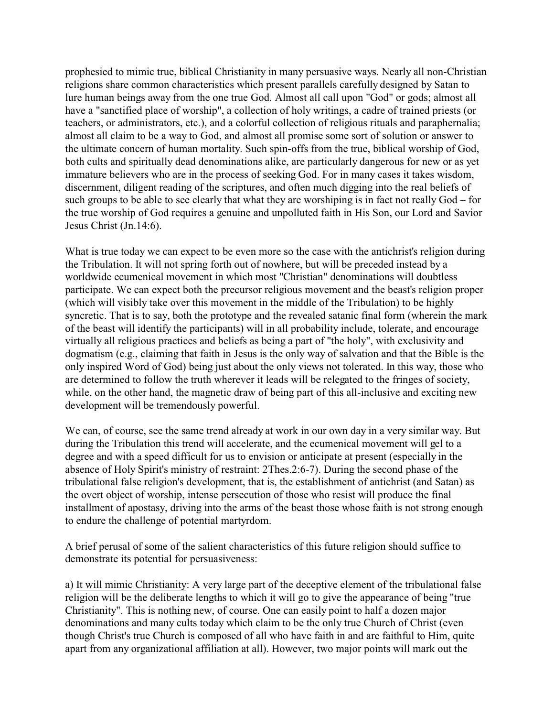prophesied to mimic true, biblical Christianity in many persuasive ways. Nearly all non-Christian religions share common characteristics which present parallels carefully designed by Satan to lure human beings away from the one true God. Almost all call upon "God" or gods; almost all have a "sanctified place of worship", a collection of holy writings, a cadre of trained priests (or teachers, or administrators, etc.), and a colorful collection of religious rituals and paraphernalia; almost all claim to be a way to God, and almost all promise some sort of solution or answer to the ultimate concern of human mortality. Such spin-offs from the true, biblical worship of God, both cults and spiritually dead denominations alike, are particularly dangerous for new or as yet immature believers who are in the process of seeking God. For in many cases it takes wisdom, discernment, diligent reading of the scriptures, and often much digging into the real beliefs of such groups to be able to see clearly that what they are worshiping is in fact not really God – for the true worship of God requires a genuine and unpolluted faith in His Son, our Lord and Savior Jesus Christ (Jn.14:6).

What is true today we can expect to be even more so the case with the antichrist's religion during the Tribulation. It will not spring forth out of nowhere, but will be preceded instead by a worldwide ecumenical movement in which most "Christian" denominations will doubtless participate. We can expect both the precursor religious movement and the beast's religion proper (which will visibly take over this movement in the middle of the Tribulation) to be highly syncretic. That is to say, both the prototype and the revealed satanic final form (wherein the mark of the beast will identify the participants) will in all probability include, tolerate, and encourage virtually all religious practices and beliefs as being a part of "the holy", with exclusivity and dogmatism (e.g., claiming that faith in Jesus is the only way of salvation and that the Bible is the only inspired Word of God) being just about the only views not tolerated. In this way, those who are determined to follow the truth wherever it leads will be relegated to the fringes of society, while, on the other hand, the magnetic draw of being part of this all-inclusive and exciting new development will be tremendously powerful.

We can, of course, see the same trend already at work in our own day in a very similar way. But during the Tribulation this trend will accelerate, and the ecumenical movement will gel to a degree and with a speed difficult for us to envision or anticipate at present (especially in the absence of Holy Spirit's ministry of restraint: 2Thes.2:6-7). During the second phase of the tribulational false religion's development, that is, the establishment of antichrist (and Satan) as the overt object of worship, intense persecution of those who resist will produce the final installment of apostasy, driving into the arms of the beast those whose faith is not strong enough to endure the challenge of potential martyrdom.

A brief perusal of some of the salient characteristics of this future religion should suffice to demonstrate its potential for persuasiveness:

a) It will mimic Christianity: A very large part of the deceptive element of the tribulational false religion will be the deliberate lengths to which it will go to give the appearance of being "true Christianity". This is nothing new, of course. One can easily point to half a dozen major denominations and many cults today which claim to be the only true Church of Christ (even though Christ's true Church is composed of all who have faith in and are faithful to Him, quite apart from any organizational affiliation at all). However, two major points will mark out the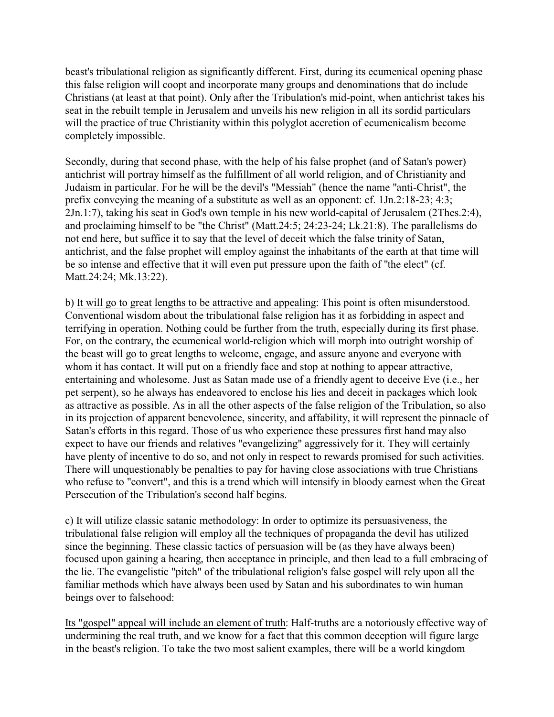beast's tribulational religion as significantly different. First, during its ecumenical opening phase this false religion will coopt and incorporate many groups and denominations that do include Christians (at least at that point). Only after the Tribulation's mid-point, when antichrist takes his seat in the rebuilt temple in Jerusalem and unveils his new religion in all its sordid particulars will the practice of true Christianity within this polyglot accretion of ecumenicalism become completely impossible.

Secondly, during that second phase, with the help of his false prophet (and of Satan's power) antichrist will portray himself as the fulfillment of all world religion, and of Christianity and Judaism in particular. For he will be the devil's "Messiah" (hence the name "anti-Christ", the prefix conveying the meaning of a substitute as well as an opponent: cf. 1Jn.2:18-23; 4:3; 2Jn.1:7), taking his seat in God's own temple in his new world-capital of Jerusalem (2Thes.2:4), and proclaiming himself to be "the Christ" (Matt.24:5; 24:23-24; Lk.21:8). The parallelisms do not end here, but suffice it to say that the level of deceit which the false trinity of Satan, antichrist, and the false prophet will employ against the inhabitants of the earth at that time will be so intense and effective that it will even put pressure upon the faith of "the elect" (cf. Matt.24:24; Mk.13:22).

b) It will go to great lengths to be attractive and appealing: This point is often misunderstood. Conventional wisdom about the tribulational false religion has it as forbidding in aspect and terrifying in operation. Nothing could be further from the truth, especially during its first phase. For, on the contrary, the ecumenical world-religion which will morph into outright worship of the beast will go to great lengths to welcome, engage, and assure anyone and everyone with whom it has contact. It will put on a friendly face and stop at nothing to appear attractive, entertaining and wholesome. Just as Satan made use of a friendly agent to deceive Eve (i.e., her pet serpent), so he always has endeavored to enclose his lies and deceit in packages which look as attractive as possible. As in all the other aspects of the false religion of the Tribulation, so also in its projection of apparent benevolence, sincerity, and affability, it will represent the pinnacle of Satan's efforts in this regard. Those of us who experience these pressures first hand may also expect to have our friends and relatives "evangelizing" aggressively for it. They will certainly have plenty of incentive to do so, and not only in respect to rewards promised for such activities. There will unquestionably be penalties to pay for having close associations with true Christians who refuse to "convert", and this is a trend which will intensify in bloody earnest when the Great Persecution of the Tribulation's second half begins.

c) It will utilize classic satanic methodology: In order to optimize its persuasiveness, the tribulational false religion will employ all the techniques of propaganda the devil has utilized since the beginning. These classic tactics of persuasion will be (as they have always been) focused upon gaining a hearing, then acceptance in principle, and then lead to a full embracing of the lie. The evangelistic "pitch" of the tribulational religion's false gospel will rely upon all the familiar methods which have always been used by Satan and his subordinates to win human beings over to falsehood:

Its "gospel" appeal will include an element of truth: Half-truths are a notoriously effective way of undermining the real truth, and we know for a fact that this common deception will figure large in the beast's religion. To take the two most salient examples, there will be a world kingdom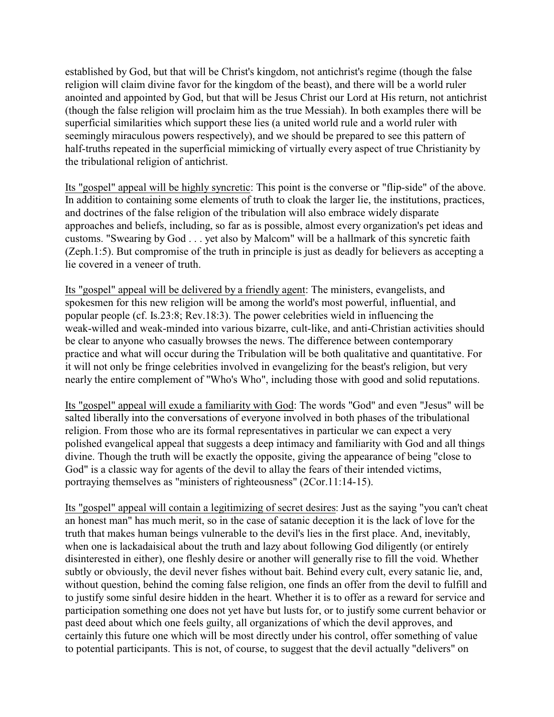established by God, but that will be Christ's kingdom, not antichrist's regime (though the false religion will claim divine favor for the kingdom of the beast), and there will be a world ruler anointed and appointed by God, but that will be Jesus Christ our Lord at His return, not antichrist (though the false religion will proclaim him as the true Messiah). In both examples there will be superficial similarities which support these lies (a united world rule and a world ruler with seemingly miraculous powers respectively), and we should be prepared to see this pattern of half-truths repeated in the superficial mimicking of virtually every aspect of true Christianity by the tribulational religion of antichrist.

Its "gospel" appeal will be highly syncretic: This point is the converse or "flip-side" of the above. In addition to containing some elements of truth to cloak the larger lie, the institutions, practices, and doctrines of the false religion of the tribulation will also embrace widely disparate approaches and beliefs, including, so far as is possible, almost every organization's pet ideas and customs. "Swearing by God . . . yet also by Malcom" will be a hallmark of this syncretic faith (Zeph.1:5). But compromise of the truth in principle is just as deadly for believers as accepting a lie covered in a veneer of truth.

Its "gospel" appeal will be delivered by a friendly agent: The ministers, evangelists, and spokesmen for this new religion will be among the world's most powerful, influential, and popular people (cf. Is.23:8; Rev.18:3). The power celebrities wield in influencing the weak-willed and weak-minded into various bizarre, cult-like, and anti-Christian activities should be clear to anyone who casually browses the news. The difference between contemporary practice and what will occur during the Tribulation will be both qualitative and quantitative. For it will not only be fringe celebrities involved in evangelizing for the beast's religion, but very nearly the entire complement of "Who's Who", including those with good and solid reputations.

Its "gospel" appeal will exude a familiarity with God: The words "God" and even "Jesus" will be salted liberally into the conversations of everyone involved in both phases of the tribulational religion. From those who are its formal representatives in particular we can expect a very polished evangelical appeal that suggests a deep intimacy and familiarity with God and all things divine. Though the truth will be exactly the opposite, giving the appearance of being "close to God" is a classic way for agents of the devil to allay the fears of their intended victims, portraying themselves as "ministers of righteousness" (2Cor.11:14-15).

Its "gospel" appeal will contain a legitimizing of secret desires: Just as the saying "you can't cheat an honest man" has much merit, so in the case of satanic deception it is the lack of love for the truth that makes human beings vulnerable to the devil's lies in the first place. And, inevitably, when one is lackadaisical about the truth and lazy about following God diligently (or entirely disinterested in either), one fleshly desire or another will generally rise to fill the void. Whether subtly or obviously, the devil never fishes without bait. Behind every cult, every satanic lie, and, without question, behind the coming false religion, one finds an offer from the devil to fulfill and to justify some sinful desire hidden in the heart. Whether it is to offer as a reward for service and participation something one does not yet have but lusts for, or to justify some current behavior or past deed about which one feels guilty, all organizations of which the devil approves, and certainly this future one which will be most directly under his control, offer something of value to potential participants. This is not, of course, to suggest that the devil actually "delivers" on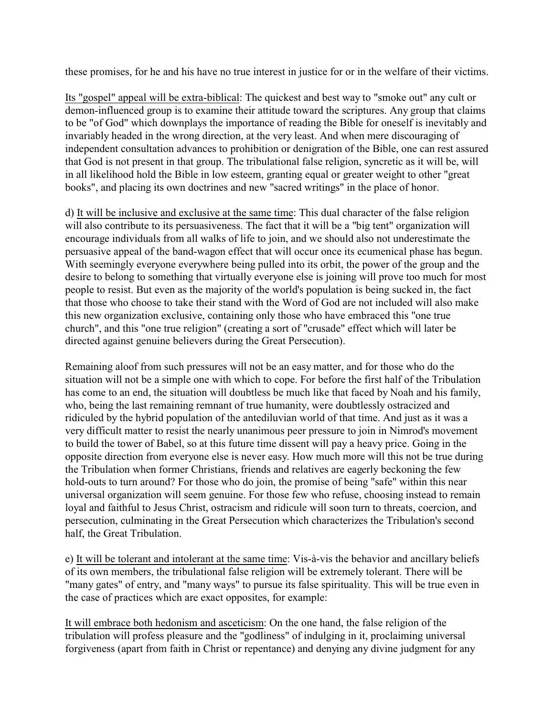these promises, for he and his have no true interest in justice for or in the welfare of their victims.

Its "gospel" appeal will be extra-biblical: The quickest and best way to "smoke out" any cult or demon-influenced group is to examine their attitude toward the scriptures. Any group that claims to be "of God" which downplays the importance of reading the Bible for oneself is inevitably and invariably headed in the wrong direction, at the very least. And when mere discouraging of independent consultation advances to prohibition or denigration of the Bible, one can rest assured that God is not present in that group. The tribulational false religion, syncretic as it will be, will in all likelihood hold the Bible in low esteem, granting equal or greater weight to other "great books", and placing its own doctrines and new "sacred writings" in the place of honor.

d) It will be inclusive and exclusive at the same time: This dual character of the false religion will also contribute to its persuasiveness. The fact that it will be a "big tent" organization will encourage individuals from all walks of life to join, and we should also not underestimate the persuasive appeal of the band-wagon effect that will occur once its ecumenical phase has begun. With seemingly everyone everywhere being pulled into its orbit, the power of the group and the desire to belong to something that virtually everyone else is joining will prove too much for most people to resist. But even as the majority of the world's population is being sucked in, the fact that those who choose to take their stand with the Word of God are not included will also make this new organization exclusive, containing only those who have embraced this "one true church", and this "one true religion" (creating a sort of "crusade" effect which will later be directed against genuine believers during the Great Persecution).

Remaining aloof from such pressures will not be an easy matter, and for those who do the situation will not be a simple one with which to cope. For before the first half of the Tribulation has come to an end, the situation will doubtless be much like that faced by Noah and his family, who, being the last remaining remnant of true humanity, were doubtlessly ostracized and ridiculed by the hybrid population of the antediluvian world of that time. And just as it was a very difficult matter to resist the nearly unanimous peer pressure to join in Nimrod's movement to build the tower of Babel, so at this future time dissent will pay a heavy price. Going in the opposite direction from everyone else is never easy. How much more will this not be true during the Tribulation when former Christians, friends and relatives are eagerly beckoning the few hold-outs to turn around? For those who do join, the promise of being "safe" within this near universal organization will seem genuine. For those few who refuse, choosing instead to remain loyal and faithful to Jesus Christ, ostracism and ridicule will soon turn to threats, coercion, and persecution, culminating in the Great Persecution which characterizes the Tribulation's second half, the Great Tribulation.

e) It will be tolerant and intolerant at the same time: Vis-à-vis the behavior and ancillary beliefs of its own members, the tribulational false religion will be extremely tolerant. There will be "many gates" of entry, and "many ways" to pursue its false spirituality. This will be true even in the case of practices which are exact opposites, for example:

It will embrace both hedonism and asceticism: On the one hand, the false religion of the tribulation will profess pleasure and the "godliness" of indulging in it, proclaiming universal forgiveness (apart from faith in Christ or repentance) and denying any divine judgment for any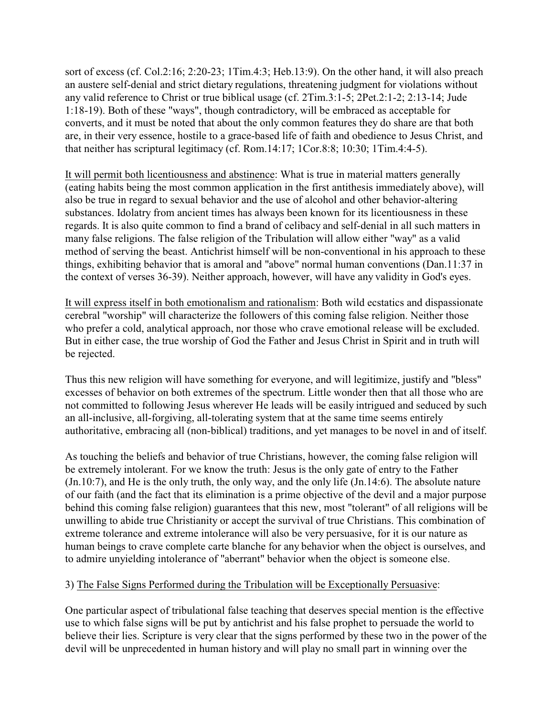sort of excess (cf. Col.2:16; 2:20-23; 1Tim.4:3; Heb.13:9). On the other hand, it will also preach an austere self-denial and strict dietary regulations, threatening judgment for violations without any valid reference to Christ or true biblical usage (cf. 2Tim.3:1-5; 2Pet.2:1-2; 2:13-14; Jude 1:18-19). Both of these "ways", though contradictory, will be embraced as acceptable for converts, and it must be noted that about the only common features they do share are that both are, in their very essence, hostile to a grace-based life of faith and obedience to Jesus Christ, and that neither has scriptural legitimacy (cf. Rom.14:17; 1Cor.8:8; 10:30; 1Tim.4:4-5).

It will permit both licentiousness and abstinence: What is true in material matters generally (eating habits being the most common application in the first antithesis immediately above), will also be true in regard to sexual behavior and the use of alcohol and other behavior-altering substances. Idolatry from ancient times has always been known for its licentiousness in these regards. It is also quite common to find a brand of celibacy and self-denial in all such matters in many false religions. The false religion of the Tribulation will allow either "way" as a valid method of serving the beast. Antichrist himself will be non-conventional in his approach to these things, exhibiting behavior that is amoral and "above" normal human conventions (Dan.11:37 in the context of verses 36-39). Neither approach, however, will have any validity in God's eyes.

It will express itself in both emotionalism and rationalism: Both wild ecstatics and dispassionate cerebral "worship" will characterize the followers of this coming false religion. Neither those who prefer a cold, analytical approach, nor those who crave emotional release will be excluded. But in either case, the true worship of God the Father and Jesus Christ in Spirit and in truth will be rejected.

Thus this new religion will have something for everyone, and will legitimize, justify and "bless" excesses of behavior on both extremes of the spectrum. Little wonder then that all those who are not committed to following Jesus wherever He leads will be easily intrigued and seduced by such an all-inclusive, all-forgiving, all-tolerating system that at the same time seems entirely authoritative, embracing all (non-biblical) traditions, and yet manages to be novel in and of itself.

As touching the beliefs and behavior of true Christians, however, the coming false religion will be extremely intolerant. For we know the truth: Jesus is the only gate of entry to the Father (Jn.10:7), and He is the only truth, the only way, and the only life (Jn.14:6). The absolute nature of our faith (and the fact that its elimination is a prime objective of the devil and a major purpose behind this coming false religion) guarantees that this new, most "tolerant" of all religions will be unwilling to abide true Christianity or accept the survival of true Christians. This combination of extreme tolerance and extreme intolerance will also be very persuasive, for it is our nature as human beings to crave complete carte blanche for any behavior when the object is ourselves, and to admire unyielding intolerance of "aberrant" behavior when the object is someone else.

# 3) The False Signs Performed during the Tribulation will be Exceptionally Persuasive:

One particular aspect of tribulational false teaching that deserves special mention is the effective use to which false signs will be put by antichrist and his false prophet to persuade the world to believe their lies. Scripture is very clear that the signs performed by these two in the power of the devil will be unprecedented in human history and will play no small part in winning over the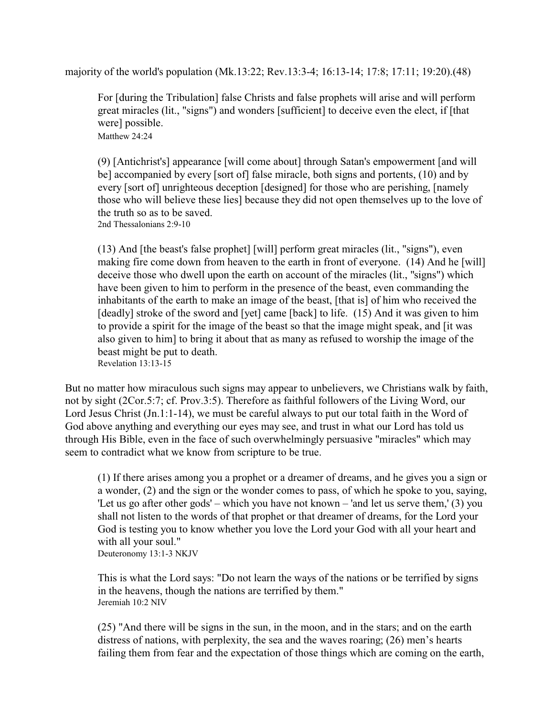majority of the world's population (Mk.13:22; Rev.13:3-4; 16:13-14; 17:8; 17:11; 19:20).(48)

For [during the Tribulation] false Christs and false prophets will arise and will perform great miracles (lit., "signs") and wonders [sufficient] to deceive even the elect, if [that were] possible. Matthew 24:24

(9) [Antichrist's] appearance [will come about] through Satan's empowerment [and will be] accompanied by every [sort of] false miracle, both signs and portents, (10) and by every [sort of] unrighteous deception [designed] for those who are perishing, [namely those who will believe these lies] because they did not open themselves up to the love of the truth so as to be saved.

2nd Thessalonians 2:9-10

(13) And [the beast's false prophet] [will] perform great miracles (lit., "signs"), even making fire come down from heaven to the earth in front of everyone. (14) And he [will] deceive those who dwell upon the earth on account of the miracles (lit., "signs") which have been given to him to perform in the presence of the beast, even commanding the inhabitants of the earth to make an image of the beast, [that is] of him who received the [deadly] stroke of the sword and [yet] came [back] to life. (15) And it was given to him to provide a spirit for the image of the beast so that the image might speak, and [it was also given to him] to bring it about that as many as refused to worship the image of the beast might be put to death. Revelation 13:13-15

But no matter how miraculous such signs may appear to unbelievers, we Christians walk by faith, not by sight (2Cor.5:7; cf. Prov.3:5). Therefore as faithful followers of the Living Word, our Lord Jesus Christ (Jn.1:1-14), we must be careful always to put our total faith in the Word of God above anything and everything our eyes may see, and trust in what our Lord has told us through His Bible, even in the face of such overwhelmingly persuasive "miracles" which may seem to contradict what we know from scripture to be true.

(1) If there arises among you a prophet or a dreamer of dreams, and he gives you a sign or a wonder, (2) and the sign or the wonder comes to pass, of which he spoke to you, saying, 'Let us go after other gods' – which you have not known – 'and let us serve them,' (3) you shall not listen to the words of that prophet or that dreamer of dreams, for the Lord your God is testing you to know whether you love the Lord your God with all your heart and with all your soul."

Deuteronomy 13:1-3 NKJV

This is what the Lord says: "Do not learn the ways of the nations or be terrified by signs in the heavens, though the nations are terrified by them." Jeremiah 10:2 NIV

(25) "And there will be signs in the sun, in the moon, and in the stars; and on the earth distress of nations, with perplexity, the sea and the waves roaring; (26) men's hearts failing them from fear and the expectation of those things which are coming on the earth,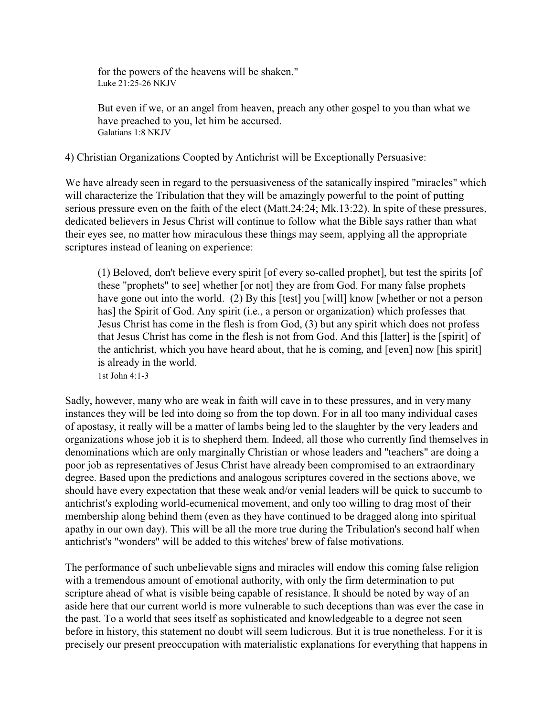for the powers of the heavens will be shaken." Luke 21:25-26 NKJV

But even if we, or an angel from heaven, preach any other gospel to you than what we have preached to you, let him be accursed. Galatians 1:8 NKJV

4) Christian Organizations Coopted by Antichrist will be Exceptionally Persuasive:

We have already seen in regard to the persuasiveness of the satanically inspired "miracles" which will characterize the Tribulation that they will be amazingly powerful to the point of putting serious pressure even on the faith of the elect (Matt.24:24; Mk.13:22). In spite of these pressures, dedicated believers in Jesus Christ will continue to follow what the Bible says rather than what their eyes see, no matter how miraculous these things may seem, applying all the appropriate scriptures instead of leaning on experience:

(1) Beloved, don't believe every spirit [of every so-called prophet], but test the spirits [of these "prophets" to see] whether [or not] they are from God. For many false prophets have gone out into the world. (2) By this [test] you [will] know [whether or not a person has] the Spirit of God. Any spirit (i.e., a person or organization) which professes that Jesus Christ has come in the flesh is from God, (3) but any spirit which does not profess that Jesus Christ has come in the flesh is not from God. And this [latter] is the [spirit] of the antichrist, which you have heard about, that he is coming, and [even] now [his spirit] is already in the world.

1st John 4:1-3

Sadly, however, many who are weak in faith will cave in to these pressures, and in very many instances they will be led into doing so from the top down. For in all too many individual cases of apostasy, it really will be a matter of lambs being led to the slaughter by the very leaders and organizations whose job it is to shepherd them. Indeed, all those who currently find themselves in denominations which are only marginally Christian or whose leaders and "teachers" are doing a poor job as representatives of Jesus Christ have already been compromised to an extraordinary degree. Based upon the predictions and analogous scriptures covered in the sections above, we should have every expectation that these weak and/or venial leaders will be quick to succumb to antichrist's exploding world-ecumenical movement, and only too willing to drag most of their membership along behind them (even as they have continued to be dragged along into spiritual apathy in our own day). This will be all the more true during the Tribulation's second half when antichrist's "wonders" will be added to this witches' brew of false motivations.

The performance of such unbelievable signs and miracles will endow this coming false religion with a tremendous amount of emotional authority, with only the firm determination to put scripture ahead of what is visible being capable of resistance. It should be noted by way of an aside here that our current world is more vulnerable to such deceptions than was ever the case in the past. To a world that sees itself as sophisticated and knowledgeable to a degree not seen before in history, this statement no doubt will seem ludicrous. But it is true nonetheless. For it is precisely our present preoccupation with materialistic explanations for everything that happens in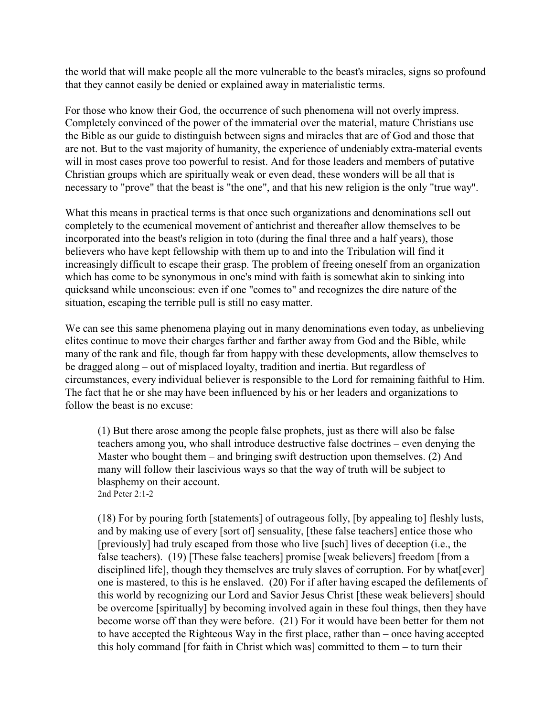the world that will make people all the more vulnerable to the beast's miracles, signs so profound that they cannot easily be denied or explained away in materialistic terms.

For those who know their God, the occurrence of such phenomena will not overly impress. Completely convinced of the power of the immaterial over the material, mature Christians use the Bible as our guide to distinguish between signs and miracles that are of God and those that are not. But to the vast majority of humanity, the experience of undeniably extra-material events will in most cases prove too powerful to resist. And for those leaders and members of putative Christian groups which are spiritually weak or even dead, these wonders will be all that is necessary to "prove" that the beast is "the one", and that his new religion is the only "true way".

What this means in practical terms is that once such organizations and denominations sell out completely to the ecumenical movement of antichrist and thereafter allow themselves to be incorporated into the beast's religion in toto (during the final three and a half years), those believers who have kept fellowship with them up to and into the Tribulation will find it increasingly difficult to escape their grasp. The problem of freeing oneself from an organization which has come to be synonymous in one's mind with faith is somewhat akin to sinking into quicksand while unconscious: even if one "comes to" and recognizes the dire nature of the situation, escaping the terrible pull is still no easy matter.

We can see this same phenomena playing out in many denominations even today, as unbelieving elites continue to move their charges farther and farther away from God and the Bible, while many of the rank and file, though far from happy with these developments, allow themselves to be dragged along – out of misplaced loyalty, tradition and inertia. But regardless of circumstances, every individual believer is responsible to the Lord for remaining faithful to Him. The fact that he or she may have been influenced by his or her leaders and organizations to follow the beast is no excuse:

(1) But there arose among the people false prophets, just as there will also be false teachers among you, who shall introduce destructive false doctrines – even denying the Master who bought them – and bringing swift destruction upon themselves. (2) And many will follow their lascivious ways so that the way of truth will be subject to blasphemy on their account. 2nd Peter 2:1-2

(18) For by pouring forth [statements] of outrageous folly, [by appealing to] fleshly lusts, and by making use of every [sort of] sensuality, [these false teachers] entice those who [previously] had truly escaped from those who live [such] lives of deception (i.e., the false teachers). (19) [These false teachers] promise [weak believers] freedom [from a disciplined life], though they themselves are truly slaves of corruption. For by what[ever] one is mastered, to this is he enslaved. (20) For if after having escaped the defilements of this world by recognizing our Lord and Savior Jesus Christ [these weak believers] should be overcome [spiritually] by becoming involved again in these foul things, then they have become worse off than they were before. (21) For it would have been better for them not to have accepted the Righteous Way in the first place, rather than – once having accepted this holy command [for faith in Christ which was] committed to them – to turn their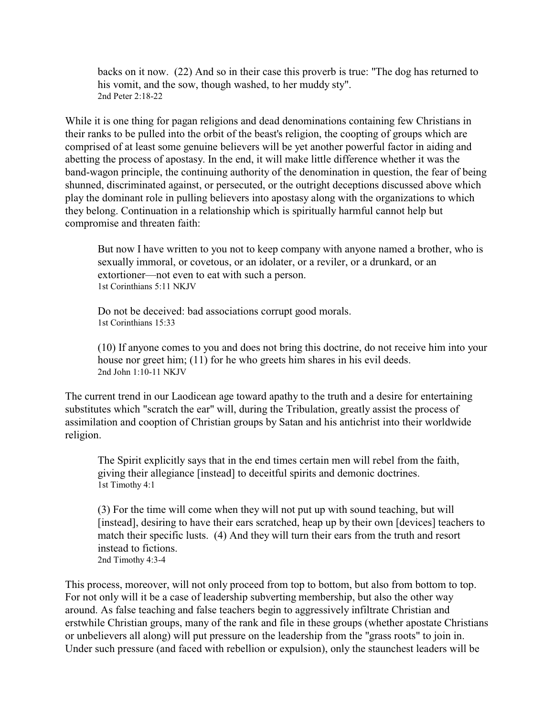backs on it now. (22) And so in their case this proverb is true: "The dog has returned to his vomit, and the sow, though washed, to her muddy sty". 2nd Peter 2:18-22

While it is one thing for pagan religions and dead denominations containing few Christians in their ranks to be pulled into the orbit of the beast's religion, the coopting of groups which are comprised of at least some genuine believers will be yet another powerful factor in aiding and abetting the process of apostasy. In the end, it will make little difference whether it was the band-wagon principle, the continuing authority of the denomination in question, the fear of being shunned, discriminated against, or persecuted, or the outright deceptions discussed above which play the dominant role in pulling believers into apostasy along with the organizations to which they belong. Continuation in a relationship which is spiritually harmful cannot help but compromise and threaten faith:

But now I have written to you not to keep company with anyone named a brother, who is sexually immoral, or covetous, or an idolater, or a reviler, or a drunkard, or an extortioner—not even to eat with such a person. 1st Corinthians 5:11 NKJV

Do not be deceived: bad associations corrupt good morals. 1st Corinthians 15:33

(10) If anyone comes to you and does not bring this doctrine, do not receive him into your house nor greet him; (11) for he who greets him shares in his evil deeds. 2nd John 1:10-11 NKJV

The current trend in our Laodicean age toward apathy to the truth and a desire for entertaining substitutes which "scratch the ear" will, during the Tribulation, greatly assist the process of assimilation and cooption of Christian groups by Satan and his antichrist into their worldwide religion.

The Spirit explicitly says that in the end times certain men will rebel from the faith, giving their allegiance [instead] to deceitful spirits and demonic doctrines. 1st Timothy 4:1

(3) For the time will come when they will not put up with sound teaching, but will [instead], desiring to have their ears scratched, heap up by their own [devices] teachers to match their specific lusts. (4) And they will turn their ears from the truth and resort instead to fictions. 2nd Timothy 4:3-4

This process, moreover, will not only proceed from top to bottom, but also from bottom to top. For not only will it be a case of leadership subverting membership, but also the other way around. As false teaching and false teachers begin to aggressively infiltrate Christian and erstwhile Christian groups, many of the rank and file in these groups (whether apostate Christians or unbelievers all along) will put pressure on the leadership from the "grass roots" to join in. Under such pressure (and faced with rebellion or expulsion), only the staunchest leaders will be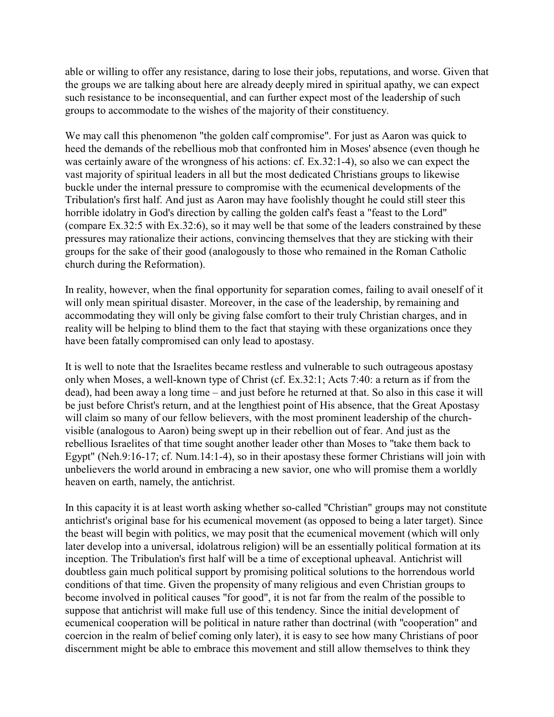able or willing to offer any resistance, daring to lose their jobs, reputations, and worse. Given that the groups we are talking about here are already deeply mired in spiritual apathy, we can expect such resistance to be inconsequential, and can further expect most of the leadership of such groups to accommodate to the wishes of the majority of their constituency.

We may call this phenomenon "the golden calf compromise". For just as Aaron was quick to heed the demands of the rebellious mob that confronted him in Moses' absence (even though he was certainly aware of the wrongness of his actions: cf. Ex.32:1-4), so also we can expect the vast majority of spiritual leaders in all but the most dedicated Christians groups to likewise buckle under the internal pressure to compromise with the ecumenical developments of the Tribulation's first half. And just as Aaron may have foolishly thought he could still steer this horrible idolatry in God's direction by calling the golden calf's feast a "feast to the Lord" (compare Ex.32:5 with Ex.32:6), so it may well be that some of the leaders constrained by these pressures may rationalize their actions, convincing themselves that they are sticking with their groups for the sake of their good (analogously to those who remained in the Roman Catholic church during the Reformation).

In reality, however, when the final opportunity for separation comes, failing to avail oneself of it will only mean spiritual disaster. Moreover, in the case of the leadership, by remaining and accommodating they will only be giving false comfort to their truly Christian charges, and in reality will be helping to blind them to the fact that staying with these organizations once they have been fatally compromised can only lead to apostasy.

It is well to note that the Israelites became restless and vulnerable to such outrageous apostasy only when Moses, a well-known type of Christ (cf. Ex.32:1; Acts 7:40: a return as if from the dead), had been away a long time – and just before he returned at that. So also in this case it will be just before Christ's return, and at the lengthiest point of His absence, that the Great Apostasy will claim so many of our fellow believers, with the most prominent leadership of the churchvisible (analogous to Aaron) being swept up in their rebellion out of fear. And just as the rebellious Israelites of that time sought another leader other than Moses to "take them back to Egypt" (Neh.9:16-17; cf. Num.14:1-4), so in their apostasy these former Christians will join with unbelievers the world around in embracing a new savior, one who will promise them a worldly heaven on earth, namely, the antichrist.

In this capacity it is at least worth asking whether so-called "Christian" groups may not constitute antichrist's original base for his ecumenical movement (as opposed to being a later target). Since the beast will begin with politics, we may posit that the ecumenical movement (which will only later develop into a universal, idolatrous religion) will be an essentially political formation at its inception. The Tribulation's first half will be a time of exceptional upheaval. Antichrist will doubtless gain much political support by promising political solutions to the horrendous world conditions of that time. Given the propensity of many religious and even Christian groups to become involved in political causes "for good", it is not far from the realm of the possible to suppose that antichrist will make full use of this tendency. Since the initial development of ecumenical cooperation will be political in nature rather than doctrinal (with "cooperation" and coercion in the realm of belief coming only later), it is easy to see how many Christians of poor discernment might be able to embrace this movement and still allow themselves to think they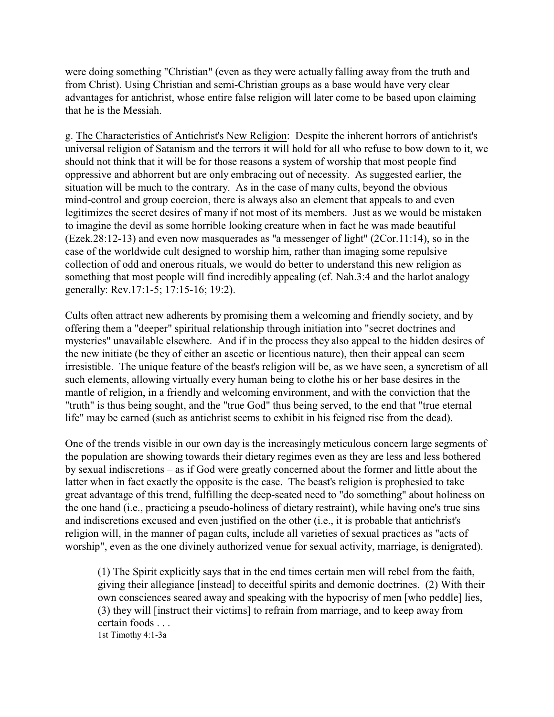were doing something "Christian" (even as they were actually falling away from the truth and from Christ). Using Christian and semi-Christian groups as a base would have very clear advantages for antichrist, whose entire false religion will later come to be based upon claiming that he is the Messiah.

g. The Characteristics of Antichrist's New Religion: Despite the inherent horrors of antichrist's universal religion of Satanism and the terrors it will hold for all who refuse to bow down to it, we should not think that it will be for those reasons a system of worship that most people find oppressive and abhorrent but are only embracing out of necessity. As suggested earlier, the situation will be much to the contrary. As in the case of many cults, beyond the obvious mind-control and group coercion, there is always also an element that appeals to and even legitimizes the secret desires of many if not most of its members. Just as we would be mistaken to imagine the devil as some horrible looking creature when in fact he was made beautiful (Ezek.28:12-13) and even now masquerades as "a messenger of light" (2Cor.11:14), so in the case of the worldwide cult designed to worship him, rather than imaging some repulsive collection of odd and onerous rituals, we would do better to understand this new religion as something that most people will find incredibly appealing (cf. Nah.3:4 and the harlot analogy generally: Rev.17:1-5; 17:15-16; 19:2).

Cults often attract new adherents by promising them a welcoming and friendly society, and by offering them a "deeper" spiritual relationship through initiation into "secret doctrines and mysteries" unavailable elsewhere. And if in the process they also appeal to the hidden desires of the new initiate (be they of either an ascetic or licentious nature), then their appeal can seem irresistible. The unique feature of the beast's religion will be, as we have seen, a syncretism of all such elements, allowing virtually every human being to clothe his or her base desires in the mantle of religion, in a friendly and welcoming environment, and with the conviction that the "truth" is thus being sought, and the "true God" thus being served, to the end that "true eternal life" may be earned (such as antichrist seems to exhibit in his feigned rise from the dead).

One of the trends visible in our own day is the increasingly meticulous concern large segments of the population are showing towards their dietary regimes even as they are less and less bothered by sexual indiscretions – as if God were greatly concerned about the former and little about the latter when in fact exactly the opposite is the case. The beast's religion is prophesied to take great advantage of this trend, fulfilling the deep-seated need to "do something" about holiness on the one hand (i.e., practicing a pseudo-holiness of dietary restraint), while having one's true sins and indiscretions excused and even justified on the other (i.e., it is probable that antichrist's religion will, in the manner of pagan cults, include all varieties of sexual practices as "acts of worship", even as the one divinely authorized venue for sexual activity, marriage, is denigrated).

(1) The Spirit explicitly says that in the end times certain men will rebel from the faith, giving their allegiance [instead] to deceitful spirits and demonic doctrines. (2) With their own consciences seared away and speaking with the hypocrisy of men [who peddle] lies, (3) they will [instruct their victims] to refrain from marriage, and to keep away from certain foods . . . 1st Timothy 4:1-3a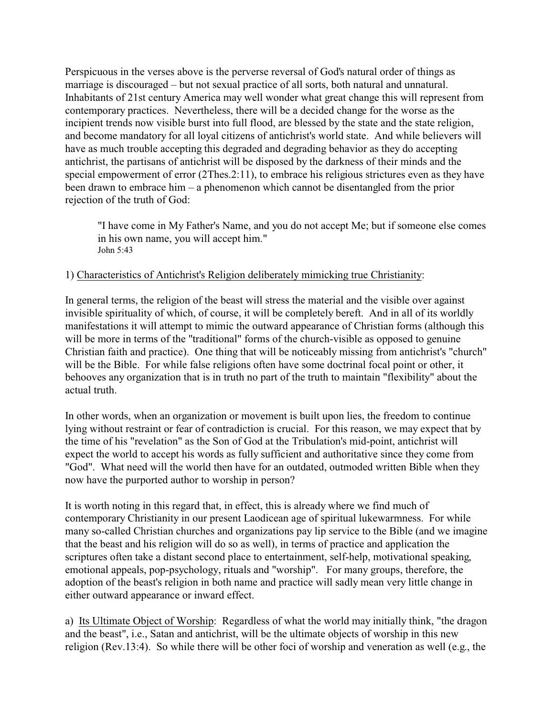Perspicuous in the verses above is the perverse reversal of God's natural order of things as marriage is discouraged – but not sexual practice of all sorts, both natural and unnatural. Inhabitants of 21st century America may well wonder what great change this will represent from contemporary practices. Nevertheless, there will be a decided change for the worse as the incipient trends now visible burst into full flood, are blessed by the state and the state religion, and become mandatory for all loyal citizens of antichrist's world state. And while believers will have as much trouble accepting this degraded and degrading behavior as they do accepting antichrist, the partisans of antichrist will be disposed by the darkness of their minds and the special empowerment of error (2Thes.2:11), to embrace his religious strictures even as they have been drawn to embrace him – a phenomenon which cannot be disentangled from the prior rejection of the truth of God:

"I have come in My Father's Name, and you do not accept Me; but if someone else comes in his own name, you will accept him." John 5:43

### 1) Characteristics of Antichrist's Religion deliberately mimicking true Christianity:

In general terms, the religion of the beast will stress the material and the visible over against invisible spirituality of which, of course, it will be completely bereft. And in all of its worldly manifestations it will attempt to mimic the outward appearance of Christian forms (although this will be more in terms of the "traditional" forms of the church-visible as opposed to genuine Christian faith and practice). One thing that will be noticeably missing from antichrist's "church" will be the Bible. For while false religions often have some doctrinal focal point or other, it behooves any organization that is in truth no part of the truth to maintain "flexibility" about the actual truth.

In other words, when an organization or movement is built upon lies, the freedom to continue lying without restraint or fear of contradiction is crucial. For this reason, we may expect that by the time of his "revelation" as the Son of God at the Tribulation's mid-point, antichrist will expect the world to accept his words as fully sufficient and authoritative since they come from "God". What need will the world then have for an outdated, outmoded written Bible when they now have the purported author to worship in person?

It is worth noting in this regard that, in effect, this is already where we find much of contemporary Christianity in our present Laodicean age of spiritual lukewarmness. For while many so-called Christian churches and organizations pay lip service to the Bible (and we imagine that the beast and his religion will do so as well), in terms of practice and application the scriptures often take a distant second place to entertainment, self-help, motivational speaking, emotional appeals, pop-psychology, rituals and "worship". For many groups, therefore, the adoption of the beast's religion in both name and practice will sadly mean very little change in either outward appearance or inward effect.

a) Its Ultimate Object of Worship: Regardless of what the world may initially think, "the dragon and the beast", i.e., Satan and antichrist, will be the ultimate objects of worship in this new religion (Rev.13:4). So while there will be other foci of worship and veneration as well (e.g., the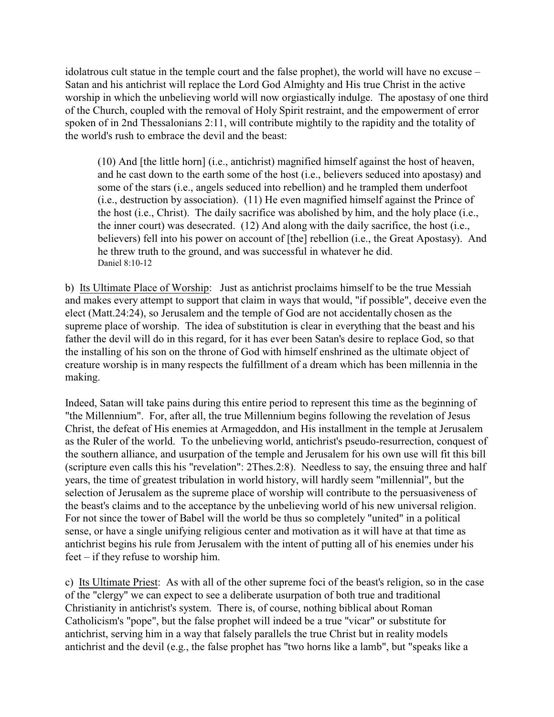idolatrous cult statue in the temple court and the false prophet), the world will have no excuse – Satan and his antichrist will replace the Lord God Almighty and His true Christ in the active worship in which the unbelieving world will now orgiastically indulge. The apostasy of one third of the Church, coupled with the removal of Holy Spirit restraint, and the empowerment of error spoken of in 2nd Thessalonians 2:11, will contribute mightily to the rapidity and the totality of the world's rush to embrace the devil and the beast:

(10) And [the little horn] (i.e., antichrist) magnified himself against the host of heaven, and he cast down to the earth some of the host (i.e., believers seduced into apostasy) and some of the stars (i.e., angels seduced into rebellion) and he trampled them underfoot (i.e., destruction by association). (11) He even magnified himself against the Prince of the host (i.e., Christ). The daily sacrifice was abolished by him, and the holy place (i.e., the inner court) was desecrated. (12) And along with the daily sacrifice, the host (i.e., believers) fell into his power on account of [the] rebellion (i.e., the Great Apostasy). And he threw truth to the ground, and was successful in whatever he did. Daniel 8:10-12

b) Its Ultimate Place of Worship: Just as antichrist proclaims himself to be the true Messiah and makes every attempt to support that claim in ways that would, "if possible", deceive even the elect (Matt.24:24), so Jerusalem and the temple of God are not accidentally chosen as the supreme place of worship. The idea of substitution is clear in everything that the beast and his father the devil will do in this regard, for it has ever been Satan's desire to replace God, so that the installing of his son on the throne of God with himself enshrined as the ultimate object of creature worship is in many respects the fulfillment of a dream which has been millennia in the making.

Indeed, Satan will take pains during this entire period to represent this time as the beginning of "the Millennium". For, after all, the true Millennium begins following the revelation of Jesus Christ, the defeat of His enemies at Armageddon, and His installment in the temple at Jerusalem as the Ruler of the world. To the unbelieving world, antichrist's pseudo-resurrection, conquest of the southern alliance, and usurpation of the temple and Jerusalem for his own use will fit this bill (scripture even calls this his "revelation": 2Thes.2:8). Needless to say, the ensuing three and half years, the time of greatest tribulation in world history, will hardly seem "millennial", but the selection of Jerusalem as the supreme place of worship will contribute to the persuasiveness of the beast's claims and to the acceptance by the unbelieving world of his new universal religion. For not since the tower of Babel will the world be thus so completely "united" in a political sense, or have a single unifying religious center and motivation as it will have at that time as antichrist begins his rule from Jerusalem with the intent of putting all of his enemies under his feet – if they refuse to worship him.

c) Its Ultimate Priest: As with all of the other supreme foci of the beast's religion, so in the case of the "clergy" we can expect to see a deliberate usurpation of both true and traditional Christianity in antichrist's system. There is, of course, nothing biblical about Roman Catholicism's "pope", but the false prophet will indeed be a true "vicar" or substitute for antichrist, serving him in a way that falsely parallels the true Christ but in reality models antichrist and the devil (e.g., the false prophet has "two horns like a lamb", but "speaks like a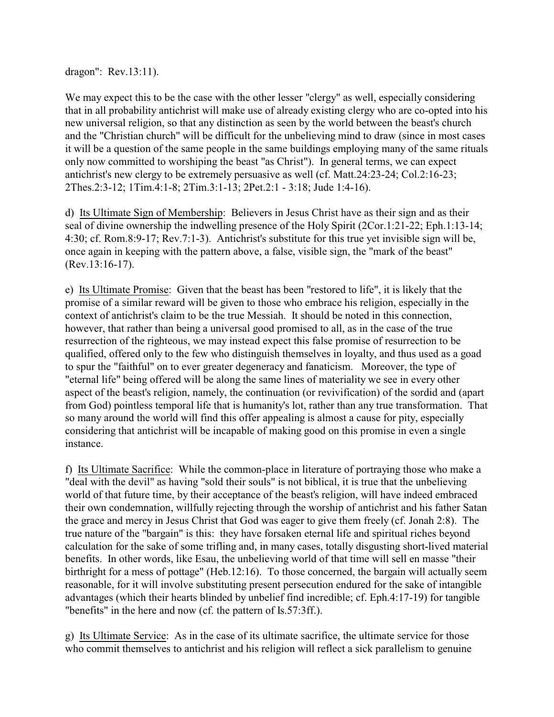dragon": Rev.13:11).

We may expect this to be the case with the other lesser "clergy" as well, especially considering that in all probability antichrist will make use of already existing clergy who are co-opted into his new universal religion, so that any distinction as seen by the world between the beast's church and the "Christian church" will be difficult for the unbelieving mind to draw (since in most cases it will be a question of the same people in the same buildings employing many of the same rituals only now committed to worshiping the beast "as Christ"). In general terms, we can expect antichrist's new clergy to be extremely persuasive as well (cf. Matt.24:23-24; Col.2:16-23; 2Thes.2:3-12; 1Tim.4:1-8; 2Tim.3:1-13; 2Pet.2:1 - 3:18; Jude 1:4-16).

d) Its Ultimate Sign of Membership: Believers in Jesus Christ have as their sign and as their seal of divine ownership the indwelling presence of the Holy Spirit (2Cor.1:21-22; Eph.1:13-14; 4:30; cf. Rom.8:9-17; Rev.7:1-3). Antichrist's substitute for this true yet invisible sign will be, once again in keeping with the pattern above, a false, visible sign, the "mark of the beast" (Rev.13:16-17).

e) Its Ultimate Promise: Given that the beast has been "restored to life", it is likely that the promise of a similar reward will be given to those who embrace his religion, especially in the context of antichrist's claim to be the true Messiah. It should be noted in this connection, however, that rather than being a universal good promised to all, as in the case of the true resurrection of the righteous, we may instead expect this false promise of resurrection to be qualified, offered only to the few who distinguish themselves in loyalty, and thus used as a goad to spur the "faithful" on to ever greater degeneracy and fanaticism. Moreover, the type of "eternal life" being offered will be along the same lines of materiality we see in every other aspect of the beast's religion, namely, the continuation (or revivification) of the sordid and (apart from God) pointless temporal life that is humanity's lot, rather than any true transformation. That so many around the world will find this offer appealing is almost a cause for pity, especially considering that antichrist will be incapable of making good on this promise in even a single instance.

f) Its Ultimate Sacrifice: While the common-place in literature of portraying those who make a "deal with the devil" as having "sold their souls" is not biblical, it is true that the unbelieving world of that future time, by their acceptance of the beast's religion, will have indeed embraced their own condemnation, willfully rejecting through the worship of antichrist and his father Satan the grace and mercy in Jesus Christ that God was eager to give them freely (cf. Jonah 2:8). The true nature of the "bargain" is this: they have forsaken eternal life and spiritual riches beyond calculation for the sake of some trifling and, in many cases, totally disgusting short-lived material benefits. In other words, like Esau, the unbelieving world of that time will sell en masse "their birthright for a mess of pottage" (Heb.12:16). To those concerned, the bargain will actually seem reasonable, for it will involve substituting present persecution endured for the sake of intangible advantages (which their hearts blinded by unbelief find incredible; cf. Eph.4:17-19) for tangible "benefits" in the here and now (cf. the pattern of Is.57:3ff.).

g) Its Ultimate Service: As in the case of its ultimate sacrifice, the ultimate service for those who commit themselves to antichrist and his religion will reflect a sick parallelism to genuine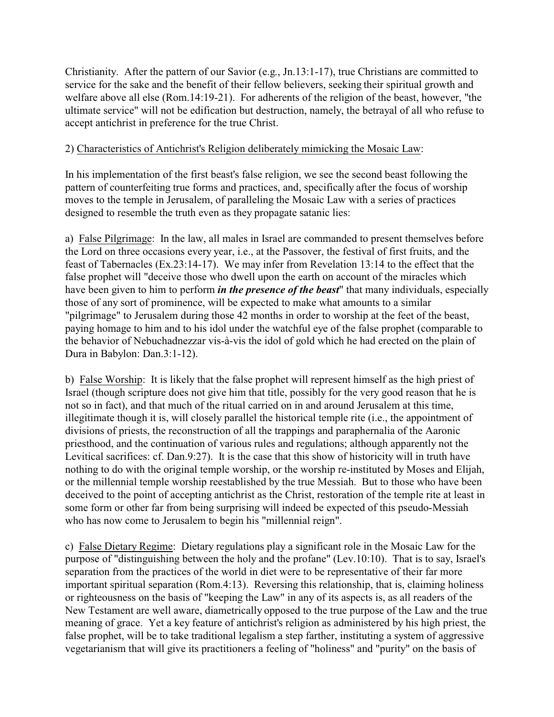Christianity. After the pattern of our Savior (e.g., Jn.13:1-17), true Christians are committed to service for the sake and the benefit of their fellow believers, seeking their spiritual growth and welfare above all else (Rom.14:19-21). For adherents of the religion of the beast, however, "the ultimate service" will not be edification but destruction, namely, the betrayal of all who refuse to accept antichrist in preference for the true Christ.

## 2) Characteristics of Antichrist's Religion deliberately mimicking the Mosaic Law:

In his implementation of the first beast's false religion, we see the second beast following the pattern of counterfeiting true forms and practices, and, specifically after the focus of worship moves to the temple in Jerusalem, of paralleling the Mosaic Law with a series of practices designed to resemble the truth even as they propagate satanic lies:

a) False Pilgrimage: In the law, all males in Israel are commanded to present themselves before the Lord on three occasions every year, i.e., at the Passover, the festival of first fruits, and the feast of Tabernacles (Ex.23:14-17). We may infer from Revelation 13:14 to the effect that the false prophet will "deceive those who dwell upon the earth on account of the miracles which have been given to him to perform *in the presence of the beast*" that many individuals, especially those of any sort of prominence, will be expected to make what amounts to a similar "pilgrimage" to Jerusalem during those 42 months in order to worship at the feet of the beast, paying homage to him and to his idol under the watchful eye of the false prophet (comparable to the behavior of Nebuchadnezzar vis-à-vis the idol of gold which he had erected on the plain of Dura in Babylon: Dan.3:1-12).

b) False Worship: It is likely that the false prophet will represent himself as the high priest of Israel (though scripture does not give him that title, possibly for the very good reason that he is not so in fact), and that much of the ritual carried on in and around Jerusalem at this time, illegitimate though it is, will closely parallel the historical temple rite (i.e., the appointment of divisions of priests, the reconstruction of all the trappings and paraphernalia of the Aaronic priesthood, and the continuation of various rules and regulations; although apparently not the Levitical sacrifices: cf. Dan.9:27). It is the case that this show of historicity will in truth have nothing to do with the original temple worship, or the worship re-instituted by Moses and Elijah, or the millennial temple worship reestablished by the true Messiah. But to those who have been deceived to the point of accepting antichrist as the Christ, restoration of the temple rite at least in some form or other far from being surprising will indeed be expected of this pseudo-Messiah who has now come to Jerusalem to begin his "millennial reign".

c) False Dietary Regime: Dietary regulations play a significant role in the Mosaic Law for the purpose of "distinguishing between the holy and the profane" (Lev.10:10). That is to say, Israel's separation from the practices of the world in diet were to be representative of their far more important spiritual separation (Rom.4:13). Reversing this relationship, that is, claiming holiness or righteousness on the basis of "keeping the Law" in any of its aspects is, as all readers of the New Testament are well aware, diametrically opposed to the true purpose of the Law and the true meaning of grace. Yet a key feature of antichrist's religion as administered by his high priest, the false prophet, will be to take traditional legalism a step farther, instituting a system of aggressive vegetarianism that will give its practitioners a feeling of "holiness" and "purity" on the basis of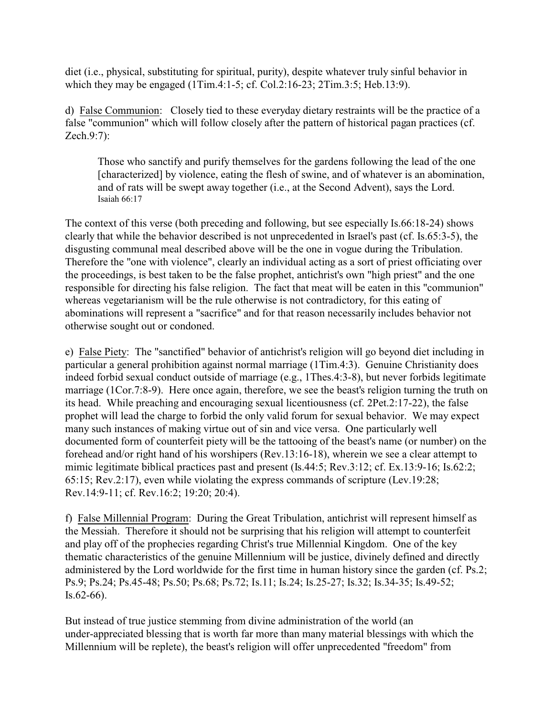diet (i.e., physical, substituting for spiritual, purity), despite whatever truly sinful behavior in which they may be engaged (1Tim.4:1-5; cf. Col.2:16-23; 2Tim.3:5; Heb.13:9).

d) False Communion: Closely tied to these everyday dietary restraints will be the practice of a false "communion" which will follow closely after the pattern of historical pagan practices (cf. Zech.9:7):

Those who sanctify and purify themselves for the gardens following the lead of the one [characterized] by violence, eating the flesh of swine, and of whatever is an abomination, and of rats will be swept away together (i.e., at the Second Advent), says the Lord. Isaiah 66:17

The context of this verse (both preceding and following, but see especially Is.66:18-24) shows clearly that while the behavior described is not unprecedented in Israel's past (cf. Is.65:3-5), the disgusting communal meal described above will be the one in vogue during the Tribulation. Therefore the "one with violence", clearly an individual acting as a sort of priest officiating over the proceedings, is best taken to be the false prophet, antichrist's own "high priest" and the one responsible for directing his false religion. The fact that meat will be eaten in this "communion" whereas vegetarianism will be the rule otherwise is not contradictory, for this eating of abominations will represent a "sacrifice" and for that reason necessarily includes behavior not otherwise sought out or condoned.

e) False Piety: The "sanctified" behavior of antichrist's religion will go beyond diet including in particular a general prohibition against normal marriage (1Tim.4:3). Genuine Christianity does indeed forbid sexual conduct outside of marriage (e.g., 1Thes.4:3-8), but never forbids legitimate marriage (1Cor.7:8-9). Here once again, therefore, we see the beast's religion turning the truth on its head. While preaching and encouraging sexual licentiousness (cf. 2Pet.2:17-22), the false prophet will lead the charge to forbid the only valid forum for sexual behavior. We may expect many such instances of making virtue out of sin and vice versa. One particularly well documented form of counterfeit piety will be the tattooing of the beast's name (or number) on the forehead and/or right hand of his worshipers (Rev.13:16-18), wherein we see a clear attempt to mimic legitimate biblical practices past and present (Is.44:5; Rev.3:12; cf. Ex.13:9-16; Is.62:2; 65:15; Rev.2:17), even while violating the express commands of scripture (Lev.19:28; Rev.14:9-11; cf. Rev.16:2; 19:20; 20:4).

f) False Millennial Program: During the Great Tribulation, antichrist will represent himself as the Messiah. Therefore it should not be surprising that his religion will attempt to counterfeit and play off of the prophecies regarding Christ's true Millennial Kingdom. One of the key thematic characteristics of the genuine Millennium will be justice, divinely defined and directly administered by the Lord worldwide for the first time in human history since the garden (cf. Ps.2; Ps.9; Ps.24; Ps.45-48; Ps.50; Ps.68; Ps.72; Is.11; Is.24; Is.25-27; Is.32; Is.34-35; Is.49-52; Is.62-66).

But instead of true justice stemming from divine administration of the world (an under-appreciated blessing that is worth far more than many material blessings with which the Millennium will be replete), the beast's religion will offer unprecedented "freedom" from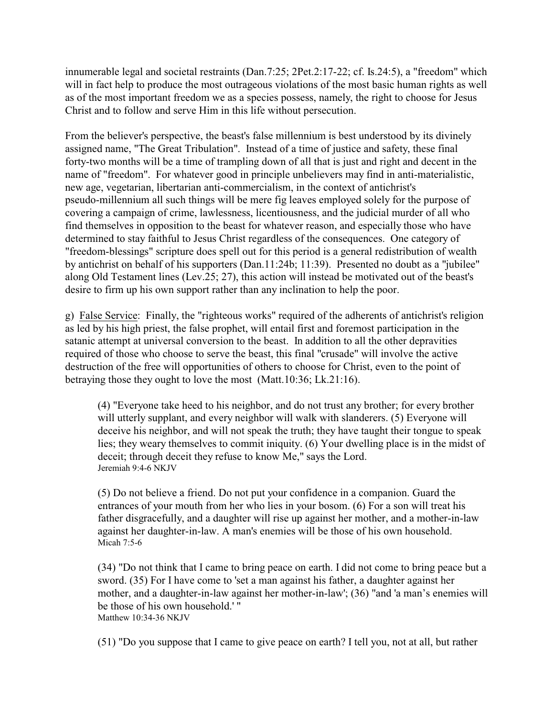innumerable legal and societal restraints (Dan.7:25; 2Pet.2:17-22; cf. Is.24:5), a "freedom" which will in fact help to produce the most outrageous violations of the most basic human rights as well as of the most important freedom we as a species possess, namely, the right to choose for Jesus Christ and to follow and serve Him in this life without persecution.

From the believer's perspective, the beast's false millennium is best understood by its divinely assigned name, "The Great Tribulation". Instead of a time of justice and safety, these final forty-two months will be a time of trampling down of all that is just and right and decent in the name of "freedom". For whatever good in principle unbelievers may find in anti-materialistic, new age, vegetarian, libertarian anti-commercialism, in the context of antichrist's pseudo-millennium all such things will be mere fig leaves employed solely for the purpose of covering a campaign of crime, lawlessness, licentiousness, and the judicial murder of all who find themselves in opposition to the beast for whatever reason, and especially those who have determined to stay faithful to Jesus Christ regardless of the consequences. One category of "freedom-blessings" scripture does spell out for this period is a general redistribution of wealth by antichrist on behalf of his supporters (Dan.11:24b; 11:39). Presented no doubt as a "jubilee" along Old Testament lines (Lev.25; 27), this action will instead be motivated out of the beast's desire to firm up his own support rather than any inclination to help the poor.

g) False Service: Finally, the "righteous works" required of the adherents of antichrist's religion as led by his high priest, the false prophet, will entail first and foremost participation in the satanic attempt at universal conversion to the beast. In addition to all the other depravities required of those who choose to serve the beast, this final "crusade" will involve the active destruction of the free will opportunities of others to choose for Christ, even to the point of betraying those they ought to love the most (Matt.10:36; Lk.21:16).

(4) "Everyone take heed to his neighbor, and do not trust any brother; for every brother will utterly supplant, and every neighbor will walk with slanderers. (5) Everyone will deceive his neighbor, and will not speak the truth; they have taught their tongue to speak lies; they weary themselves to commit iniquity. (6) Your dwelling place is in the midst of deceit; through deceit they refuse to know Me," says the Lord. Jeremiah 9:4-6 NKJV

(5) Do not believe a friend. Do not put your confidence in a companion. Guard the entrances of your mouth from her who lies in your bosom. (6) For a son will treat his father disgracefully, and a daughter will rise up against her mother, and a mother-in-law against her daughter-in-law. A man's enemies will be those of his own household. Micah 7:5-6

(34) "Do not think that I came to bring peace on earth. I did not come to bring peace but a sword. (35) For I have come to 'set a man against his father, a daughter against her mother, and a daughter-in-law against her mother-in-law'; (36) "and 'a man's enemies will be those of his own household.' " Matthew 10:34-36 NKJV

(51) "Do you suppose that I came to give peace on earth? I tell you, not at all, but rather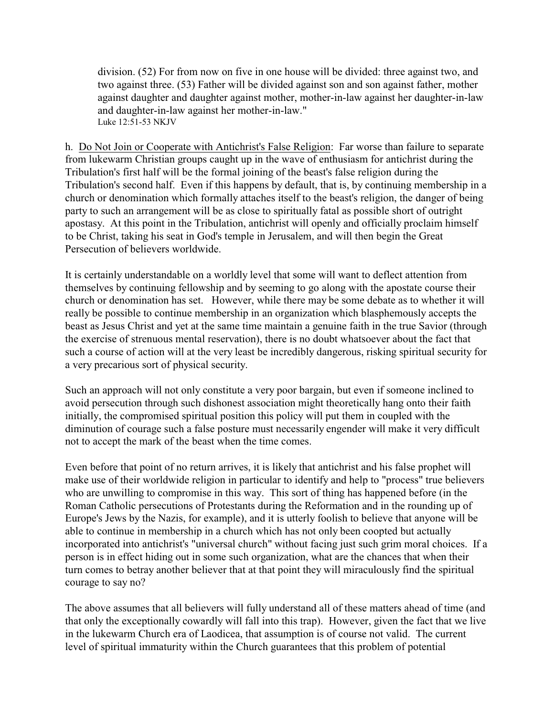division. (52) For from now on five in one house will be divided: three against two, and two against three. (53) Father will be divided against son and son against father, mother against daughter and daughter against mother, mother-in-law against her daughter-in-law and daughter-in-law against her mother-in-law." Luke 12:51-53 NKJV

h. Do Not Join or Cooperate with Antichrist's False Religion: Far worse than failure to separate from lukewarm Christian groups caught up in the wave of enthusiasm for antichrist during the Tribulation's first half will be the formal joining of the beast's false religion during the Tribulation's second half. Even if this happens by default, that is, by continuing membership in a church or denomination which formally attaches itself to the beast's religion, the danger of being party to such an arrangement will be as close to spiritually fatal as possible short of outright apostasy. At this point in the Tribulation, antichrist will openly and officially proclaim himself to be Christ, taking his seat in God's temple in Jerusalem, and will then begin the Great Persecution of believers worldwide.

It is certainly understandable on a worldly level that some will want to deflect attention from themselves by continuing fellowship and by seeming to go along with the apostate course their church or denomination has set. However, while there may be some debate as to whether it will really be possible to continue membership in an organization which blasphemously accepts the beast as Jesus Christ and yet at the same time maintain a genuine faith in the true Savior (through the exercise of strenuous mental reservation), there is no doubt whatsoever about the fact that such a course of action will at the very least be incredibly dangerous, risking spiritual security for a very precarious sort of physical security.

Such an approach will not only constitute a very poor bargain, but even if someone inclined to avoid persecution through such dishonest association might theoretically hang onto their faith initially, the compromised spiritual position this policy will put them in coupled with the diminution of courage such a false posture must necessarily engender will make it very difficult not to accept the mark of the beast when the time comes.

Even before that point of no return arrives, it is likely that antichrist and his false prophet will make use of their worldwide religion in particular to identify and help to "process" true believers who are unwilling to compromise in this way. This sort of thing has happened before (in the Roman Catholic persecutions of Protestants during the Reformation and in the rounding up of Europe's Jews by the Nazis, for example), and it is utterly foolish to believe that anyone will be able to continue in membership in a church which has not only been coopted but actually incorporated into antichrist's "universal church" without facing just such grim moral choices. If a person is in effect hiding out in some such organization, what are the chances that when their turn comes to betray another believer that at that point they will miraculously find the spiritual courage to say no?

The above assumes that all believers will fully understand all of these matters ahead of time (and that only the exceptionally cowardly will fall into this trap). However, given the fact that we live in the lukewarm Church era of Laodicea, that assumption is of course not valid. The current level of spiritual immaturity within the Church guarantees that this problem of potential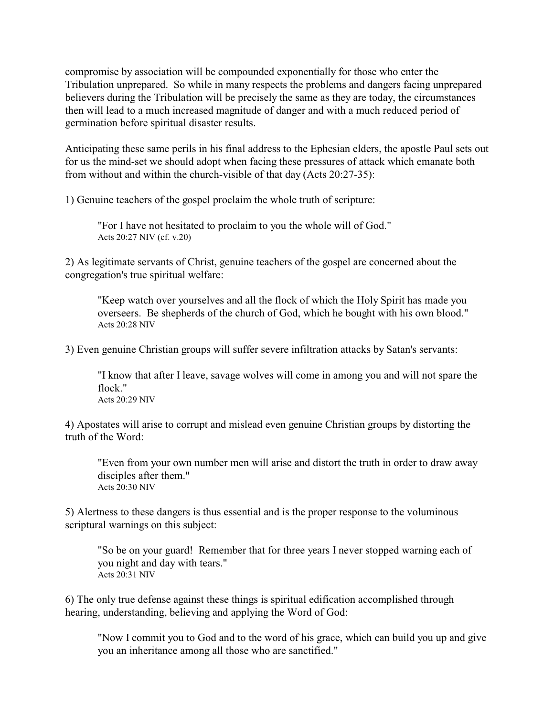compromise by association will be compounded exponentially for those who enter the Tribulation unprepared. So while in many respects the problems and dangers facing unprepared believers during the Tribulation will be precisely the same as they are today, the circumstances then will lead to a much increased magnitude of danger and with a much reduced period of germination before spiritual disaster results.

Anticipating these same perils in his final address to the Ephesian elders, the apostle Paul sets out for us the mind-set we should adopt when facing these pressures of attack which emanate both from without and within the church-visible of that day (Acts 20:27-35):

1) Genuine teachers of the gospel proclaim the whole truth of scripture:

"For I have not hesitated to proclaim to you the whole will of God." Acts 20:27 NIV (cf. v.20)

2) As legitimate servants of Christ, genuine teachers of the gospel are concerned about the congregation's true spiritual welfare:

"Keep watch over yourselves and all the flock of which the Holy Spirit has made you overseers. Be shepherds of the church of God, which he bought with his own blood." Acts 20:28 NIV

3) Even genuine Christian groups will suffer severe infiltration attacks by Satan's servants:

"I know that after I leave, savage wolves will come in among you and will not spare the flock." Acts 20:29 NIV

4) Apostates will arise to corrupt and mislead even genuine Christian groups by distorting the truth of the Word:

"Even from your own number men will arise and distort the truth in order to draw away disciples after them." Acts 20:30 NIV

5) Alertness to these dangers is thus essential and is the proper response to the voluminous scriptural warnings on this subject:

"So be on your guard! Remember that for three years I never stopped warning each of you night and day with tears." Acts 20:31 NIV

6) The only true defense against these things is spiritual edification accomplished through hearing, understanding, believing and applying the Word of God:

"Now I commit you to God and to the word of his grace, which can build you up and give you an inheritance among all those who are sanctified."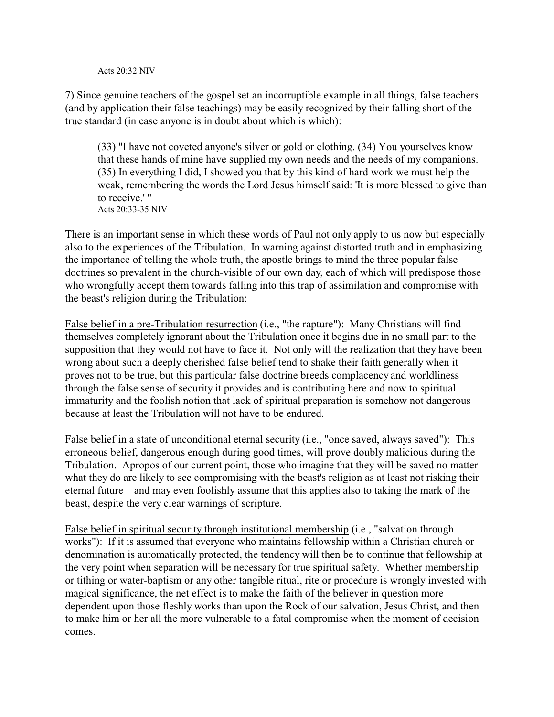## Acts  $20.32$  NIV

7) Since genuine teachers of the gospel set an incorruptible example in all things, false teachers (and by application their false teachings) may be easily recognized by their falling short of the true standard (in case anyone is in doubt about which is which):

(33) "I have not coveted anyone's silver or gold or clothing. (34) You yourselves know that these hands of mine have supplied my own needs and the needs of my companions. (35) In everything I did, I showed you that by this kind of hard work we must help the weak, remembering the words the Lord Jesus himself said: 'It is more blessed to give than to receive.' " Acts 20:33-35 NIV

There is an important sense in which these words of Paul not only apply to us now but especially also to the experiences of the Tribulation. In warning against distorted truth and in emphasizing the importance of telling the whole truth, the apostle brings to mind the three popular false doctrines so prevalent in the church-visible of our own day, each of which will predispose those who wrongfully accept them towards falling into this trap of assimilation and compromise with the beast's religion during the Tribulation:

False belief in a pre-Tribulation resurrection (i.e., "the rapture"): Many Christians will find themselves completely ignorant about the Tribulation once it begins due in no small part to the supposition that they would not have to face it. Not only will the realization that they have been wrong about such a deeply cherished false belief tend to shake their faith generally when it proves not to be true, but this particular false doctrine breeds complacency and worldliness through the false sense of security it provides and is contributing here and now to spiritual immaturity and the foolish notion that lack of spiritual preparation is somehow not dangerous because at least the Tribulation will not have to be endured.

False belief in a state of unconditional eternal security (i.e., "once saved, always saved"): This erroneous belief, dangerous enough during good times, will prove doubly malicious during the Tribulation. Apropos of our current point, those who imagine that they will be saved no matter what they do are likely to see compromising with the beast's religion as at least not risking their eternal future – and may even foolishly assume that this applies also to taking the mark of the beast, despite the very clear warnings of scripture.

False belief in spiritual security through institutional membership (i.e., "salvation through works"): If it is assumed that everyone who maintains fellowship within a Christian church or denomination is automatically protected, the tendency will then be to continue that fellowship at the very point when separation will be necessary for true spiritual safety. Whether membership or tithing or water-baptism or any other tangible ritual, rite or procedure is wrongly invested with magical significance, the net effect is to make the faith of the believer in question more dependent upon those fleshly works than upon the Rock of our salvation, Jesus Christ, and then to make him or her all the more vulnerable to a fatal compromise when the moment of decision comes.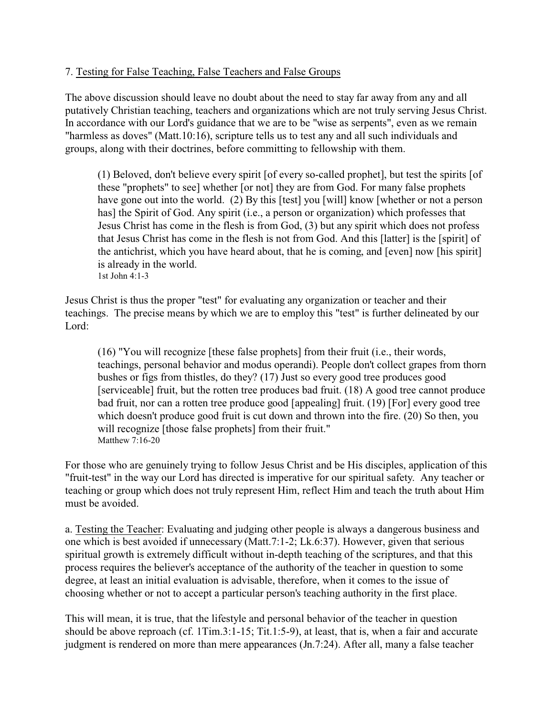## 7. Testing for False Teaching, False Teachers and False Groups

The above discussion should leave no doubt about the need to stay far away from any and all putatively Christian teaching, teachers and organizations which are not truly serving Jesus Christ. In accordance with our Lord's guidance that we are to be "wise as serpents", even as we remain "harmless as doves" (Matt.10:16), scripture tells us to test any and all such individuals and groups, along with their doctrines, before committing to fellowship with them.

(1) Beloved, don't believe every spirit [of every so-called prophet], but test the spirits [of these "prophets" to see] whether [or not] they are from God. For many false prophets have gone out into the world. (2) By this [test] you [will] know [whether or not a person has] the Spirit of God. Any spirit (i.e., a person or organization) which professes that Jesus Christ has come in the flesh is from God, (3) but any spirit which does not profess that Jesus Christ has come in the flesh is not from God. And this [latter] is the [spirit] of the antichrist, which you have heard about, that he is coming, and [even] now [his spirit] is already in the world. 1st John 4:1-3

Jesus Christ is thus the proper "test" for evaluating any organization or teacher and their teachings. The precise means by which we are to employ this "test" is further delineated by our Lord<sup>.</sup>

(16) "You will recognize [these false prophets] from their fruit (i.e., their words, teachings, personal behavior and modus operandi). People don't collect grapes from thorn bushes or figs from thistles, do they? (17) Just so every good tree produces good [serviceable] fruit, but the rotten tree produces bad fruit. (18) A good tree cannot produce bad fruit, nor can a rotten tree produce good [appealing] fruit. (19) [For] every good tree which doesn't produce good fruit is cut down and thrown into the fire. (20) So then, you will recognize [those false prophets] from their fruit." Matthew 7:16-20

For those who are genuinely trying to follow Jesus Christ and be His disciples, application of this "fruit-test" in the way our Lord has directed is imperative for our spiritual safety. Any teacher or teaching or group which does not truly represent Him, reflect Him and teach the truth about Him must be avoided.

a. Testing the Teacher: Evaluating and judging other people is always a dangerous business and one which is best avoided if unnecessary (Matt.7:1-2; Lk.6:37). However, given that serious spiritual growth is extremely difficult without in-depth teaching of the scriptures, and that this process requires the believer's acceptance of the authority of the teacher in question to some degree, at least an initial evaluation is advisable, therefore, when it comes to the issue of choosing whether or not to accept a particular person's teaching authority in the first place.

This will mean, it is true, that the lifestyle and personal behavior of the teacher in question should be above reproach (cf. 1Tim.3:1-15; Tit.1:5-9), at least, that is, when a fair and accurate judgment is rendered on more than mere appearances (Jn.7:24). After all, many a false teacher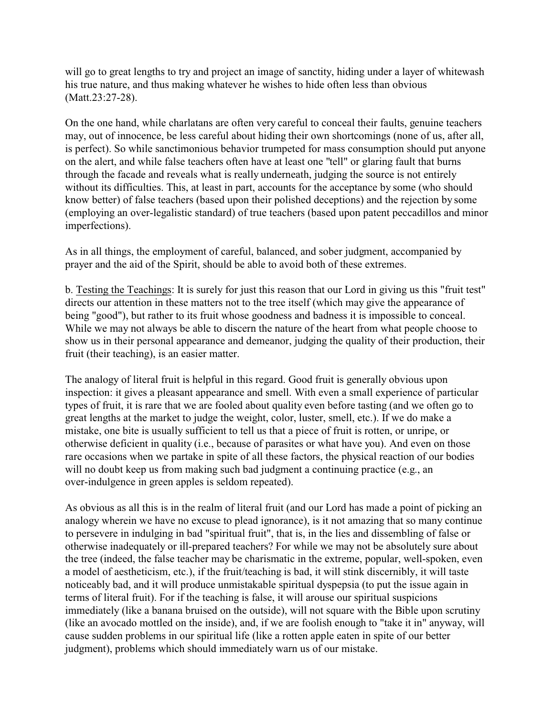will go to great lengths to try and project an image of sanctity, hiding under a layer of whitewash his true nature, and thus making whatever he wishes to hide often less than obvious (Matt.23:27-28).

On the one hand, while charlatans are often very careful to conceal their faults, genuine teachers may, out of innocence, be less careful about hiding their own shortcomings (none of us, after all, is perfect). So while sanctimonious behavior trumpeted for mass consumption should put anyone on the alert, and while false teachers often have at least one "tell" or glaring fault that burns through the facade and reveals what is really underneath, judging the source is not entirely without its difficulties. This, at least in part, accounts for the acceptance by some (who should know better) of false teachers (based upon their polished deceptions) and the rejection by some (employing an over-legalistic standard) of true teachers (based upon patent peccadillos and minor imperfections).

As in all things, the employment of careful, balanced, and sober judgment, accompanied by prayer and the aid of the Spirit, should be able to avoid both of these extremes.

b. Testing the Teachings: It is surely for just this reason that our Lord in giving us this "fruit test" directs our attention in these matters not to the tree itself (which may give the appearance of being "good"), but rather to its fruit whose goodness and badness it is impossible to conceal. While we may not always be able to discern the nature of the heart from what people choose to show us in their personal appearance and demeanor, judging the quality of their production, their fruit (their teaching), is an easier matter.

The analogy of literal fruit is helpful in this regard. Good fruit is generally obvious upon inspection: it gives a pleasant appearance and smell. With even a small experience of particular types of fruit, it is rare that we are fooled about quality even before tasting (and we often go to great lengths at the market to judge the weight, color, luster, smell, etc.). If we do make a mistake, one bite is usually sufficient to tell us that a piece of fruit is rotten, or unripe, or otherwise deficient in quality (i.e., because of parasites or what have you). And even on those rare occasions when we partake in spite of all these factors, the physical reaction of our bodies will no doubt keep us from making such bad judgment a continuing practice (e.g., an over-indulgence in green apples is seldom repeated).

As obvious as all this is in the realm of literal fruit (and our Lord has made a point of picking an analogy wherein we have no excuse to plead ignorance), is it not amazing that so many continue to persevere in indulging in bad "spiritual fruit", that is, in the lies and dissembling of false or otherwise inadequately or ill-prepared teachers? For while we may not be absolutely sure about the tree (indeed, the false teacher may be charismatic in the extreme, popular, well-spoken, even a model of aestheticism, etc.), if the fruit/teaching is bad, it will stink discernibly, it will taste noticeably bad, and it will produce unmistakable spiritual dyspepsia (to put the issue again in terms of literal fruit). For if the teaching is false, it will arouse our spiritual suspicions immediately (like a banana bruised on the outside), will not square with the Bible upon scrutiny (like an avocado mottled on the inside), and, if we are foolish enough to "take it in" anyway, will cause sudden problems in our spiritual life (like a rotten apple eaten in spite of our better judgment), problems which should immediately warn us of our mistake.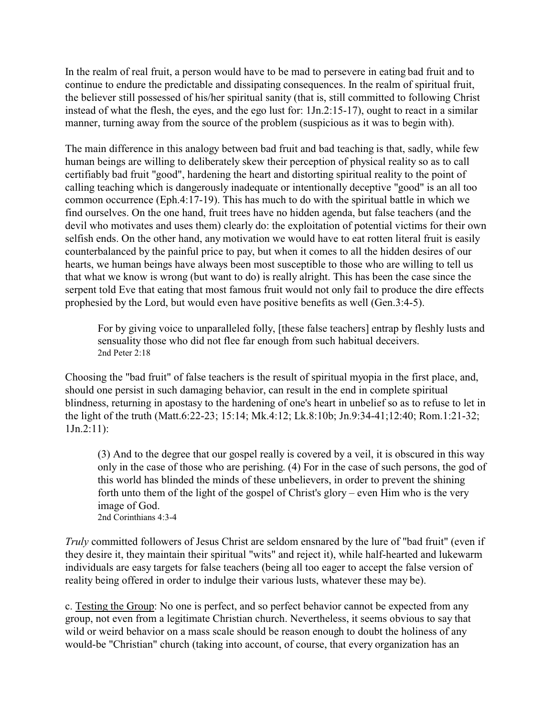In the realm of real fruit, a person would have to be mad to persevere in eating bad fruit and to continue to endure the predictable and dissipating consequences. In the realm of spiritual fruit, the believer still possessed of his/her spiritual sanity (that is, still committed to following Christ instead of what the flesh, the eyes, and the ego lust for: 1Jn.2:15-17), ought to react in a similar manner, turning away from the source of the problem (suspicious as it was to begin with).

The main difference in this analogy between bad fruit and bad teaching is that, sadly, while few human beings are willing to deliberately skew their perception of physical reality so as to call certifiably bad fruit "good", hardening the heart and distorting spiritual reality to the point of calling teaching which is dangerously inadequate or intentionally deceptive "good" is an all too common occurrence (Eph.4:17-19). This has much to do with the spiritual battle in which we find ourselves. On the one hand, fruit trees have no hidden agenda, but false teachers (and the devil who motivates and uses them) clearly do: the exploitation of potential victims for their own selfish ends. On the other hand, any motivation we would have to eat rotten literal fruit is easily counterbalanced by the painful price to pay, but when it comes to all the hidden desires of our hearts, we human beings have always been most susceptible to those who are willing to tell us that what we know is wrong (but want to do) is really alright. This has been the case since the serpent told Eve that eating that most famous fruit would not only fail to produce the dire effects prophesied by the Lord, but would even have positive benefits as well (Gen.3:4-5).

For by giving voice to unparalleled folly, [these false teachers] entrap by fleshly lusts and sensuality those who did not flee far enough from such habitual deceivers. 2nd Peter 2:18

Choosing the "bad fruit" of false teachers is the result of spiritual myopia in the first place, and, should one persist in such damaging behavior, can result in the end in complete spiritual blindness, returning in apostasy to the hardening of one's heart in unbelief so as to refuse to let in the light of the truth (Matt.6:22-23; 15:14; Mk.4:12; Lk.8:10b; Jn.9:34-41;12:40; Rom.1:21-32; 1Jn.2:11):

(3) And to the degree that our gospel really is covered by a veil, it is obscured in this way only in the case of those who are perishing. (4) For in the case of such persons, the god of this world has blinded the minds of these unbelievers, in order to prevent the shining forth unto them of the light of the gospel of Christ's glory – even Him who is the very image of God. 2nd Corinthians 4:3-4

*Truly* committed followers of Jesus Christ are seldom ensnared by the lure of "bad fruit" (even if they desire it, they maintain their spiritual "wits" and reject it), while half-hearted and lukewarm individuals are easy targets for false teachers (being all too eager to accept the false version of reality being offered in order to indulge their various lusts, whatever these may be).

c. Testing the Group: No one is perfect, and so perfect behavior cannot be expected from any group, not even from a legitimate Christian church. Nevertheless, it seems obvious to say that wild or weird behavior on a mass scale should be reason enough to doubt the holiness of any would-be "Christian" church (taking into account, of course, that every organization has an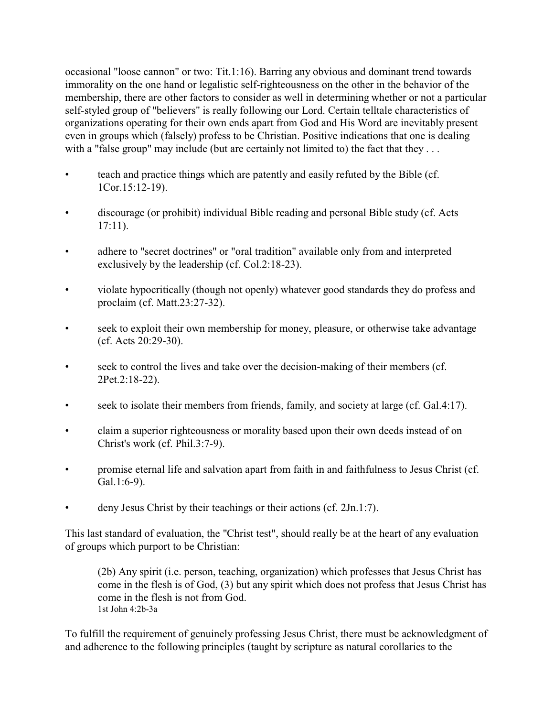occasional "loose cannon" or two: Tit.1:16). Barring any obvious and dominant trend towards immorality on the one hand or legalistic self-righteousness on the other in the behavior of the membership, there are other factors to consider as well in determining whether or not a particular self-styled group of "believers" is really following our Lord. Certain telltale characteristics of organizations operating for their own ends apart from God and His Word are inevitably present even in groups which (falsely) profess to be Christian. Positive indications that one is dealing with a "false group" may include (but are certainly not limited to) the fact that they ...

- teach and practice things which are patently and easily refuted by the Bible (cf. 1Cor.15:12-19).
- discourage (or prohibit) individual Bible reading and personal Bible study (cf. Acts 17:11).
- adhere to "secret doctrines" or "oral tradition" available only from and interpreted exclusively by the leadership (cf. Col.2:18-23).
- violate hypocritically (though not openly) whatever good standards they do profess and proclaim (cf. Matt.23:27-32).
- seek to exploit their own membership for money, pleasure, or otherwise take advantage (cf. Acts 20:29-30).
- seek to control the lives and take over the decision-making of their members (cf. 2Pet.2:18-22).
- seek to isolate their members from friends, family, and society at large (cf. Gal.4:17).
- claim a superior righteousness or morality based upon their own deeds instead of on Christ's work (cf. Phil.3:7-9).
- promise eternal life and salvation apart from faith in and faithfulness to Jesus Christ (cf. Gal.1:6-9).
- deny Jesus Christ by their teachings or their actions (cf. 2Jn.1:7).

This last standard of evaluation, the "Christ test", should really be at the heart of any evaluation of groups which purport to be Christian:

(2b) Any spirit (i.e. person, teaching, organization) which professes that Jesus Christ has come in the flesh is of God, (3) but any spirit which does not profess that Jesus Christ has come in the flesh is not from God. 1st John 4:2b-3a

To fulfill the requirement of genuinely professing Jesus Christ, there must be acknowledgment of and adherence to the following principles (taught by scripture as natural corollaries to the